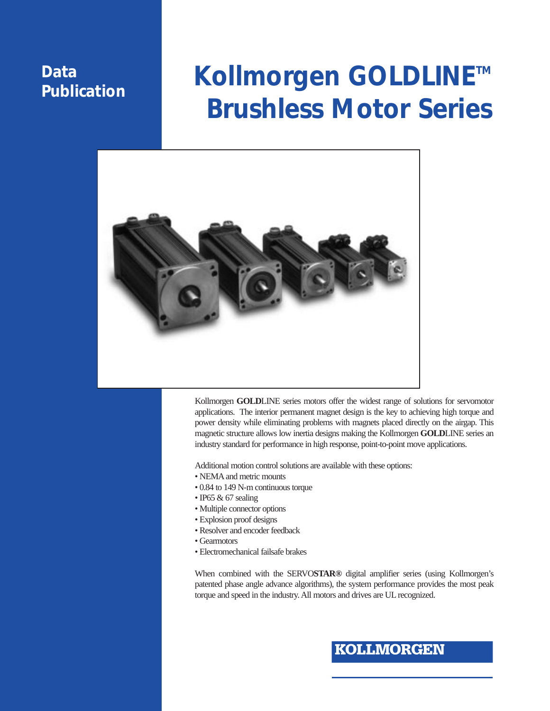### **Data Publication**

# **Kollmorgen GOLDLINETM Brushless Motor Series**



Kollmorgen **GOLD**LINE series motors offer the widest range of solutions for servomotor applications. The interior permanent magnet design is the key to achieving high torque and power density while eliminating problems with magnets placed directly on the airgap. This magnetic structure allows low inertia designs making the Kollmorgen **GOLD**LINE series an industry standard for performance in high response, point-to-point move applications.

Additional motion control solutions are available with these options:

- NEMA and metric mounts
- 0.84 to 149 N-m continuous torque
- IP65 & 67 sealing
- Multiple connector options
- Explosion proof designs
- Resolver and encoder feedback
- Gearmotors
- Electromechanical failsafe brakes

When combined with the SERVO**STAR®** digital amplifier series (using Kollmorgen's patented phase angle advance algorithms), the system performance provides the most peak torque and speed in the industry. All motors and drives are UL recognized.

### **KOLLMORGEN**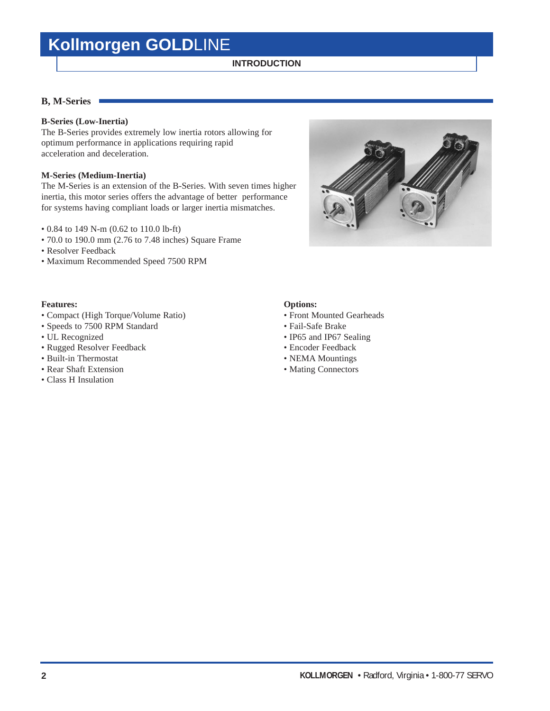### **INTRODUCTION**

### **B, M-Series**

### **B-Series (Low-Inertia)**

The B-Series provides extremely low inertia rotors allowing for optimum performance in applications requiring rapid acceleration and deceleration.

### **M-Series (Medium-Inertia)**

The M-Series is an extension of the B-Series. With seven times higher inertia, this motor series offers the advantage of better performance for systems having compliant loads or larger inertia mismatches.

- 0.84 to 149 N-m (0.62 to 110.0 lb-ft)
- 70.0 to 190.0 mm (2.76 to 7.48 inches) Square Frame
- Resolver Feedback
- Maximum Recommended Speed 7500 RPM

### **Features: Options:**

- Compact (High Torque/Volume Ratio) Front Mounted Gearheads
- Speeds to 7500 RPM Standard Fail-Safe Brake
- 
- Rugged Resolver Feedback Encoder Feedback
- Built-in Thermostat NEMA Mountings
- Rear Shaft Extension Mating Connectors
- Class H Insulation

- 
- 
- UL Recognized IP65 and IP67 Sealing
	-
	-
	-



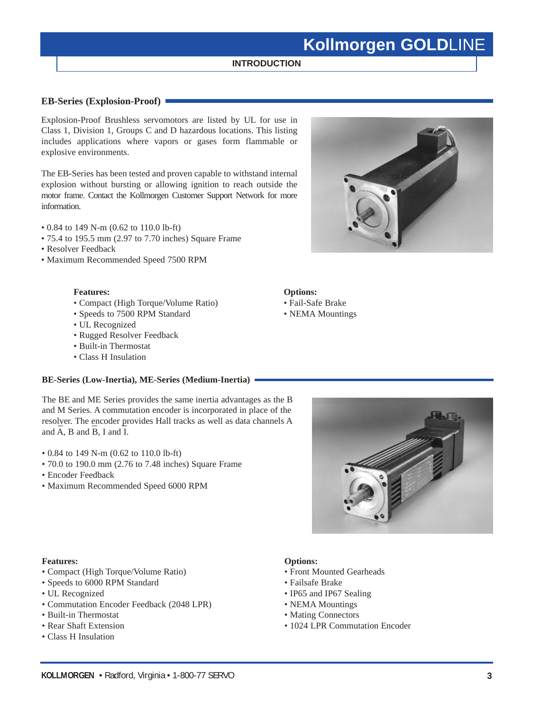### **INTRODUCTION**

### **EB-Series (Explosion-Proof)**

Explosion-Proof Brushless servomotors are listed by UL for use in Class 1, Division 1, Groups C and D hazardous locations. This listing includes applications where vapors or gases form flammable or explosive environments.

The EB-Series has been tested and proven capable to withstand internal explosion without bursting or allowing ignition to reach outside the motor frame. Contact the Kollmorgen Customer Support Network for more information.

- 0.84 to 149 N-m (0.62 to 110.0 lb-ft)
- 75.4 to 195.5 mm (2.97 to 7.70 inches) Square Frame
- Resolver Feedback
- Maximum Recommended Speed 7500 RPM

### **Features: Options:**

- Compact (High Torque/Volume Ratio) Fail-Safe Brake
- Speeds to 7500 RPM Standard NEMA Mountings
- UL Recognized
- Rugged Resolver Feedback
- Built-in Thermostat
- Class H Insulation

### **BE-Series (Low-Inertia), ME-Series (Medium-Inertia)**

The BE and ME Series provides the same inertia advantages as the B and M Series. A commutation encoder is incorporated in place of the resolver. The encoder provides Hall tracks as well as data channels A and A, B and B, I and I.

- 0.84 to 149 N-m (0.62 to 110.0 lb-ft)
- 70.0 to 190.0 mm (2.76 to 7.48 inches) Square Frame
- Encoder Feedback
- Maximum Recommended Speed 6000 RPM





#### **Features: Options:**

- Compact (High Torque/Volume Ratio) Front Mounted Gearheads
- Speeds to 6000 RPM Standard Failsafe Brake
- 
- Commutation Encoder Feedback (2048 LPR) NEMA Mountings
- Built-in Thermostat Mating Connectors
- 
- Class H Insulation

- 
- 
- UL Recognized IP65 and IP67 Sealing
	-
	-
- Rear Shaft Extension 1024 LPR Commutation Encoder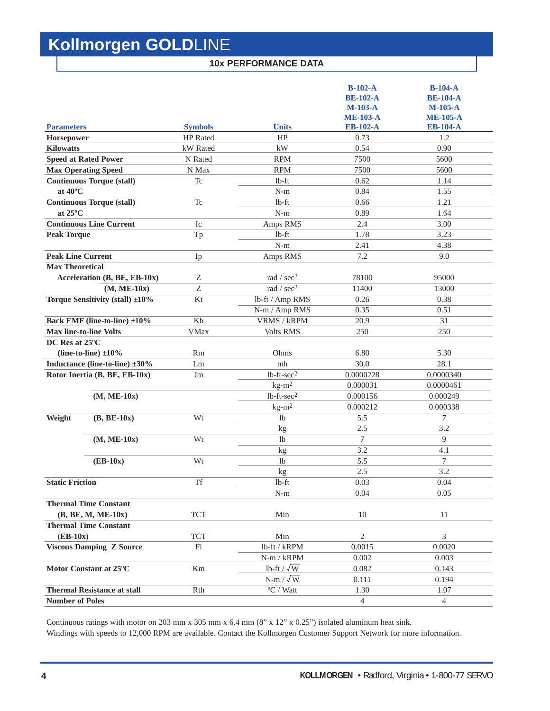### **10x PERFORMANCE DATA**

|                          |                                      |                |                           | $B-102-A$<br><b>BE-102-A</b><br>$M-103-A$<br><b>ME-103-A</b> | $B-104-A$<br><b>BE-104-A</b><br>$M-105-A$<br><b>ME-105-A</b> |
|--------------------------|--------------------------------------|----------------|---------------------------|--------------------------------------------------------------|--------------------------------------------------------------|
| <b>Parameters</b>        |                                      | <b>Symbols</b> | <b>Units</b>              | <b>EB-102-A</b>                                              | <b>EB-104-A</b>                                              |
| Horsepower               |                                      | HP Rated       | HP                        | 0.73                                                         | 1.2                                                          |
| <b>Kilowatts</b>         |                                      | kW Rated       | kW                        | 0.54                                                         | 0.90                                                         |
|                          | <b>Speed at Rated Power</b>          | N Rated        | <b>RPM</b>                | 7500                                                         | 5600                                                         |
|                          | <b>Max Operating Speed</b>           | N Max          | <b>RPM</b>                | 7500                                                         | 5600                                                         |
|                          | <b>Continuous Torque (stall)</b>     | Tc             | lb-ft                     | 0.62                                                         | 1.14                                                         |
| at 40°C                  |                                      |                | $N-m$                     | 0.84                                                         | 1.55                                                         |
|                          | <b>Continuous Torque (stall)</b>     | Tc             | $1b$ -ft                  | 0.66                                                         | 1.21                                                         |
| at 25°C                  |                                      |                | $N-m$                     | 0.89                                                         | 1.64                                                         |
|                          | <b>Continuous Line Current</b>       | Ic             | Amps RMS                  | 2.4                                                          | 3.00                                                         |
| <b>Peak Torque</b>       |                                      | Tp             | $1b$ -ft                  | 1.78                                                         | 3.23                                                         |
|                          |                                      |                | $N-m$                     | 2.41                                                         | 4.38                                                         |
| <b>Peak Line Current</b> |                                      | Ip             | Amps RMS                  | 7.2                                                          | 9.0                                                          |
| <b>Max Theoretical</b>   |                                      |                |                           |                                                              |                                                              |
|                          | Acceleration (B, BE, EB-10x)         | Ζ              | rad / $sec2$              | 78100                                                        | 95000                                                        |
|                          | $(M, ME-10x)$                        | Z              | rad / sec <sup>2</sup>    | 11400                                                        | 13000                                                        |
|                          | Torque Sensitivity (stall) ±10%      | Kt             | lb-ft / Amp RMS           | 0.26                                                         | 0.38                                                         |
|                          |                                      |                | N-m / Amp RMS             | 0.35                                                         | 0.51                                                         |
|                          | Back EMF (line-to-line) ±10%         | Kb             | VRMS / kRPM               | 20.9                                                         | 31                                                           |
|                          | <b>Max line-to-line Volts</b>        | <b>VMax</b>    | <b>Volts RMS</b>          | 250                                                          | 250                                                          |
| DC Res at 25°C           |                                      |                |                           |                                                              |                                                              |
|                          | (line-to-line) $\pm 10\%$            | <b>Rm</b>      | Ohms                      | 6.80                                                         | 5.30                                                         |
|                          | Inductance (line-to-line) $\pm 30\%$ | Lm             | mh                        | 30.0                                                         | 28.1                                                         |
|                          | Rotor Inertia (B, BE, EB-10x)        | Jm             | $1b$ -ft- $sec2$          | 0.0000228                                                    | 0.0000340                                                    |
|                          |                                      |                | $kg-m2$                   | 0.000031                                                     | 0.0000461                                                    |
|                          | $(M, ME-10x)$                        |                | $1b$ -ft- $sec2$          | 0.000156                                                     | 0.000249                                                     |
|                          |                                      |                | $kg-m2$                   | 0.000212                                                     | 0.000338                                                     |
| Weight                   | $(B, BE-10x)$                        | Wt             | 1 <sub>b</sub>            | 5.5                                                          | 7                                                            |
|                          |                                      |                | kg                        | 2.5                                                          | 3.2                                                          |
|                          | $(M, ME-10x)$                        | Wt             | <b>lb</b>                 | $\overline{7}$                                               | 9                                                            |
|                          |                                      |                | kg                        | 3.2                                                          | 4.1                                                          |
|                          | $(EB-10x)$                           | Wt             | <sup>1</sup>              | 5.5                                                          | 7                                                            |
|                          |                                      |                | kg                        | 2.5                                                          | 3.2                                                          |
| <b>Static Friction</b>   |                                      | Tf             | lb-ft                     | 0.03                                                         | 0.04                                                         |
|                          |                                      |                | $N-m$                     | 0.04                                                         | 0.05                                                         |
|                          | <b>Thermal Time Constant</b>         |                |                           |                                                              |                                                              |
|                          | (B, BE, M, ME-10x)                   | <b>TCT</b>     | Min                       | 10                                                           | 11                                                           |
|                          | <b>Thermal Time Constant</b>         |                |                           |                                                              |                                                              |
| $(EB-10x)$               |                                      | <b>TCT</b>     | Min                       | $\overline{2}$                                               | 3                                                            |
|                          | <b>Viscous Damping Z Source</b>      | Fi             | lb-ft / kRPM              | 0.0015                                                       | 0.0020                                                       |
|                          |                                      |                | $N-m / kRPM$              | 0.002                                                        | 0.003                                                        |
|                          | Motor Constant at 25°C               | Km             | lb-ft / $\sqrt{\text{W}}$ | 0.082                                                        | 0.143                                                        |
|                          |                                      |                | $N-m / \sqrt{W}$          | 0.111                                                        | 0.194                                                        |
|                          | <b>Thermal Resistance at stall</b>   | Rth            | $\mathrm{^oC}$ / Watt     | 1.30                                                         | 1.07                                                         |
| <b>Number of Poles</b>   |                                      |                |                           | $\overline{4}$                                               | $\overline{4}$                                               |

Continuous ratings with motor on 203 mm x 305 mm x 6.4 mm (8" x 12" x 0.25") isolated aluminum heat sink.

Windings with speeds to 12,000 RPM are available. Contact the Kollmorgen Customer Support Network for more information.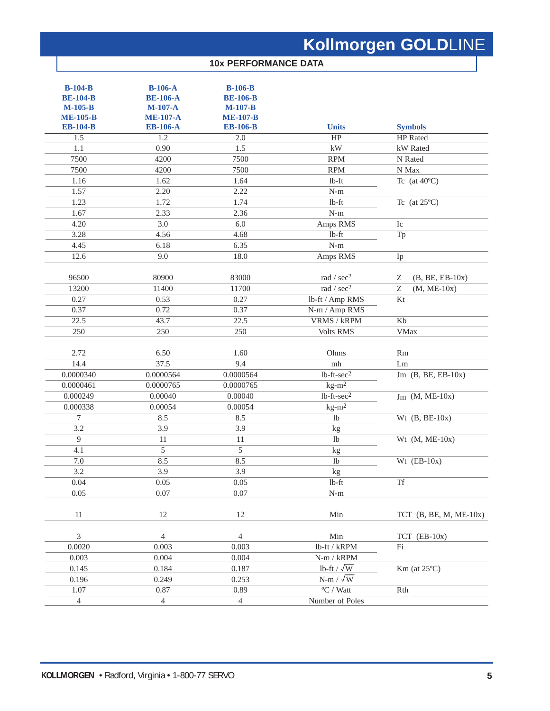### **10x PERFORMANCE DATA**

| $B-104-B$<br><b>BE-104-B</b><br>$M-105-B$<br><b>ME-105-B</b><br><b>EB-104-B</b> | $B-106-A$<br><b>BE-106-A</b><br>$M-107-A$<br><b>ME-107-A</b><br><b>EB-106-A</b> | $B-106-B$<br><b>BE-106-B</b><br>$M-107-B$<br><b>ME-107-B</b><br><b>EB-106-B</b> | <b>Units</b>                   | <b>Symbols</b>                             |
|---------------------------------------------------------------------------------|---------------------------------------------------------------------------------|---------------------------------------------------------------------------------|--------------------------------|--------------------------------------------|
| 1.5                                                                             | 1.2                                                                             | 2.0                                                                             | HP                             | HP Rated                                   |
| 1.1                                                                             | 0.90                                                                            | 1.5                                                                             | $\mathbf{k}\mathbf{W}$         | kW Rated                                   |
| 7500                                                                            | 4200                                                                            | 7500                                                                            | <b>RPM</b>                     | N Rated                                    |
| 7500                                                                            | 4200                                                                            | 7500                                                                            | <b>RPM</b>                     | N Max                                      |
| 1.16                                                                            | 1.62                                                                            | 1.64                                                                            | $lb$ -ft                       | Tc (at $40^{\circ}$ C)                     |
| 1.57                                                                            | 2.20                                                                            | 2.22                                                                            | $N-m$                          |                                            |
| 1.23                                                                            | 1.72                                                                            | 1.74                                                                            | $lb$ -ft                       | Tc (at $25^{\circ}$ C)                     |
| 1.67                                                                            | 2.33                                                                            | 2.36                                                                            | $N-m$                          |                                            |
| 4.20                                                                            | 3.0                                                                             | 6.0                                                                             | Amps RMS                       | Ic                                         |
| 3.28                                                                            | 4.56                                                                            | 4.68                                                                            | $lb$ -ft                       | Tp                                         |
| 4.45                                                                            | 6.18                                                                            | 6.35                                                                            | $N-m$                          |                                            |
| 12.6                                                                            | 9.0                                                                             | 18.0                                                                            | Amps RMS                       | Ip                                         |
| 96500                                                                           | 80900                                                                           | 83000                                                                           | rad / sec <sup>2</sup>         | Ζ<br>$(B, BE, EB-10x)$                     |
| 13200                                                                           | 11400                                                                           | 11700                                                                           | rad / sec <sup>2</sup>         | $\ensuremath{\mathbf{Z}}$<br>$(M, ME-10x)$ |
| 0.27                                                                            | 0.53                                                                            | 0.27                                                                            | lb-ft / Amp RMS                | Kt                                         |
| 0.37                                                                            | 0.72                                                                            | 0.37                                                                            | N-m / Amp RMS                  |                                            |
| 22.5                                                                            | 43.7                                                                            | 22.5                                                                            | <b>VRMS / kRPM</b>             | Kb                                         |
| 250                                                                             | 250                                                                             | 250                                                                             | <b>Volts RMS</b>               | <b>VMax</b>                                |
| 2.72                                                                            | 6.50                                                                            | 1.60                                                                            | Ohms                           | Rm                                         |
| 14.4                                                                            | 37.5                                                                            | 9.4                                                                             | mh                             | Lm                                         |
| 0.0000340                                                                       | 0.0000564                                                                       | 0.0000564                                                                       | $lb$ -ft- $sec2$               | Jm $(B, BE, EB-10x)$                       |
| 0.0000461                                                                       | 0.0000765                                                                       | 0.0000765                                                                       | $kg-m^2$                       |                                            |
| 0.000249                                                                        | 0.00040                                                                         | 0.00040                                                                         | $1b$ -ft-sec <sup>2</sup>      | $Jm$ (M, ME-10x)                           |
| 0.000338<br>$\overline{7}$                                                      | 0.00054<br>8.5                                                                  | 0.00054<br>8.5                                                                  | $kg-m2$<br>1 <sub>b</sub>      |                                            |
| 3.2                                                                             |                                                                                 | 3.9                                                                             |                                | Wt $(B, BE-10x)$                           |
| $\overline{9}$                                                                  | 3.9<br>11                                                                       | 11                                                                              | kg<br>lb                       | Wt $(M, ME-10x)$                           |
| 4.1                                                                             | 5                                                                               | 5                                                                               |                                |                                            |
| 7.0                                                                             | 8.5                                                                             | 8.5                                                                             | kg<br>lb                       | Wt $(EB-10x)$                              |
| 3.2                                                                             | 3.9                                                                             | 3.9                                                                             |                                |                                            |
| 0.04                                                                            | 0.05                                                                            | 0.05                                                                            | kg<br>$lb$ -ft                 | Tf                                         |
| 0.05                                                                            | 0.07                                                                            | 0.07                                                                            | $\mathbf{N}\text{-}\mathbf{m}$ |                                            |
|                                                                                 |                                                                                 |                                                                                 |                                |                                            |
| $11\,$                                                                          | $12\,$                                                                          | 12                                                                              | Min                            | TCT $(B, BE, M, ME-10x)$                   |
| $\overline{3}$                                                                  | $\overline{4}$                                                                  | $\overline{4}$                                                                  | Min                            | $TCT$ (EB-10x)                             |
| 0.0020                                                                          | 0.003                                                                           | 0.003                                                                           | lb-ft / kRPM                   | Fi                                         |
| 0.003                                                                           | 0.004                                                                           | 0.004                                                                           | $N\text{-}m$ / $kRPM$          |                                            |
| 0.145                                                                           | 0.184                                                                           | 0.187                                                                           | lb-ft / $\sqrt{\text{W}}$      | $Km$ (at $25^{\circ}C$ )                   |
| 0.196                                                                           | 0.249                                                                           | 0.253                                                                           | $N-m / \sqrt{W}$               |                                            |
| 1.07                                                                            | 0.87                                                                            | 0.89                                                                            | $\overline{C}$ / Watt          | Rth                                        |
| $\overline{4}$                                                                  | 4                                                                               | $\overline{4}$                                                                  | Number of Poles                |                                            |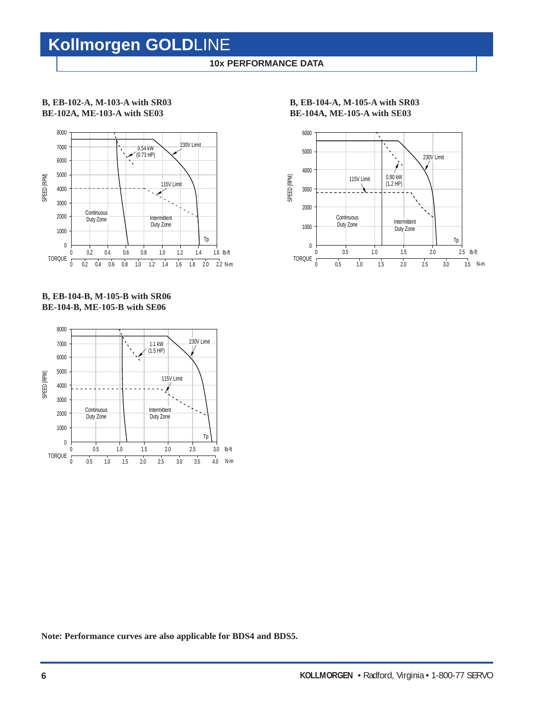### **10x PERFORMANCE DATA**

### **B, EB-102-A, M-103-A with SR03 BE-102A, ME-103-A with SE03**



### **B, EB-104-B, M-105-B with SR06 BE-104-B, ME-105-B with SE06**



**B, EB-104-A, M-105-A with SR03 BE-104A, ME-105-A with SE03**



**Note: Performance curves are also applicable for BDS4 and BDS5.**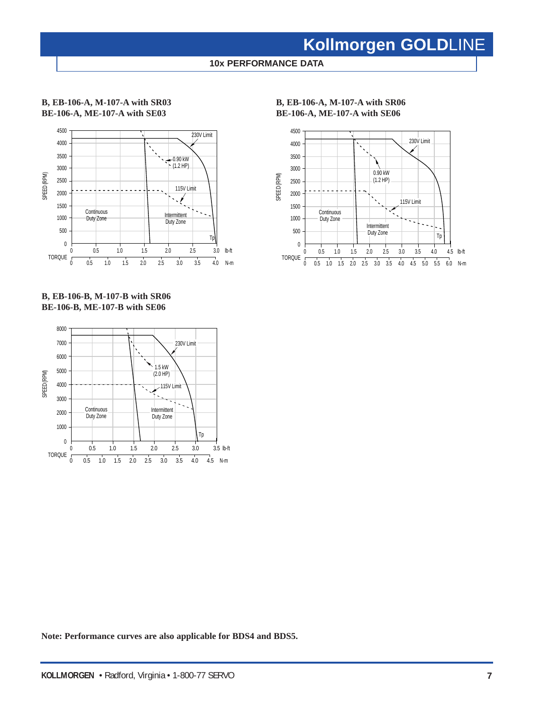**10x PERFORMANCE DATA**

### **B, EB-106-A, M-107-A with SR03 BE-106-A, ME-107-A with SE03**



### **B, EB-106-B, M-107-B with SR06 BE-106-B, ME-107-B with SE06**



**B, EB-106-A, M-107-A with SR06 BE-106-A, ME-107-A with SE06**



**Note: Performance curves are also applicable for BDS4 and BDS5.**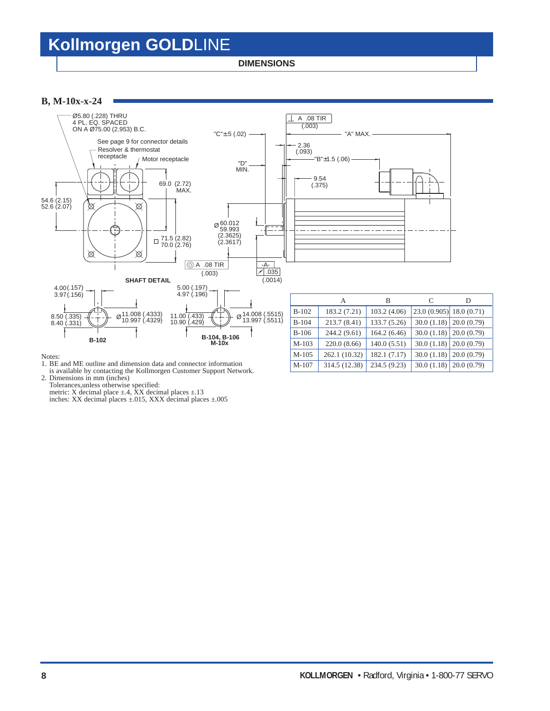**DIMENSIONS**

### **B, M-10x-x-24**



#### Notes:

- 1. BE and ME outline and dimension data and connector information
- is available by contacting the Kollmorgen Customer Support Network.

2. Dimensions in mm (inches)

Tolerances,unless otherwise specified:

metric: X decimal place  $\pm$ .4, XX decimal places  $\pm$ .13

inches: XX decimal places ±.015, XXX decimal places ±.005

M-107 314.5 (12.38) 234.5 (9.23) 30.0 (1.18) 20.0 (0.79)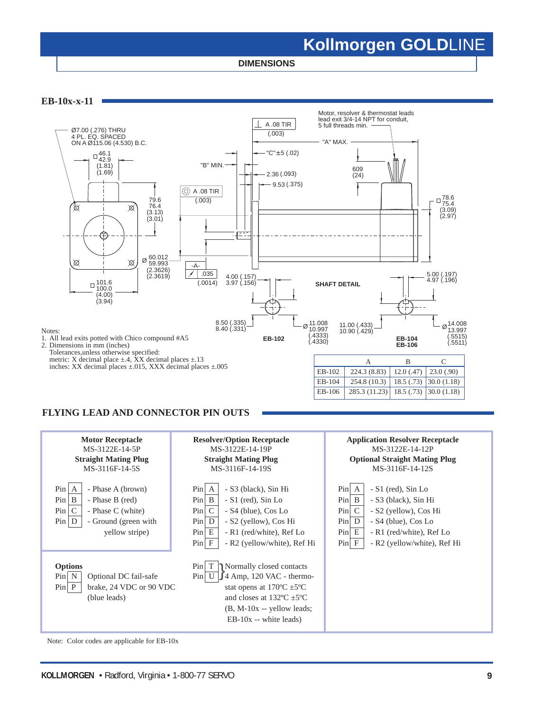**DIMENSIONS**

**EB-10x-x-11**



### **FLYING LEAD AND CONNECTOR PIN OUTS**



Note: Color codes are applicable for EB-10x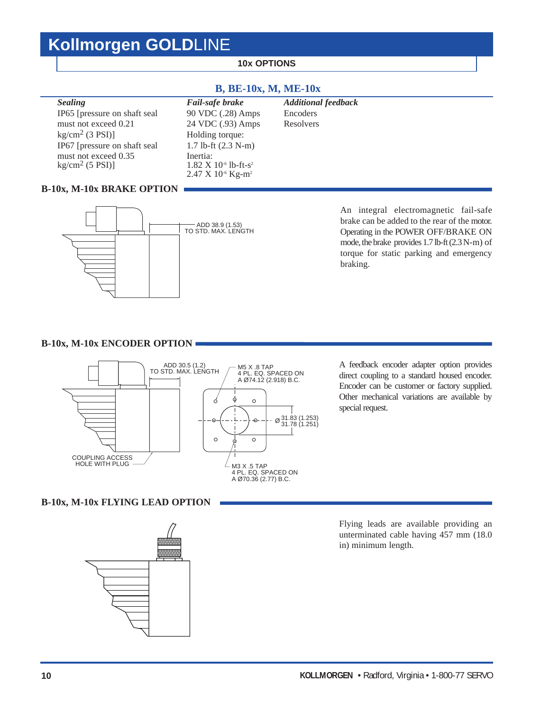### **10x OPTIONS**

### **B, BE-10x, M, ME-10x**

| <b>Sealing</b>                            | Fail-safe brake                                                                                   | <b>Additional feedback</b> |
|-------------------------------------------|---------------------------------------------------------------------------------------------------|----------------------------|
| IP65 [pressure on shaft seal]             | 90 VDC (.28) Amps                                                                                 | Encoders                   |
| must not exceed 0.21                      | 24 VDC (.93) Amps                                                                                 | Resolvers                  |
| $kg/cm2$ (3 PSI)]                         | Holding torque:                                                                                   |                            |
| IP67 [pressure on shaft seal              | 1.7 lb-ft $(2.3 N-m)$                                                                             |                            |
| must not exceed 0.35<br>$kg/cm2$ (5 PSI)] | Inertia:<br>$1.82 \times 10^{-6}$ lb-ft-s <sup>2</sup><br>$2.47 \times 10^{-6}$ Kg-m <sup>2</sup> |                            |

### **B-10x, M-10x BRAKE OPTION**



An integral electromagnetic fail-safe brake can be added to the rear of the motor. Operating in the POWER OFF/BRAKE ON mode, the brake provides 1.7 lb-ft (2.3 N-m) of torque for static parking and emergency braking.

### **B-10x, M-10x ENCODER OPTION**



A feedback encoder adapter option provides direct coupling to a standard housed encoder. Encoder can be customer or factory supplied. Other mechanical variations are available by special request.

### **B-10x, M-10x FLYING LEAD OPTION**



Flying leads are available providing an unterminated cable having 457 mm (18.0 in) minimum length.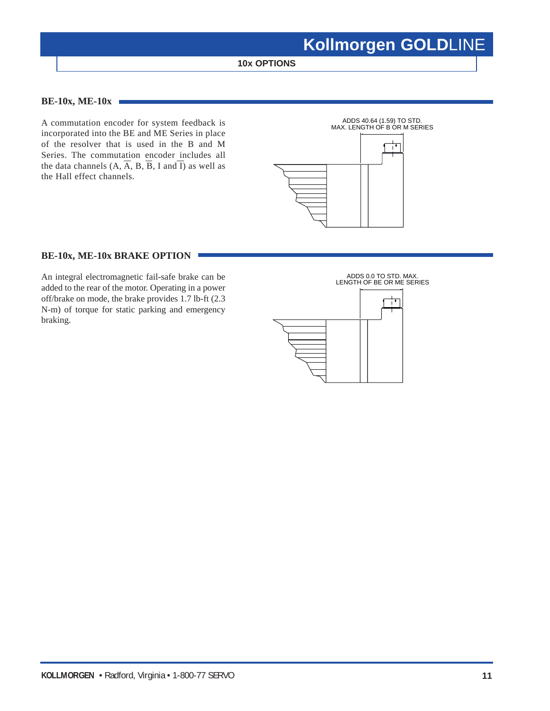**10x OPTIONS**

### **BE-10x, ME-10x**

A commutation encoder for system feedback is incorporated into the BE and ME Series in place of the resolver that is used in the B and M Series. The commutation encoder includes all the data channels  $(A, \overline{A}, B, \overline{B}, I \text{ and } \overline{I})$  as well as the Hall effect channels.



### **BE-10x, ME-10x BRAKE OPTION**

An integral electromagnetic fail-safe brake can be added to the rear of the motor. Operating in a power off/brake on mode, the brake provides 1.7 lb-ft (2.3 N-m) of torque for static parking and emergency braking.

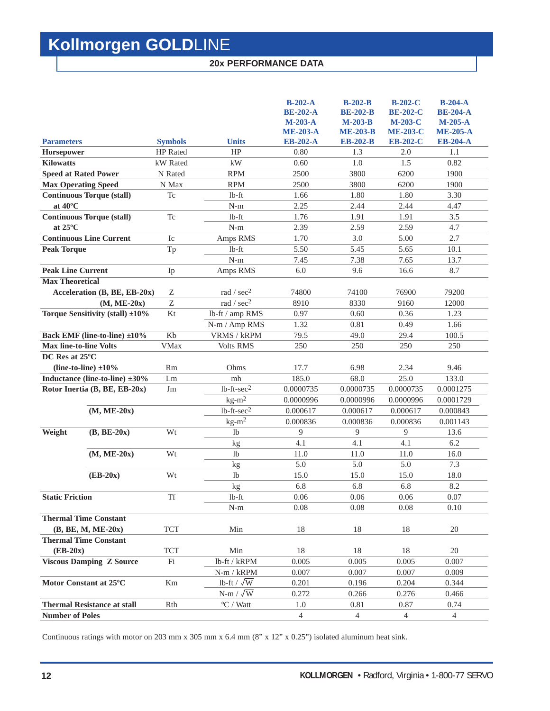### **20x PERFORMANCE DATA**

|                                                      |                 |                                           | $B-202-A$<br><b>BE-202-A</b><br>$M-203-A$<br><b>ME-203-A</b> | $B-202-B$<br><b>BE-202-B</b><br>$M-203-B$<br><b>ME-203-B</b> | <b>B-202-C</b><br><b>BE-202-C</b><br>$M-203-C$<br><b>ME-203-C</b> | $B-204-A$<br><b>BE-204-A</b><br>$M-205-A$<br><b>ME-205-A</b> |
|------------------------------------------------------|-----------------|-------------------------------------------|--------------------------------------------------------------|--------------------------------------------------------------|-------------------------------------------------------------------|--------------------------------------------------------------|
| <b>Parameters</b>                                    | <b>Symbols</b>  | <b>Units</b>                              | <b>EB-202-A</b>                                              | <b>EB-202-B</b>                                              | <b>EB-202-C</b>                                                   | <b>EB-204-A</b>                                              |
| Horsepower                                           | <b>HP</b> Rated | HP                                        | 0.80                                                         | 1.3                                                          | 2.0                                                               | 1.1                                                          |
| <b>Kilowatts</b>                                     | kW Rated        | kW                                        | 0.60                                                         | 1.0                                                          | 1.5                                                               | 0.82                                                         |
| <b>Speed at Rated Power</b>                          | N Rated         | <b>RPM</b>                                | 2500                                                         | 3800                                                         | 6200                                                              | 1900                                                         |
| <b>Max Operating Speed</b>                           | N Max           | <b>RPM</b>                                | 2500                                                         | 3800                                                         | 6200                                                              | 1900                                                         |
| <b>Continuous Torque (stall)</b>                     | Tc              | $lb$ -ft                                  | 1.66                                                         | 1.80                                                         | 1.80                                                              | 3.30                                                         |
| at 40°C                                              |                 | $N-m$                                     | 2.25                                                         | 2.44                                                         | 2.44                                                              | 4.47                                                         |
| <b>Continuous Torque (stall)</b>                     | <b>Tc</b>       | $lb$ -ft                                  | 1.76                                                         | 1.91                                                         | 1.91                                                              | 3.5                                                          |
| at $25^{\circ}$ C                                    |                 | $N-m$                                     | 2.39                                                         | 2.59                                                         | 2.59                                                              | 4.7                                                          |
| <b>Continuous Line Current</b>                       | Ic              | Amps RMS                                  | 1.70                                                         | 3.0                                                          | 5.00                                                              | 2.7                                                          |
| <b>Peak Torque</b>                                   | Tp              | $1b-ft$                                   | 5.50                                                         | 5.45                                                         | 5.65                                                              | 10.1                                                         |
|                                                      |                 | $N-m$                                     | 7.45                                                         | 7.38                                                         | 7.65                                                              | 13.7                                                         |
| <b>Peak Line Current</b>                             | Ip              | Amps RMS                                  | 6.0                                                          | 9.6                                                          | 16.6                                                              | 8.7                                                          |
| <b>Max Theoretical</b>                               |                 |                                           |                                                              |                                                              |                                                                   |                                                              |
| Acceleration (B, BE, EB-20x)                         | Ζ               | rad / $sec2$                              | 74800                                                        | 74100                                                        | 76900                                                             | 79200                                                        |
| $(M, ME-20x)$                                        | Z               | rad / sec <sup>2</sup>                    | 8910                                                         | 8330                                                         | 9160                                                              | 12000                                                        |
| Torque Sensitivity (stall) ±10%                      | Kt              | lb-ft / amp RMS                           | 0.97                                                         | 0.60                                                         | 0.36                                                              | 1.23                                                         |
|                                                      |                 | N-m / Amp RMS                             | 1.32                                                         | 0.81                                                         | 0.49                                                              | 1.66                                                         |
| <b>Back EMF</b> (line-to-line) ±10%                  | Kb              | VRMS / kRPM                               | 79.5                                                         | 49.0                                                         | 29.4                                                              | 100.5                                                        |
| <b>Max line-to-line Volts</b>                        | <b>VMax</b>     | <b>Volts RMS</b>                          | 250                                                          | 250                                                          | 250                                                               | 250                                                          |
| DC Res at 25°C                                       |                 |                                           |                                                              |                                                              |                                                                   |                                                              |
| (line-to-line) $\pm 10\%$                            | Rm              | Ohms                                      | 17.7                                                         | 6.98                                                         | 2.34                                                              | 9.46                                                         |
| Inductance (line-to-line) $\pm 30\%$                 | Lm              | mh                                        | 185.0                                                        | 68.0                                                         | 25.0                                                              | 133.0                                                        |
| Rotor Inertia (B, BE, EB-20x)                        | Jm              | $lb$ -ft- $sec2$                          | 0.0000735                                                    | 0.0000735                                                    | 0.0000735                                                         | 0.0001275                                                    |
|                                                      |                 | $kg-m2$                                   | 0.0000996                                                    | 0.0000996                                                    | 0.0000996                                                         | 0.0001729                                                    |
|                                                      |                 | $1b$ -ft-sec <sup>2</sup>                 | 0.000617                                                     | 0.000617                                                     | 0.000617                                                          | 0.000843                                                     |
| $(M, ME-20x)$                                        |                 |                                           |                                                              |                                                              |                                                                   |                                                              |
|                                                      |                 |                                           | 0.000836                                                     | 0.000836                                                     | 0.000836                                                          | 0.001143                                                     |
| $(B, BE-20x)$<br>Weight                              | Wt              | $kg-m2$<br>1 <sub>b</sub>                 | 9                                                            | 9                                                            | 9                                                                 | 13.6                                                         |
|                                                      |                 | kg                                        | 4.1                                                          | 4.1                                                          | 4.1                                                               | 6.2                                                          |
| $(M, ME-20x)$                                        | Wt              | 1 <sub>b</sub>                            | 11.0                                                         | 11.0                                                         | 11.0                                                              | 16.0                                                         |
|                                                      |                 |                                           | 5.0                                                          | 5.0                                                          | 5.0                                                               | 7.3                                                          |
| $(EB-20x)$                                           | Wt              | kg<br>1 <sub>b</sub>                      | 15.0                                                         | 15.0                                                         | 15.0                                                              | 18.0                                                         |
|                                                      |                 |                                           | 6.8                                                          | 6.8                                                          | 6.8                                                               | 8.2                                                          |
| <b>Static Friction</b>                               | <b>Tf</b>       | kg<br>$lb$ -ft                            | 0.06                                                         | 0.06                                                         | 0.06                                                              | 0.07                                                         |
|                                                      |                 | $N-m$                                     | 0.08                                                         | 0.08                                                         | 0.08                                                              | 0.10                                                         |
| <b>Thermal Time Constant</b>                         |                 |                                           |                                                              |                                                              |                                                                   |                                                              |
|                                                      | <b>TCT</b>      | Min                                       | 18                                                           | 18                                                           | 18                                                                | 20                                                           |
| $(B, BE, M, ME-20x)$<br><b>Thermal Time Constant</b> |                 |                                           |                                                              |                                                              |                                                                   |                                                              |
| $(EB-20x)$                                           | <b>TCT</b>      | Min                                       | 18                                                           | 18                                                           | 18                                                                | 20                                                           |
|                                                      | Fi              | lb-ft / kRPM                              | 0.005                                                        | 0.005                                                        | 0.005                                                             | 0.007                                                        |
| <b>Viscous Damping Z Source</b>                      |                 |                                           | 0.007                                                        |                                                              | 0.007                                                             | 0.009                                                        |
| Motor Constant at 25°C                               |                 | $N-m / kRPM$                              |                                                              | 0.007                                                        |                                                                   | 0.344                                                        |
|                                                      | Km              | lb-ft / $\sqrt{W}$                        | 0.201<br>0.272                                               | 0.196                                                        | 0.204                                                             |                                                              |
| <b>Thermal Resistance at stall</b>                   | Rth             | $N-m / \sqrt{W}$<br>$\mathrm{^oC}$ / Watt | 1.0                                                          | 0.266<br>0.81                                                | 0.276<br>0.87                                                     | 0.466<br>0.74                                                |

Continuous ratings with motor on 203 mm x 305 mm x 6.4 mm (8" x 12" x 0.25") isolated aluminum heat sink.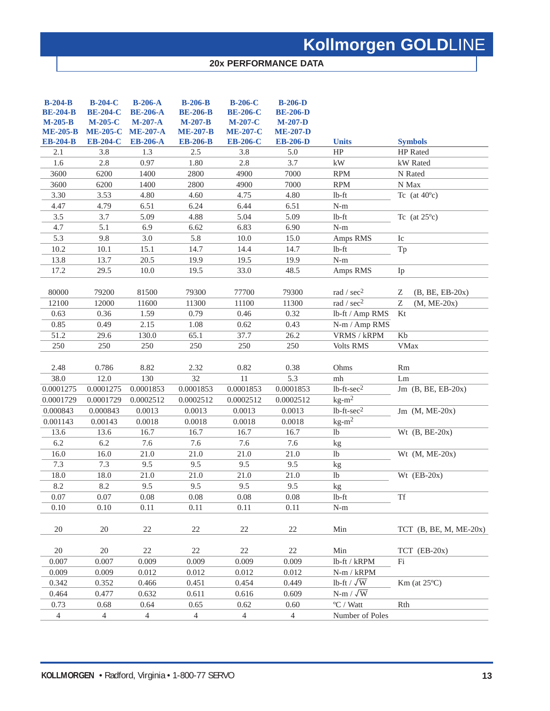### **20x PERFORMANCE DATA**

| $B-204-B$<br><b>BE-204-B</b><br>$M-205-B$<br><b>ME-205-B</b><br><b>EB-204-B</b> | $B-204-C$<br><b>BE-204-C</b><br>$M-205-C$<br><b>ME-205-C</b><br><b>EB-204-C</b> | $B-206-A$<br><b>BE-206-A</b><br>$M-207-A$<br><b>ME-207-A</b><br><b>EB-206-A</b> | <b>B-206-B</b><br><b>BE-206-B</b><br>$M-207-B$<br><b>ME-207-B</b><br><b>EB-206-B</b> | <b>B-206-C</b><br><b>BE-206-C</b><br>$M-207-C$<br><b>ME-207-C</b><br><b>EB-206-C</b> | $B-206-D$<br><b>BE-206-D</b><br>$M-207-D$<br><b>ME-207-D</b><br><b>EB-206-D</b> | <b>Units</b>              | <b>Symbols</b>           |
|---------------------------------------------------------------------------------|---------------------------------------------------------------------------------|---------------------------------------------------------------------------------|--------------------------------------------------------------------------------------|--------------------------------------------------------------------------------------|---------------------------------------------------------------------------------|---------------------------|--------------------------|
| 2.1                                                                             | 3.8                                                                             | 1.3                                                                             | 2.5                                                                                  | 3.8                                                                                  | 5.0                                                                             | HP                        | HP Rated                 |
| 1.6                                                                             | 2.8                                                                             | 0.97                                                                            | 1.80                                                                                 | 2.8                                                                                  | 3.7                                                                             | $\mathbf{k}\mathbf{W}$    | kW Rated                 |
| 3600                                                                            | 6200                                                                            | 1400                                                                            | 2800                                                                                 | 4900                                                                                 | 7000                                                                            | <b>RPM</b>                | N Rated                  |
| 3600                                                                            | 6200                                                                            | 1400                                                                            | 2800                                                                                 | 4900                                                                                 | 7000                                                                            | <b>RPM</b>                | N Max                    |
| 3.30                                                                            | 3.53                                                                            | 4.80                                                                            | 4.60                                                                                 | 4.75                                                                                 | 4.80                                                                            | $lb$ -ft                  | Tc (at $40^{\circ}$ c)   |
| 4.47                                                                            | 4.79                                                                            | 6.51                                                                            | 6.24                                                                                 | 6.44                                                                                 | 6.51                                                                            | $N-m$                     |                          |
| 3.5                                                                             | 3.7                                                                             | 5.09                                                                            | 4.88                                                                                 | 5.04                                                                                 | 5.09                                                                            | $lb$ -ft                  | Tc (at $25^{\circ}$ c)   |
| 4.7                                                                             | 5.1                                                                             | 6.9                                                                             | 6.62                                                                                 | 6.83                                                                                 | 6.90                                                                            | $N-m$                     |                          |
| 5.3                                                                             | 9.8                                                                             | 3.0                                                                             | 5.8                                                                                  | 10.0                                                                                 | 15.0                                                                            | Amps RMS                  | Ic                       |
| 10.2                                                                            | 10.1                                                                            | 15.1                                                                            | 14.7                                                                                 | 14.4                                                                                 | 14.7                                                                            | $lb$ -ft                  | Tp                       |
| 13.8                                                                            | 13.7                                                                            | 20.5                                                                            | 19.9                                                                                 | 19.5                                                                                 | 19.9                                                                            | $N-m$                     |                          |
| 17.2                                                                            | 29.5                                                                            | $10.0\,$                                                                        | 19.5                                                                                 | 33.0                                                                                 | 48.5                                                                            | Amps RMS                  | Ip                       |
|                                                                                 |                                                                                 |                                                                                 |                                                                                      |                                                                                      |                                                                                 |                           |                          |
| 80000                                                                           | 79200                                                                           | 81500                                                                           | 79300                                                                                | 77700                                                                                | 79300                                                                           | rad / $sec2$              | Ζ<br>$(B, BE, EB-20x)$   |
| 12100                                                                           | 12000                                                                           | 11600                                                                           | 11300                                                                                | 11100                                                                                | 11300                                                                           | rad / $sec2$              | Z<br>$(M, ME-20x)$       |
| 0.63                                                                            | 0.36                                                                            | 1.59                                                                            | 0.79                                                                                 | 0.46                                                                                 | 0.32                                                                            | lb-ft / Amp RMS           | Kt                       |
| 0.85                                                                            | 0.49                                                                            | 2.15                                                                            | 1.08                                                                                 | 0.62                                                                                 | 0.43                                                                            | N-m / Amp RMS             |                          |
| 51.2                                                                            | 29.6                                                                            | 130.0                                                                           | 65.1                                                                                 | 37.7                                                                                 | 26.2                                                                            | VRMS / kRPM               | Kb                       |
| 250                                                                             | 250                                                                             | 250                                                                             | 250                                                                                  | 250                                                                                  | 250                                                                             | Volts RMS                 | <b>VMax</b>              |
| 2.48                                                                            | 0.786                                                                           | 8.82                                                                            | 2.32                                                                                 | 0.82                                                                                 | 0.38                                                                            | Ohms                      | Rm                       |
| 38.0                                                                            | 12.0                                                                            | 130                                                                             | 32                                                                                   | 11                                                                                   | 5.3                                                                             | m <sub>h</sub>            | Lm                       |
| 0.0001275                                                                       | 0.0001275                                                                       | 0.0001853                                                                       | 0.0001853                                                                            | 0.0001853                                                                            | 0.0001853                                                                       | $lb$ -ft- $sec2$          | Jm $(B, BE, EB-20x)$     |
| 0.0001729                                                                       | 0.0001729                                                                       | 0.0002512                                                                       | 0.0002512                                                                            | 0.0002512                                                                            | 0.0002512                                                                       | $kg-m^2$                  |                          |
| 0.000843                                                                        | 0.000843                                                                        | 0.0013                                                                          | 0.0013                                                                               | 0.0013                                                                               | 0.0013                                                                          | $lb$ -ft- $sec2$          | Jm $(M, ME-20x)$         |
| 0.001143                                                                        | 0.00143                                                                         | 0.0018                                                                          | 0.0018                                                                               | 0.0018                                                                               | 0.0018                                                                          | $kg-m^2$                  |                          |
| 13.6                                                                            | 13.6                                                                            | 16.7                                                                            | 16.7                                                                                 | 16.7                                                                                 | 16.7                                                                            | lb                        | Wt $(B, BE-20x)$         |
| 6.2                                                                             | 6.2                                                                             | 7.6                                                                             | 7.6                                                                                  | 7.6                                                                                  | 7.6                                                                             | kg                        |                          |
| 16.0                                                                            | 16.0                                                                            | 21.0                                                                            | 21.0                                                                                 | 21.0                                                                                 | 21.0                                                                            | lb                        | Wt $(M, ME-20x)$         |
| 7.3                                                                             | 7.3                                                                             | 9.5                                                                             | 9.5                                                                                  | 9.5                                                                                  | 9.5                                                                             | kg                        |                          |
| 18.0                                                                            | 18.0                                                                            | 21.0                                                                            | 21.0                                                                                 | 21.0                                                                                 | 21.0                                                                            | lb                        | Wt $(EB-20x)$            |
| 8.2                                                                             | 8.2                                                                             | 9.5                                                                             | 9.5                                                                                  | 9.5                                                                                  | 9.5                                                                             | kg                        |                          |
| 0.07                                                                            | 0.07                                                                            | 0.08                                                                            | 0.08                                                                                 | 0.08                                                                                 | 0.08                                                                            | $lb$ -ft                  | <b>Tf</b>                |
| 0.10                                                                            | 0.10                                                                            | 0.11                                                                            | 0.11                                                                                 | 0.11                                                                                 | 0.11                                                                            | $N-m$                     |                          |
| 20                                                                              | 20                                                                              | 22                                                                              | $22\,$                                                                               | $22\,$                                                                               | 22                                                                              | Min                       | TCT $(B, BE, M, ME-20x)$ |
| 20                                                                              | 20                                                                              | 22                                                                              | 22                                                                                   | 22                                                                                   | 22                                                                              | Min                       | $TCT$ (EB-20x)           |
| 0.007                                                                           | 0.007                                                                           | 0.009                                                                           | 0.009                                                                                | 0.009                                                                                | 0.009                                                                           | lb-ft / kRPM              | Fi                       |
| 0.009                                                                           | 0.009                                                                           | 0.012                                                                           | 0.012                                                                                | 0.012                                                                                | 0.012                                                                           | N-m / kRPM                |                          |
| 0.342                                                                           | 0.352                                                                           | 0.466                                                                           | 0.451                                                                                | 0.454                                                                                | 0.449                                                                           | lb-ft / $\sqrt{\text{W}}$ | $Km$ (at $25^{\circ}$ C) |
| 0.464                                                                           | 0.477                                                                           | 0.632                                                                           | 0.611                                                                                | 0.616                                                                                | 0.609                                                                           | $N-m / \sqrt{W}$          |                          |
| 0.73                                                                            | 0.68                                                                            | 0.64                                                                            | 0.65                                                                                 | 0.62                                                                                 | 0.60                                                                            | $\mathrm{^oC}$ / Watt     | Rth                      |
| $\overline{4}$                                                                  | 4                                                                               | $\overline{4}$                                                                  | $\overline{4}$                                                                       | $\overline{4}$                                                                       | $\overline{4}$                                                                  | Number of Poles           |                          |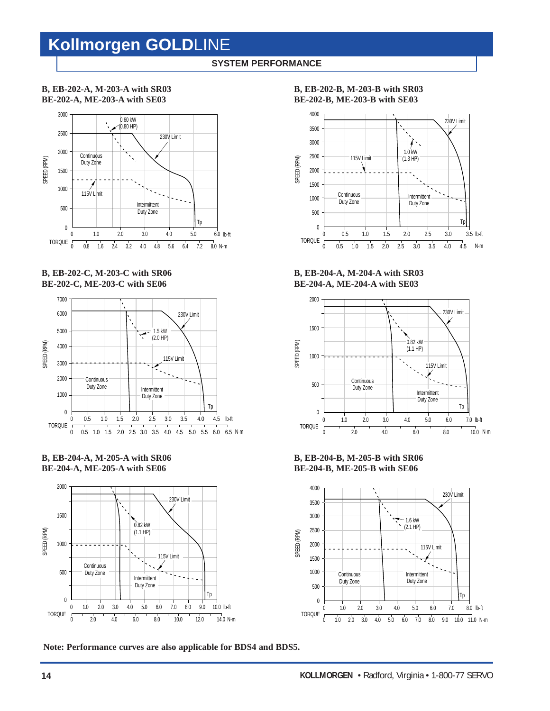### **SYSTEM PERFORMANCE**

**B, EB-202-A, M-203-A with SR03 BE-202-A, ME-203-A with SE03**



**B, EB-202-C, M-203-C with SR06 BE-202-C, ME-203-C with SE06**



**B, EB-204-A, M-205-A with SR06 BE-204-A, ME-205-A with SE06**



**Note: Performance curves are also applicable for BDS4 and BDS5.**

**B, EB-202-B, M-203-B with SR03**

**BE-202-B, ME-203-B with SE03**



**B, EB-204-A, M-204-A with SR03 BE-204-A, ME-204-A with SE03**



**B, EB-204-B, M-205-B with SR06 BE-204-B, ME-205-B with SE06**

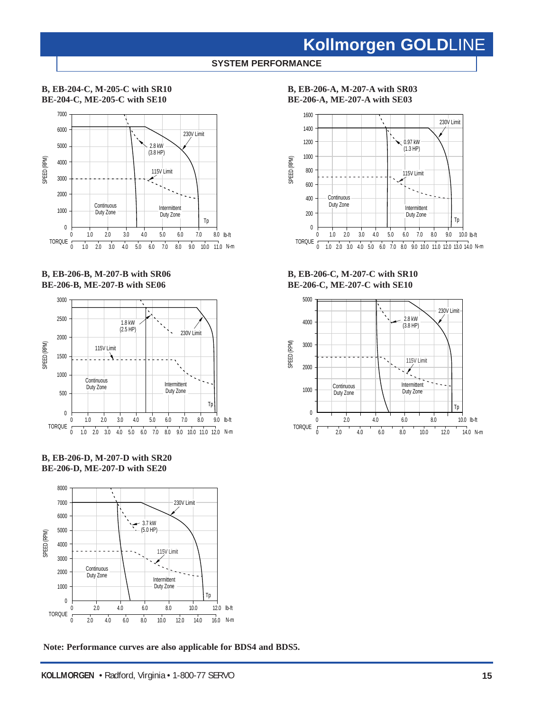### **SYSTEM PERFORMANCE**

### **B, EB-204-C, M-205-C with SR10 BE-204-C, ME-205-C with SE10**



### **B, EB-206-B, M-207-B with SR06 BE-206-B, ME-207-B with SE06**



**B, EB-206-D, M-207-D with SR20 BE-206-D, ME-207-D with SE20**



**Note: Performance curves are also applicable for BDS4 and BDS5.**

**B, EB-206-A, M-207-A with SR03 BE-206-A, ME-207-A with SE03**



**B, EB-206-C, M-207-C with SR10 BE-206-C, ME-207-C with SE10**

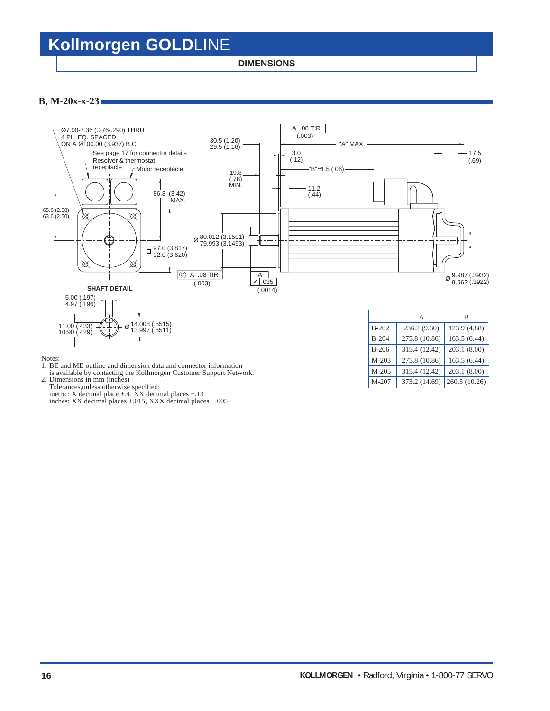**DIMENSIONS**

### **B, M-20x-x-23**



- 1. BE and ME outline and dimension data and connector information
- is available by contacting the Kollmorgen Customer Support Network.
- 2. Dimensions in mm (inches)

Tolerances,unless otherwise specified: metric: X decimal place  $\pm$ .4, XX decimal places  $\pm$ .13

inches: XX decimal places ±.015, XXX decimal places ±.005

M-205 315.4 (12.42) 203.1 (8.00) M-207 373.2 (14.69) 260.5 (10.26)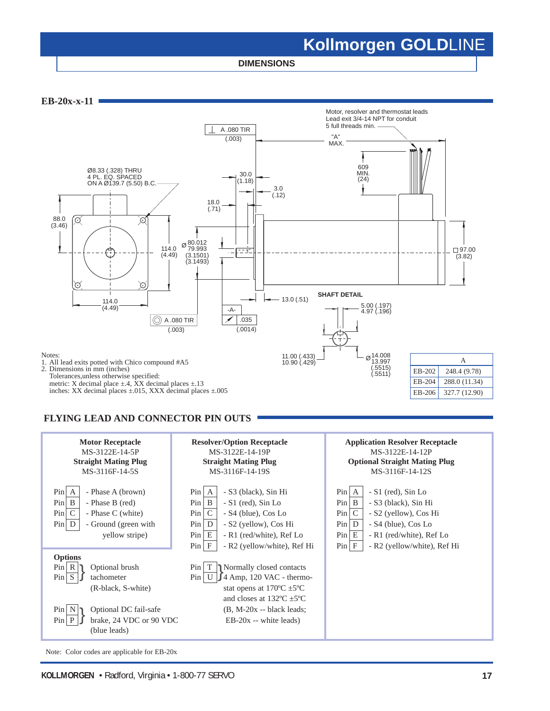**DIMENSIONS**



### **FLYING LEAD AND CONNECTOR PIN OUTS**



Note: Color codes are applicable for EB-20x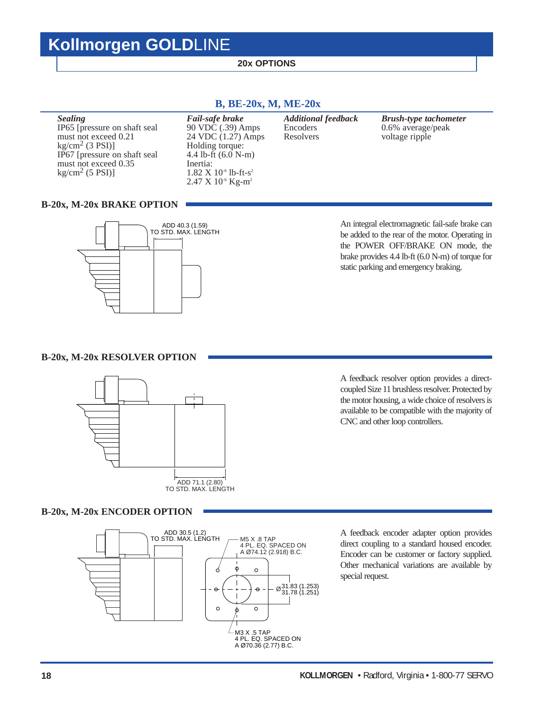### **20x OPTIONS**

### **Sealing** Fail-safe brake Additional feedback Brush-type tachometer<br>IP65 [pressure on shaft seal 90 VDC (.39) Amps Encoders 0.6% average/peak IP65 [pressure on shaft seal 90 VDC (.39) Amps Encoders 0.6% average/<br>must not exceed 0.21 24 VDC (1.27) Amps Resolvers voltage ripple 90 VDC (.39) Amps<br>24 VDC (1.27) Amps kg/cm<sup>2</sup> (3 PSI)] Holding torque:<br>IP67 [pressure on shaft seal  $4.4$  lb-ft (6.0 N-m) IP67 [pressure on shaft seal 4.4 lb-f must not exceed 0.35 Inertia: must not exceed  $0.35$ <br>kg/cm<sup>2</sup> (5 PSI)] 1.82 X 10<sup>-6</sup> lb-ft-s<sup>2</sup> 2.47 X 10<sup>-6</sup> Kg-m<sup>2</sup>

### **B, BE-20x, M, ME-20x**

### **B-20x, M-20x BRAKE OPTION**



An integral electromagnetic fail-safe brake can be added to the rear of the motor. Operating in the POWER OFF/BRAKE ON mode, the brake provides 4.4 lb-ft (6.0 N-m) of torque for static parking and emergency braking.

### **B-20x, M-20x RESOLVER OPTION**



A feedback resolver option provides a directcoupled Size 11 brushless resolver. Protected by the motor housing, a wide choice of resolvers is available to be compatible with the majority of CNC and other loop controllers.

### **B-20x, M-20x ENCODER OPTION**



A feedback encoder adapter option provides direct coupling to a standard housed encoder. Encoder can be customer or factory supplied. Other mechanical variations are available by special request.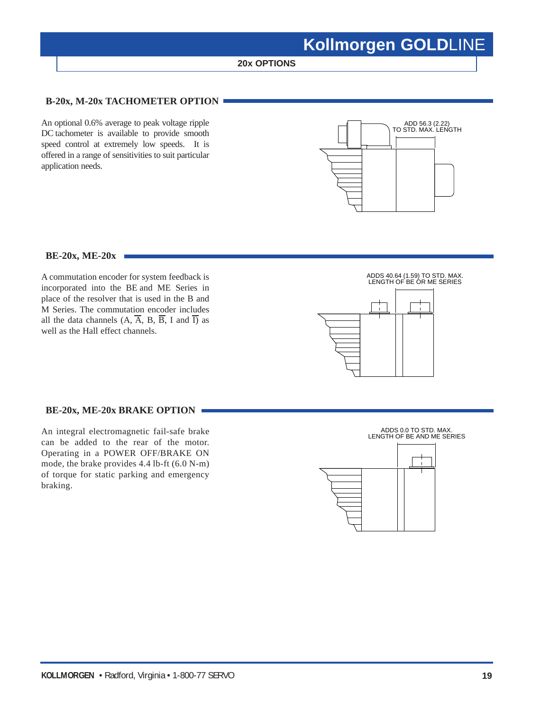**20x OPTIONS**

### **B-20x, M-20x TACHOMETER OPTION**

An optional 0.6% average to peak voltage ripple DC tachometer is available to provide smooth speed control at extremely low speeds. It is offered in a range of sensitivities to suit particular application needs.



#### **BE-20x, ME-20x**

A commutation encoder for system feedback is incorporated into the BE and ME Series in place of the resolver that is used in the B and M Series. The commutation encoder includes all the data channels  $(A, \overline{A}, B, \overline{B}, I \text{ and } \overline{I})$  as well as the Hall effect channels.



### **BE-20x, ME-20x BRAKE OPTION**

An integral electromagnetic fail-safe brake can be added to the rear of the motor. Operating in a POWER OFF/BRAKE ON mode, the brake provides 4.4 lb-ft (6.0 N-m) of torque for static parking and emergency braking.

ADDS 0.0 TO STD. MAX. LENGTH OF BE AND ME SERIES

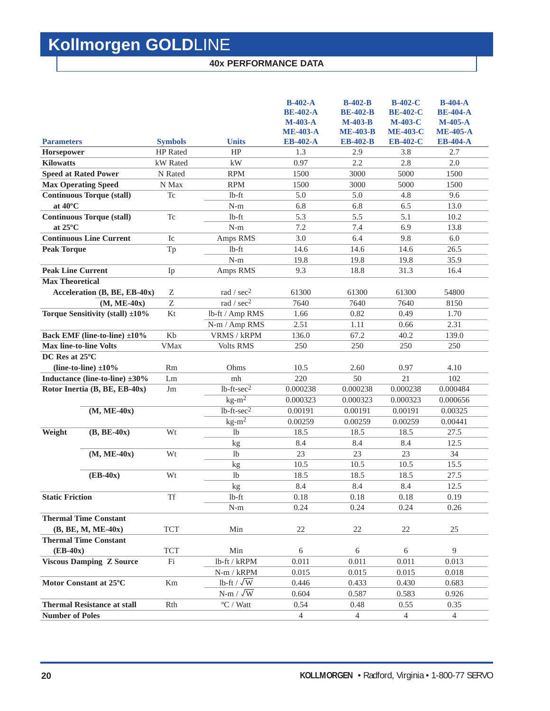### **40x PERFORMANCE DATA**

|                                      |                 |                           | $B-402-A$<br><b>BE-402-A</b><br>$M-403-A$<br><b>ME-403-A</b> | $B-402-B$<br><b>BE-402-B</b><br>$M-403-B$<br><b>ME-403-B</b> | <b>B-402-C</b><br><b>BE-402-C</b><br>$M-403-C$<br><b>ME-403-C</b> | $B-404-A$<br><b>BE-404-A</b><br>$M-405-A$<br><b>ME-405-A</b> |
|--------------------------------------|-----------------|---------------------------|--------------------------------------------------------------|--------------------------------------------------------------|-------------------------------------------------------------------|--------------------------------------------------------------|
| <b>Parameters</b>                    | <b>Symbols</b>  | <b>Units</b>              | <b>EB-402-A</b>                                              | <b>EB-402-B</b>                                              | <b>EB-402-C</b>                                                   | <b>EB-404-A</b>                                              |
| Horsepower                           | <b>HP</b> Rated | HP                        | 1.3                                                          | 2.9                                                          | 3.8                                                               | 2.7                                                          |
| <b>Kilowatts</b>                     | kW Rated        | kW                        | 0.97                                                         | 2.2                                                          | 2.8                                                               | 2.0                                                          |
| <b>Speed at Rated Power</b>          | N Rated         | <b>RPM</b>                | 1500                                                         | 3000                                                         | 5000                                                              | 1500                                                         |
| <b>Max Operating Speed</b>           | N Max           | <b>RPM</b>                | 1500                                                         | 3000                                                         | 5000                                                              | 1500                                                         |
| <b>Continuous Torque (stall)</b>     | <b>Tc</b>       | $lb$ -ft                  | 5.0                                                          | 5.0                                                          | 4.8                                                               | 9.6                                                          |
| at $40^{\circ}$ C                    |                 | $N-m$                     | 6.8                                                          | 6.8                                                          | 6.5                                                               | 13.0                                                         |
| <b>Continuous Torque (stall)</b>     | T <sub>c</sub>  | $lb$ -ft                  | 5.3                                                          | 5.5                                                          | 5.1                                                               | 10.2                                                         |
| at $25^{\circ}$ C                    |                 | $N-m$                     | 7.2                                                          | 7.4                                                          | 6.9                                                               | 13.8                                                         |
| <b>Continuous Line Current</b>       | Ic              | Amps RMS                  | 3.0                                                          | 6.4                                                          | 9.8                                                               | 6.0                                                          |
| <b>Peak Torque</b>                   | Tp              | $1b-ft$                   | 14.6                                                         | 14.6                                                         | 14.6                                                              | 26.5                                                         |
|                                      |                 | $N-m$                     | 19.8                                                         | 19.8                                                         | 19.8                                                              | 35.9                                                         |
| <b>Peak Line Current</b>             | Ip              | Amps RMS                  | 9.3                                                          | 18.8                                                         | 31.3                                                              | 16.4                                                         |
| <b>Max Theoretical</b>               |                 |                           |                                                              |                                                              |                                                                   |                                                              |
| Acceleration (B, BE, EB-40x)         | Ζ               | rad / $sec2$              | 61300                                                        | 61300                                                        | 61300                                                             | 54800                                                        |
| $(M, ME-40x)$                        | Z               | rad / sec <sup>2</sup>    | 7640                                                         | 7640                                                         | 7640                                                              | 8150                                                         |
| Torque Sensitivity (stall) ±10%      | Kt              | lb-ft / Amp RMS           | 1.66                                                         | 0.82                                                         | 0.49                                                              | 1.70                                                         |
|                                      |                 | N-m / Amp RMS             | 2.51                                                         | 1.11                                                         | 0.66                                                              | 2.31                                                         |
| Back EMF (line-to-line) ±10%         | Kb              | VRMS / kRPM               | 136.0                                                        | 67.2                                                         | 40.2                                                              | 139.0                                                        |
| <b>Max line-to-line Volts</b>        | <b>VMax</b>     | <b>Volts RMS</b>          | 250                                                          | 250                                                          | 250                                                               | 250                                                          |
| DC Res at 25°C                       |                 |                           |                                                              |                                                              |                                                                   |                                                              |
| (line-to-line) $\pm 10\%$            | <b>Rm</b>       | Ohms                      | 10.5                                                         | 2.60                                                         | 0.97                                                              | 4.10                                                         |
| Inductance (line-to-line) $\pm 30\%$ | Lm              | mh                        | 220                                                          | 50                                                           | 21                                                                | 102                                                          |
| Rotor Inertia (B, BE, EB-40x)        | Jm              | $1b$ -ft- $sec2$          | 0.000238                                                     | 0.000238                                                     | 0.000238                                                          | 0.000484                                                     |
|                                      |                 | $kg-m^2$                  | 0.000323                                                     | 0.000323                                                     | 0.000323                                                          | 0.000656                                                     |
| $(M, ME-40x)$                        |                 | $1b$ -ft-sec <sup>2</sup> | 0.00191                                                      | 0.00191                                                      | 0.00191                                                           | 0.00325                                                      |
|                                      |                 | $kg-m2$                   | 0.00259                                                      | 0.00259                                                      | 0.00259                                                           | 0.00441                                                      |
| $(B, BE-40x)$<br>Weight              | Wt              | lb                        | 18.5                                                         | 18.5                                                         | 18.5                                                              | 27.5                                                         |
|                                      |                 | kg                        | 8.4                                                          | 8.4                                                          | 8.4                                                               | 12.5                                                         |
| $(M, ME-40x)$                        | Wt              | lb                        | 23                                                           | 23                                                           | 23                                                                | 34                                                           |
|                                      |                 | kg                        | 10.5                                                         | 10.5                                                         | 10.5                                                              | 15.5                                                         |
| $(EB-40x)$                           | Wt              | 1 <sub>b</sub>            | 18.5                                                         | 18.5                                                         | 18.5                                                              | 27.5                                                         |
|                                      |                 | kg                        | 8.4                                                          | 8.4                                                          | 8.4                                                               | 12.5                                                         |
| <b>Static Friction</b>               | <b>Tf</b>       | $1b$ -ft                  | 0.18                                                         | 0.18                                                         | 0.18                                                              | 0.19                                                         |
|                                      |                 | $N-m$                     | 0.24                                                         | 0.24                                                         | 0.24                                                              | 0.26                                                         |
| <b>Thermal Time Constant</b>         |                 |                           |                                                              |                                                              |                                                                   |                                                              |
| $(B, BE, M, ME-40x)$                 | <b>TCT</b>      | Min                       | 22                                                           | 22                                                           | 22                                                                | 25                                                           |
| <b>Thermal Time Constant</b>         |                 |                           |                                                              |                                                              |                                                                   |                                                              |
| $(EB-40x)$                           | <b>TCT</b>      | Min                       | 6                                                            | 6                                                            | 6                                                                 | 9                                                            |
| <b>Viscous Damping Z Source</b>      | Fi              | lb-ft / kRPM              | 0.011                                                        | 0.011                                                        | 0.011                                                             | 0.013                                                        |
|                                      |                 | $N-m / kRPM$              | 0.015                                                        | 0.015                                                        | 0.015                                                             | 0.018                                                        |
| Motor Constant at 25°C               | Km              | lb-ft / $\sqrt{\text{W}}$ | 0.446                                                        | 0.433                                                        | 0.430                                                             | 0.683                                                        |
|                                      |                 | $N-m / \sqrt{W}$          | 0.604                                                        | 0.587                                                        | 0.583                                                             | 0.926                                                        |
| <b>Thermal Resistance at stall</b>   | Rth             | $\mathrm{^oC}$ / Watt     | 0.54                                                         | 0.48                                                         | 0.55                                                              | 0.35                                                         |
| <b>Number of Poles</b>               |                 |                           | 4                                                            | $\overline{4}$                                               | $\overline{4}$                                                    | 4                                                            |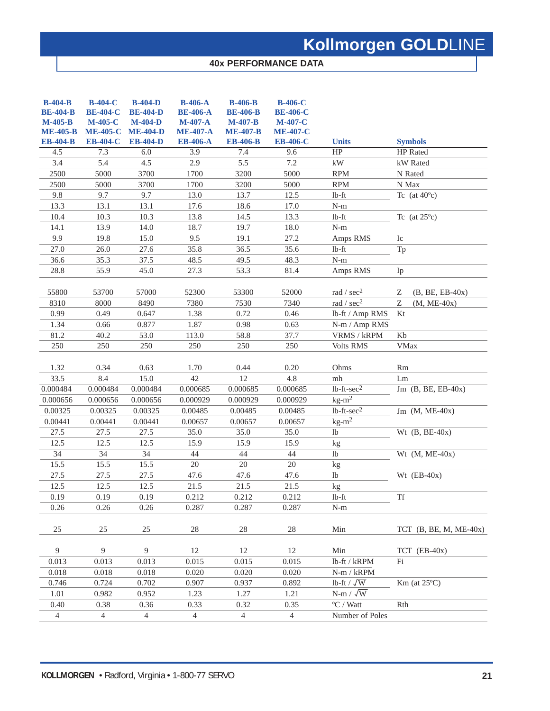### **40x PERFORMANCE DATA**

| $B-404-B$<br><b>BE-404-B</b><br>$M-405-B$<br><b>ME-405-B</b><br><b>EB-404-B</b> | <b>B-404-C</b><br><b>BE-404-C</b><br><b>M-405-C</b><br><b>ME-405-C</b><br><b>EB-404-C</b> | <b>B-404-D</b><br><b>BE-404-D</b><br>$M-404-D$<br><b>ME-404-D</b><br><b>EB-404-D</b> | <b>B-406-A</b><br><b>BE-406-A</b><br>$M-407-A$<br><b>ME-407-A</b><br><b>EB-406-A</b> | <b>B-406-B</b><br><b>BE-406-B</b><br>$M-407-B$<br><b>ME-407-B</b><br><b>EB-406-B</b> | <b>B-406-C</b><br><b>BE-406-C</b><br><b>M-407-C</b><br><b>ME-407-C</b><br><b>EB-406-C</b> | <b>Units</b>                   | <b>Symbols</b>           |
|---------------------------------------------------------------------------------|-------------------------------------------------------------------------------------------|--------------------------------------------------------------------------------------|--------------------------------------------------------------------------------------|--------------------------------------------------------------------------------------|-------------------------------------------------------------------------------------------|--------------------------------|--------------------------|
| 4.5                                                                             | 7.3                                                                                       | 6.0                                                                                  | 3.9                                                                                  | 7.4                                                                                  | 9.6                                                                                       | HP                             | <b>HP</b> Rated          |
| 3.4                                                                             | 5.4                                                                                       | 4.5                                                                                  | 2.9                                                                                  | 5.5                                                                                  | 7.2                                                                                       | kW                             | kW Rated                 |
| 2500                                                                            | 5000                                                                                      | 3700                                                                                 | 1700                                                                                 | 3200                                                                                 | 5000                                                                                      | <b>RPM</b>                     | N Rated                  |
| 2500                                                                            | 5000                                                                                      | 3700                                                                                 | 1700                                                                                 | 3200                                                                                 | 5000                                                                                      | <b>RPM</b>                     | N Max                    |
| 9.8                                                                             | 9.7                                                                                       | 9.7                                                                                  | 13.0                                                                                 | 13.7                                                                                 | 12.5                                                                                      | $lb$ -ft                       | Tc (at $40^{\circ}$ c)   |
| 13.3                                                                            | 13.1                                                                                      | 13.1                                                                                 | 17.6                                                                                 | 18.6                                                                                 | 17.0                                                                                      | $\mathbf{N}\text{-}\mathbf{m}$ |                          |
| 10.4                                                                            | 10.3                                                                                      | 10.3                                                                                 | 13.8                                                                                 | 14.5                                                                                 | 13.3                                                                                      | $lb$ -ft                       | Tc (at $25^{\circ}$ c)   |
| 14.1                                                                            | 13.9                                                                                      | 14.0                                                                                 | 18.7                                                                                 | 19.7                                                                                 | 18.0                                                                                      | $\mathbf{N}\text{-}\mathbf{m}$ |                          |
| 9.9                                                                             | 19.8                                                                                      | 15.0                                                                                 | 9.5                                                                                  | 19.1                                                                                 | 27.2                                                                                      | Amps RMS                       | Ic                       |
| 27.0                                                                            | 26.0                                                                                      | 27.6                                                                                 | 35.8                                                                                 | 36.5                                                                                 | 35.6                                                                                      | $lb$ -ft                       | Tp                       |
| 36.6                                                                            | 35.3                                                                                      | 37.5                                                                                 | 48.5                                                                                 | 49.5                                                                                 | 48.3                                                                                      | $\mathbf{N}\text{-}\mathbf{m}$ |                          |
| 28.8                                                                            | 55.9                                                                                      | 45.0                                                                                 | 27.3                                                                                 | 53.3                                                                                 | 81.4                                                                                      | Amps RMS                       | Ip                       |
| 55800                                                                           | 53700                                                                                     | 57000                                                                                | 52300                                                                                | 53300                                                                                | 52000                                                                                     | rad / sec <sup>2</sup>         | Ζ<br>$(B, BE, EB-40x)$   |
| 8310                                                                            | 8000                                                                                      | 8490                                                                                 | 7380                                                                                 | 7530                                                                                 | 7340                                                                                      | rad / sec <sup>2</sup>         | Z<br>$(M, ME-40x)$       |
| 0.99                                                                            | 0.49                                                                                      | 0.647                                                                                | 1.38                                                                                 | 0.72                                                                                 | 0.46                                                                                      | lb-ft / Amp RMS                | Kt                       |
| 1.34                                                                            | 0.66                                                                                      | 0.877                                                                                | 1.87                                                                                 | 0.98                                                                                 | 0.63                                                                                      | N-m / Amp RMS                  |                          |
| 81.2                                                                            | 40.2                                                                                      | 53.0                                                                                 | 113.0                                                                                | 58.8                                                                                 | 37.7                                                                                      | VRMS / kRPM                    | Kb                       |
| 250                                                                             | 250                                                                                       | 250                                                                                  | 250                                                                                  | 250                                                                                  | 250                                                                                       | Volts RMS                      | <b>VMax</b>              |
| 1.32<br>33.5                                                                    | 0.34<br>8.4                                                                               | 0.63<br>15.0                                                                         | 1.70<br>42                                                                           | 0.44<br>12                                                                           | 0.20<br>4.8                                                                               | Ohms<br>mh                     | Rm<br>Lm                 |
| 0.000484                                                                        | 0.000484                                                                                  | 0.000484                                                                             | 0.000685                                                                             | 0.000685                                                                             | 0.000685                                                                                  | $lb$ -ft- $sec2$               | Jm $(B, BE, EB-40x)$     |
| 0.000656                                                                        | 0.000656                                                                                  | 0.000656                                                                             | 0.000929                                                                             | 0.000929                                                                             | 0.000929                                                                                  | $kg-m^2$                       |                          |
| 0.00325                                                                         | 0.00325                                                                                   | 0.00325                                                                              | 0.00485                                                                              | 0.00485                                                                              | 0.00485                                                                                   | $lb$ -ft- $sec2$               | Jm $(M, ME-40x)$         |
| 0.00441                                                                         | 0.00441                                                                                   | 0.00441                                                                              | 0.00657                                                                              | 0.00657                                                                              | 0.00657                                                                                   | $kg-m2$                        |                          |
| 27.5                                                                            | 27.5                                                                                      | 27.5                                                                                 | 35.0                                                                                 | 35.0                                                                                 | 35.0                                                                                      | lb                             | Wt $(B, BE-40x)$         |
| 12.5                                                                            | 12.5                                                                                      | 12.5                                                                                 | 15.9                                                                                 | 15.9                                                                                 | 15.9                                                                                      | kg                             |                          |
| $\overline{34}$                                                                 | $\overline{34}$                                                                           | $\overline{34}$                                                                      | 44                                                                                   | 44                                                                                   | 44                                                                                        | $\overline{1}b$                | Wt $(M, ME-40x)$         |
| 15.5                                                                            | 15.5                                                                                      | 15.5                                                                                 | 20                                                                                   | 20                                                                                   | 20                                                                                        | kg                             |                          |
| 27.5                                                                            | 27.5                                                                                      | 27.5                                                                                 | 47.6                                                                                 | 47.6                                                                                 | 47.6                                                                                      | $\rm lb$                       | Wt $(EB-40x)$            |
| 12.5                                                                            | 12.5                                                                                      | 12.5                                                                                 | 21.5                                                                                 | 21.5                                                                                 | 21.5                                                                                      | kg                             |                          |
| 0.19                                                                            | 0.19                                                                                      | 0.19                                                                                 | 0.212                                                                                | 0.212                                                                                | 0.212                                                                                     | $lb$ -ft                       | <b>Tf</b>                |
| 0.26                                                                            | 0.26                                                                                      | 0.26                                                                                 | 0.287                                                                                | 0.287                                                                                | 0.287                                                                                     | $N-m$                          |                          |
|                                                                                 |                                                                                           |                                                                                      |                                                                                      |                                                                                      |                                                                                           |                                |                          |
| 25                                                                              | 25                                                                                        | $25\,$                                                                               | 28                                                                                   | 28                                                                                   | 28                                                                                        | Min                            | TCT $(B, BE, M, ME-40x)$ |
| 9                                                                               | 9                                                                                         | 9                                                                                    | 12                                                                                   | 12                                                                                   | $12\,$                                                                                    | Min                            | $TCT$ (EB-40x)           |
| 0.013                                                                           | 0.013                                                                                     | 0.013                                                                                | 0.015                                                                                | 0.015                                                                                | 0.015                                                                                     | lb-ft / kRPM                   | Fi                       |
| 0.018                                                                           | 0.018                                                                                     | 0.018                                                                                | 0.020                                                                                | 0.020                                                                                | 0.020                                                                                     | $N-m / kRPM$                   |                          |
| 0.746                                                                           | 0.724                                                                                     | 0.702                                                                                | 0.907                                                                                | 0.937                                                                                | 0.892                                                                                     | lb-ft / $\sqrt{W}$             | $Km$ (at $25^{\circ}$ C) |
| 1.01                                                                            | 0.982                                                                                     | 0.952                                                                                | 1.23                                                                                 | 1.27                                                                                 | 1.21                                                                                      | $N-m / \sqrt{W}$               |                          |
| 0.40                                                                            | 0.38                                                                                      | 0.36                                                                                 | 0.33                                                                                 | 0.32                                                                                 | 0.35                                                                                      | $\mathrm{^oC}$ / Watt          | Rth                      |
| $\overline{4}$                                                                  | $\overline{4}$                                                                            | $\overline{4}$                                                                       | $\overline{4}$                                                                       | $\overline{4}$                                                                       | $\overline{4}$                                                                            | Number of Poles                |                          |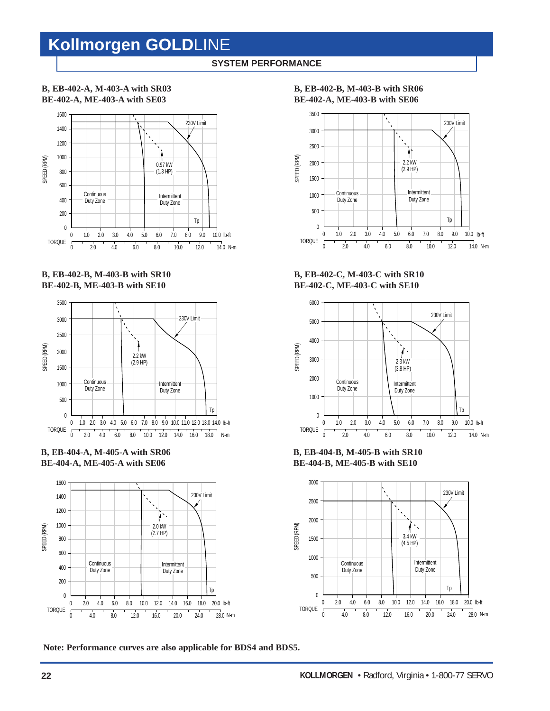### **SYSTEM PERFORMANCE**

### **B, EB-402-A, M-403-A with SR03 BE-402-A, ME-403-A with SE03**



### **B, EB-402-B, M-403-B with SR10 BE-402-B, ME-403-B with SE10**



**B, EB-404-A, M-405-A with SR06 BE-404-A, ME-405-A with SE06**



**Note: Performance curves are also applicable for BDS4 and BDS5.**

### **B, EB-402-B, M-403-B with SR06 BE-402-A, ME-403-B with SE06**



**B, EB-402-C, M-403-C with SR10 BE-402-C, ME-403-C with SE10**



**B, EB-404-B, M-405-B with SR10 BE-404-B, ME-405-B with SE10**

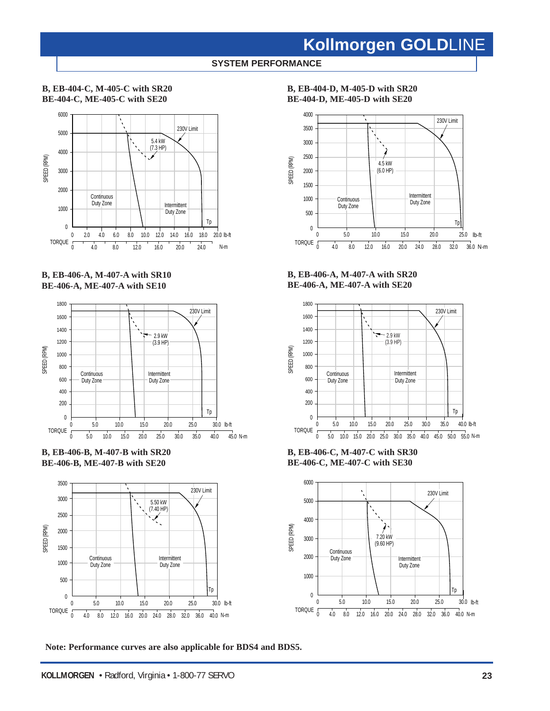### **SYSTEM PERFORMANCE**

### **B, EB-404-C, M-405-C with SR20 BE-404-C, ME-405-C with SE20**



**B, EB-406-A, M-407-A with SR10 BE-406-A, ME-407-A with SE10**



**B, EB-406-B, M-407-B with SR20 BE-406-B, ME-407-B with SE20**



**B, EB-404-D, M-405-D with SR20 BE-404-D, ME-405-D with SE20**



**B, EB-406-A, M-407-A with SR20 BE-406-A, ME-407-A with SE20**



**B, EB-406-C, M-407-C with SR30 BE-406-C, ME-407-C with SE30**



**Note: Performance curves are also applicable for BDS4 and BDS5.**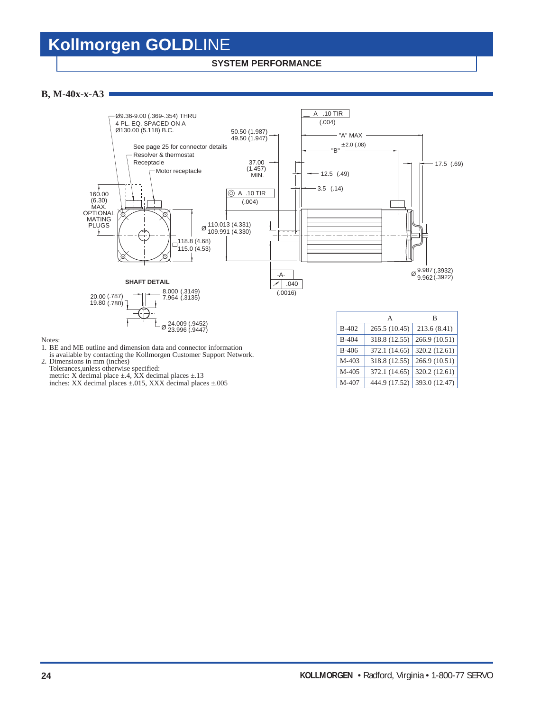### **SYSTEM PERFORMANCE**

### **B, M-40x-x-A3**



- is available by contacting the Kollmorgen Customer Support Network.
- 2. Dimensions in mm (inches) Tolerances,unless otherwise specified:

Notes:

metric: X decimal place  $\pm$ .4, XX decimal places  $\pm$ .13 inches: XX decimal places ±.015, XXX decimal places ±.005

|              | А             | B             |
|--------------|---------------|---------------|
| <b>B-402</b> | 265.5 (10.45) | 213.6 (8.41)  |
| <b>B-404</b> | 318.8 (12.55) | 266.9 (10.51) |
| <b>B-406</b> | 372.1 (14.65) | 320.2 (12.61) |
| $M-403$      | 318.8 (12.55) | 266.9 (10.51) |
| M-405        | 372.1 (14.65) | 320.2 (12.61) |
| M-407        | 444.9 (17.52) | 393.0 (12.47) |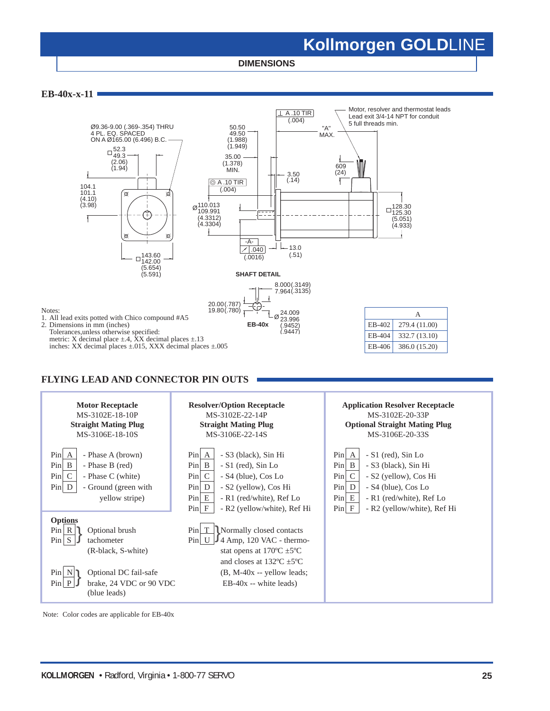**DIMENSIONS**

**EB-40x-x-11**

Notes:



**FLYING LEAD AND CONNECTOR PIN OUTS**



Note: Color codes are applicable for EB-40x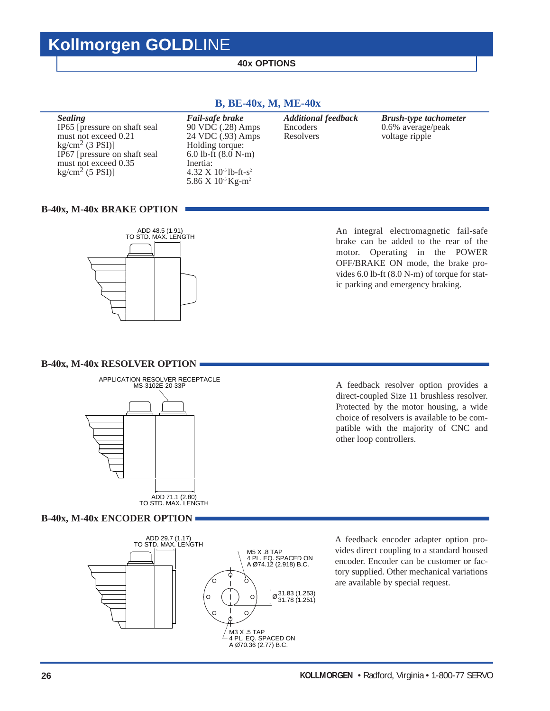### **40x OPTIONS**

**Sealing** Fail-safe brake Additional feedback Brush-type tachometer<br>IP65 [pressure on shaft seal 90 VDC (.28) Amps Encoders 0.6% average/peak IP65 [pressure on shaft seal 90 VDC (.28) Amps Encoders 0.6% average/peak must not exceed 0.21 24 VDC (.93) Amps Resolvers voltage ripple kg/cm<sup>2</sup> (3 PSI)] Holding torque: kg/cm<sup>2</sup> (3 PSI)] Holding torque:<br>IP67 [pressure on shaft seal 6.0 lb-ft (8.0 N-m) IP67 [pressure on shaft seal 6.0 lb-ft must not exceed 0.35 Inertia: must not exceed 0.35  $\text{kg/cm}^2$  (5 PSI)] 4.32  $X$  10<sup>-5</sup> lb-ft-s<sup>2</sup> 5.86 X 10<sup>-5</sup> Kg-m<sup>2</sup>

### **B, BE-40x, M, ME-40x**

### **B-40x, M-40x BRAKE OPTION**



An integral electromagnetic fail-safe brake can be added to the rear of the motor. Operating in the POWER OFF/BRAKE ON mode, the brake provides 6.0 lb-ft (8.0 N-m) of torque for static parking and emergency braking.

#### **B-40x, M-40x RESOLVER OPTION**



A feedback resolver option provides a direct-coupled Size 11 brushless resolver. Protected by the motor housing, a wide choice of resolvers is available to be compatible with the majority of CNC and other loop controllers.

### **B-40x, M-40x ENCODER OPTION**



A feedback encoder adapter option provides direct coupling to a standard housed encoder. Encoder can be customer or factory supplied. Other mechanical variations are available by special request.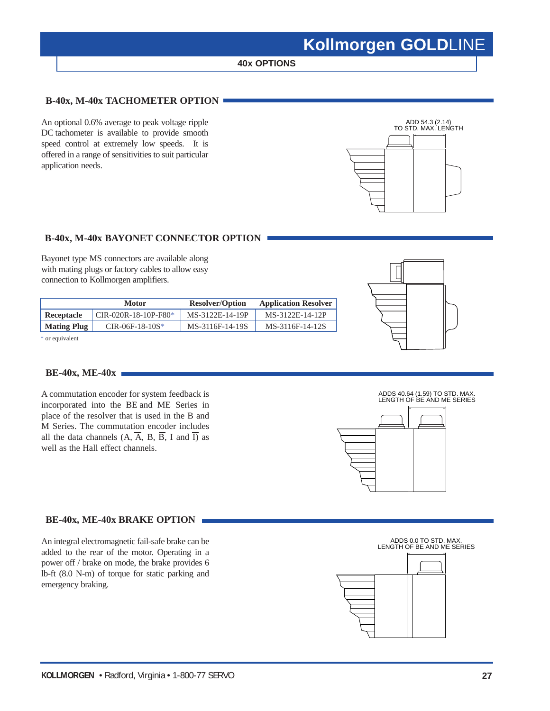### **40x OPTIONS**

### **B-40x, M-40x TACHOMETER OPTION**

An optional 0.6% average to peak voltage ripple DC tachometer is available to provide smooth speed control at extremely low speeds. It is offered in a range of sensitivities to suit particular application needs.



### **B-40x, M-40x BAYONET CONNECTOR OPTION**

Bayonet type MS connectors are available along with mating plugs or factory cables to allow easy connection to Kollmorgen amplifiers.

|                    | <b>Motor</b>           | <b>Resolver/Option</b> | <b>Application Resolver</b> |
|--------------------|------------------------|------------------------|-----------------------------|
| Receptacle         | $CIR-020R-18-10P-F80*$ | MS-3122E-14-19P        | MS-3122E-14-12P             |
| <b>Mating Plug</b> | $CIR-06F-18-10S*$      | MS-3116F-14-19S        | MS-3116F-14-12S             |

\* or equivalent

### **BE-40x, ME-40x**

A commutation encoder for system feedback is incorporated into the BE and ME Series in place of the resolver that is used in the B and M Series. The commutation encoder includes all the data channels  $(A, \overline{A}, B, \overline{B}, I \text{ and } \overline{I})$  as well as the Hall effect channels.

### **BE-40x, ME-40x BRAKE OPTION**

An integral electromagnetic fail-safe brake can be added to the rear of the motor. Operating in a power off / brake on mode, the brake provides 6 lb-ft (8.0 N-m) of torque for static parking and emergency braking.





ADDS 0.0 TO STD. MAX. LENGTH OF BE AND ME SERIES

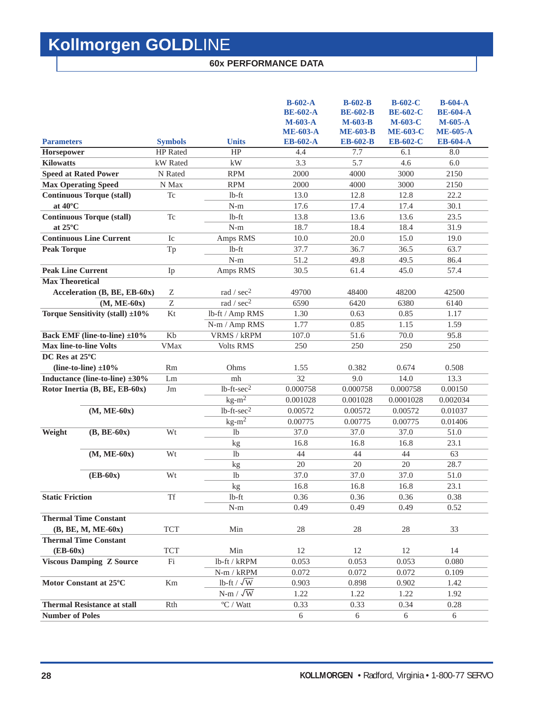### **60x PERFORMANCE DATA**

| $B-602-A$<br>$B-602-B$<br>$B-602-C$<br><b>BE-602-A</b><br><b>BE-602-C</b><br><b>BE-602-B</b><br>$M-603-A$<br><b>M-603-B</b><br>$M-603-C$<br><b>ME-603-A</b><br><b>ME-603-B</b><br><b>ME-603-C</b> | $B-604-A$<br><b>BE-604-A</b><br>$M-605-A$<br><b>ME-605-A</b> |
|---------------------------------------------------------------------------------------------------------------------------------------------------------------------------------------------------|--------------------------------------------------------------|
| <b>Symbols</b><br><b>EB-602-A</b><br><b>EB-602-B</b><br><b>EB-602-C</b><br><b>Parameters</b><br><b>Units</b>                                                                                      | <b>EB-604-A</b>                                              |
| <b>Horsepower</b><br><b>HP</b> Rated<br>HP<br>7.7<br>6.1<br>4.4                                                                                                                                   | 8.0                                                          |
| 3.3<br>5.7<br><b>Kilowatts</b><br>kW Rated<br>kW<br>4.6                                                                                                                                           | 6.0                                                          |
| <b>Speed at Rated Power</b><br>N Rated<br><b>RPM</b><br>2000<br>4000<br>3000                                                                                                                      | 2150                                                         |
| <b>Max Operating Speed</b><br>N Max<br><b>RPM</b><br>2000<br>4000<br>3000                                                                                                                         | 2150                                                         |
| <b>Continuous Torque (stall)</b><br>12.8<br>12.8<br>Tc<br>$lb$ -ft<br>13.0                                                                                                                        | 22.2                                                         |
| at $40^{\circ}$ C<br>$N-m$<br>17.6<br>17.4<br>17.4                                                                                                                                                | 30.1                                                         |
| <b>Continuous Torque (stall)</b><br><b>Tc</b><br>lb-ft<br>13.8<br>13.6<br>13.6                                                                                                                    | 23.5                                                         |
| at $25^{\circ}$ C<br>$N-m$<br>18.7<br>18.4<br>18.4                                                                                                                                                | 31.9                                                         |
| <b>Continuous Line Current</b><br>Ic<br>Amps RMS<br>10.0<br>20.0<br>15.0                                                                                                                          | 19.0                                                         |
| $1b-ft$<br>37.7<br><b>Peak Torque</b><br>Tp<br>36.7<br>36.5                                                                                                                                       | 63.7                                                         |
| $N-m$<br>51.2<br>49.8<br>49.5                                                                                                                                                                     | 86.4                                                         |
| <b>Peak Line Current</b><br>Amps RMS<br>30.5<br>61.4<br>45.0<br>Ip                                                                                                                                | 57.4                                                         |
| <b>Max Theoretical</b><br>rad / $sec2$<br>Acceleration (B, BE, EB-60x)<br>Ζ<br>49700<br>48400<br>48200                                                                                            | 42500                                                        |
| Z<br>rad / sec <sup>2</sup><br>6590<br>$(M, ME-60x)$<br>6420<br>6380                                                                                                                              | 6140                                                         |
| Torque Sensitivity (stall) ±10%<br>Kt<br>lb-ft / Amp RMS<br>1.30<br>0.63<br>0.85                                                                                                                  | 1.17                                                         |
| N-m / Amp RMS<br>1.77<br>0.85<br>1.15                                                                                                                                                             | 1.59                                                         |
| Back EMF (line-to-line) ±10%<br>Kb<br>VRMS / kRPM<br>107.0<br>51.6<br>70.0                                                                                                                        | 95.8                                                         |
| <b>Max line-to-line Volts</b><br><b>VMax</b><br><b>Volts RMS</b><br>250<br>250<br>250                                                                                                             | 250                                                          |
| DC Res at 25°C                                                                                                                                                                                    |                                                              |
| (line-to-line) $\pm 10\%$<br><b>Rm</b><br>Ohms<br>1.55<br>0.382<br>0.674                                                                                                                          | 0.508                                                        |
| 32<br>Inductance (line-to-line) ±30%<br>9.0<br>14.0<br>Lm<br>mh                                                                                                                                   | 13.3                                                         |
| $1b$ -ft- $sec2$<br>Rotor Inertia (B, BE, EB-60x)<br>0.000758<br>0.000758<br>0.000758<br>Jm                                                                                                       | 0.00150                                                      |
| $kg-m^2$<br>0.001028<br>0.001028<br>0.0001028                                                                                                                                                     | 0.002034                                                     |
| $1b$ -ft-sec <sup>2</sup><br>$(M, ME-60x)$<br>0.00572<br>0.00572<br>0.00572                                                                                                                       | 0.01037                                                      |
| $kg-m^2$<br>0.00775<br>0.00775<br>0.00775                                                                                                                                                         | 0.01406                                                      |
| $(B, BE-60x)$<br>Wt<br>1 <sub>b</sub><br>37.0<br>Weight<br>37.0<br>37.0                                                                                                                           | 51.0                                                         |
| 16.8<br>16.8<br>16.8<br>kg                                                                                                                                                                        | 23.1                                                         |
| $(M, ME-60x)$<br>Wt<br>1 <sub>b</sub><br>44<br>44<br>44                                                                                                                                           |                                                              |
| 20<br>20<br>20<br>kg                                                                                                                                                                              |                                                              |
| $(EB-60x)$<br>Wt<br>37.0<br>1 <sub>b</sub><br>37.0<br>37.0                                                                                                                                        | 63                                                           |
|                                                                                                                                                                                                   | 28.7<br>51.0                                                 |
| 16.8                                                                                                                                                                                              |                                                              |
| 16.8<br>16.8<br>kg<br><b>Static Friction</b>                                                                                                                                                      | 23.1                                                         |
| <b>Tf</b><br>$lb$ -ft<br>0.36<br>0.36<br>0.36                                                                                                                                                     | 0.38                                                         |
| $N-m$<br>0.49<br>0.49<br>0.49                                                                                                                                                                     | 0.52                                                         |
| <b>Thermal Time Constant</b>                                                                                                                                                                      |                                                              |
| <b>TCT</b><br>28<br>28<br>$(B, BE, M, ME-60x)$<br>Min<br>28<br><b>Thermal Time Constant</b>                                                                                                       | 33                                                           |
| $(EB-60x)$<br>12<br>12<br>12                                                                                                                                                                      | 14                                                           |
| <b>TCT</b><br>Min<br><b>Viscous Damping Z Source</b><br>Fi<br>0.053<br>0.053<br>0.053                                                                                                             | 0.080                                                        |
| lb-ft / kRPM<br>0.072<br>0.072<br>0.072                                                                                                                                                           | 0.109                                                        |
| $N-m / kRPM$<br>Motor Constant at 25°C<br>0.898                                                                                                                                                   |                                                              |
| lb-ft / $\sqrt{\text{W}}$<br>Km<br>0.903<br>0.902                                                                                                                                                 | 1.42                                                         |
| $N-m / \sqrt{W}$<br>1.22<br>1.22<br>1.22<br>$\mathrm{^oC}$ / Watt<br><b>Thermal Resistance at stall</b><br>Rth<br>0.33<br>0.33<br>0.34                                                            | 1.92<br>0.28                                                 |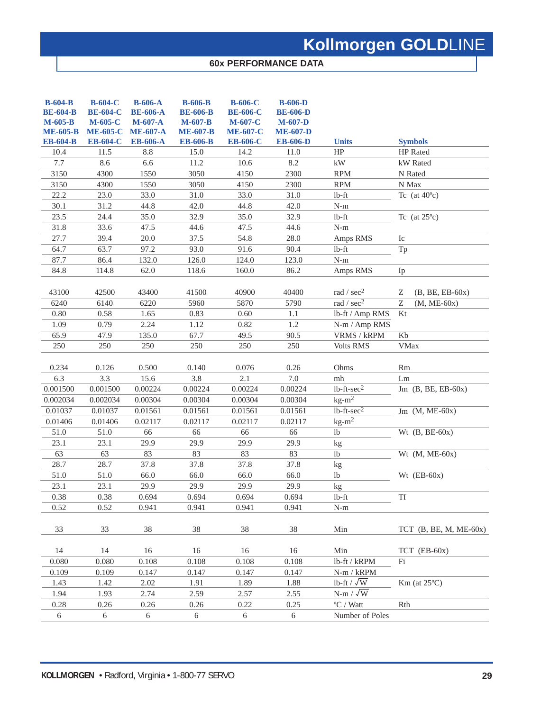### **60x PERFORMANCE DATA**

| $B-604-B$<br><b>BE-604-B</b><br>$M-605-B$<br><b>ME-605-B</b><br><b>EB-604-B</b> | <b>B-604-C</b><br><b>BE-604-C</b><br>M-605-C<br><b>ME-605-C</b><br><b>EB-604-C</b> | <b>B-606-A</b><br><b>BE-606-A</b><br>$M-607-A$<br><b>ME-607-A</b><br><b>EB-606-A</b> | <b>B-606-B</b><br><b>BE-606-B</b><br>$M-607-B$<br><b>ME-607-B</b><br><b>EB-606-B</b> | <b>B-606-C</b><br><b>BE-606-C</b><br>M-607-C<br><b>ME-607-C</b><br><b>EB-606-C</b> | $B-606-D$<br><b>BE-606-D</b><br>$M-607-D$<br><b>ME-607-D</b><br><b>EB-606-D</b> | <b>Units</b>                   | <b>Symbols</b>                  |
|---------------------------------------------------------------------------------|------------------------------------------------------------------------------------|--------------------------------------------------------------------------------------|--------------------------------------------------------------------------------------|------------------------------------------------------------------------------------|---------------------------------------------------------------------------------|--------------------------------|---------------------------------|
| 10.4                                                                            | 11.5                                                                               | 8.8                                                                                  | 15.0                                                                                 | 14.2                                                                               | 11.0                                                                            | HP                             | HP Rated                        |
| 7.7                                                                             | 8.6                                                                                | 6.6                                                                                  | 11.2                                                                                 | 10.6                                                                               | 8.2                                                                             | $\mathbf{k}\mathbf{W}$         | kW Rated                        |
| 3150                                                                            | 4300                                                                               | 1550                                                                                 | 3050                                                                                 | 4150                                                                               | 2300                                                                            | <b>RPM</b>                     | N Rated                         |
| 3150                                                                            | 4300                                                                               | 1550                                                                                 | 3050                                                                                 | 4150                                                                               | 2300                                                                            | <b>RPM</b>                     | N Max                           |
| 22.2                                                                            | 23.0                                                                               | 33.0                                                                                 | 31.0                                                                                 | 33.0                                                                               | 31.0                                                                            | $lb$ -ft                       | Tc (at $40^{\circ}$ c)          |
| 30.1                                                                            | 31.2                                                                               | 44.8                                                                                 | 42.0                                                                                 | 44.8                                                                               | 42.0                                                                            | $N-m$                          |                                 |
| 23.5                                                                            | 24.4                                                                               | 35.0                                                                                 | 32.9                                                                                 | 35.0                                                                               | 32.9                                                                            | $lb$ -ft                       | Tc (at $25^{\circ}$ c)          |
| 31.8                                                                            | 33.6                                                                               | 47.5                                                                                 | 44.6                                                                                 | 47.5                                                                               | 44.6                                                                            | $\mathbf{N}\text{-}\mathbf{m}$ |                                 |
| 27.7                                                                            | 39.4                                                                               | 20.0                                                                                 | 37.5                                                                                 | 54.8                                                                               | 28.0                                                                            | Amps RMS                       | ${\rm Ic}$                      |
| 64.7                                                                            | 63.7                                                                               | 97.2                                                                                 | 93.0                                                                                 | 91.6                                                                               | 90.4                                                                            | $lb$ -ft                       | Tp                              |
| 87.7                                                                            | 86.4                                                                               | 132.0                                                                                | 126.0                                                                                | 124.0                                                                              | 123.0                                                                           | $N-m$                          |                                 |
| 84.8                                                                            | 114.8                                                                              | 62.0                                                                                 | 118.6                                                                                | 160.0                                                                              | 86.2                                                                            | Amps RMS                       | Ip                              |
| 43100                                                                           | 42500                                                                              | 43400                                                                                | 41500                                                                                | 40900                                                                              | 40400                                                                           | rad / $sec2$                   | $(B, BE, EB-60x)$<br>Ζ          |
| 6240                                                                            | 6140                                                                               | 6220                                                                                 | 5960                                                                                 | 5870                                                                               | 5790                                                                            | rad / $sec2$                   | $\overline{z}$<br>$(M, ME-60x)$ |
| $0.80\,$                                                                        | 0.58                                                                               | 1.65                                                                                 | 0.83                                                                                 | 0.60                                                                               | 1.1                                                                             | lb-ft / Amp RMS                | Kt                              |
| 1.09                                                                            | 0.79                                                                               | 2.24                                                                                 | 1.12                                                                                 | 0.82                                                                               | 1.2                                                                             | N-m / Amp RMS                  |                                 |
| 65.9                                                                            | 47.9                                                                               | 135.0                                                                                | 67.7                                                                                 | 49.5                                                                               | 90.5                                                                            | VRMS / kRPM                    | Kb                              |
| 250                                                                             | 250                                                                                | 250                                                                                  | 250                                                                                  | 250                                                                                | 250                                                                             | <b>Volts RMS</b>               | <b>VMax</b>                     |
| 0.234<br>6.3                                                                    | 0.126<br>3.3                                                                       | 0.500<br>15.6                                                                        | 0.140<br>3.8                                                                         | 0.076                                                                              | 0.26<br>$7.0\,$                                                                 | Ohms<br>mh                     | Rm<br>Lm                        |
|                                                                                 | 0.001500                                                                           |                                                                                      | 0.00224                                                                              | 2.1<br>0.00224                                                                     |                                                                                 | $lb$ -ft- $sec2$               |                                 |
| 0.001500                                                                        | 0.002034                                                                           | 0.00224                                                                              |                                                                                      | 0.00304                                                                            | 0.00224                                                                         | $kg-m^2$                       | Jm $(B, BE, EB-60x)$            |
| 0.002034<br>0.01037                                                             | 0.01037                                                                            | 0.00304<br>0.01561                                                                   | 0.00304<br>0.01561                                                                   | 0.01561                                                                            | 0.00304<br>0.01561                                                              | $lb$ -ft-sec $2$               |                                 |
| 0.01406                                                                         |                                                                                    | 0.02117                                                                              | 0.02117                                                                              | 0.02117                                                                            | 0.02117                                                                         | $kg-m^2$                       | Jm $(M, ME-60x)$                |
| 51.0                                                                            | 0.01406<br>51.0                                                                    | 66                                                                                   | $\overline{66}$                                                                      | 66                                                                                 | 66                                                                              | lb                             | Wt $(B, BE-60x)$                |
| 23.1                                                                            |                                                                                    |                                                                                      |                                                                                      |                                                                                    |                                                                                 |                                |                                 |
| $\overline{63}$                                                                 | 23.1<br>63                                                                         | 29.9<br>83                                                                           | 29.9<br>83                                                                           | 29.9<br>83                                                                         | 29.9<br>83                                                                      | kg<br>1 <sub>b</sub>           | Wt $(M, ME-60x)$                |
| 28.7                                                                            | 28.7                                                                               | 37.8                                                                                 | 37.8                                                                                 | 37.8                                                                               | 37.8                                                                            |                                |                                 |
| 51.0                                                                            | 51.0                                                                               | 66.0                                                                                 | 66.0                                                                                 | 66.0                                                                               | 66.0                                                                            | kg<br>1 <sub>b</sub>           | Wt $(EB-60x)$                   |
| 23.1                                                                            | 23.1                                                                               | 29.9                                                                                 | 29.9                                                                                 | 29.9                                                                               | 29.9                                                                            |                                |                                 |
| 0.38                                                                            | 0.38                                                                               | 0.694                                                                                | 0.694                                                                                | 0.694                                                                              | 0.694                                                                           | kg<br>$lb$ -ft                 | <b>Tf</b>                       |
| 0.52                                                                            | 0.52                                                                               | 0.941                                                                                | 0.941                                                                                | 0.941                                                                              | 0.941                                                                           | $N-m$                          |                                 |
|                                                                                 |                                                                                    |                                                                                      |                                                                                      |                                                                                    |                                                                                 |                                |                                 |
| 33                                                                              | 33                                                                                 | 38                                                                                   | 38                                                                                   | 38                                                                                 | 38                                                                              | Min                            | TCT $(B, BE, M, ME-60x)$        |
| 14                                                                              | 14                                                                                 | 16                                                                                   | 16                                                                                   | 16                                                                                 | 16                                                                              | Min                            | $TCT$ (EB-60x)                  |
| 0.080                                                                           | 0.080                                                                              | 0.108                                                                                | 0.108                                                                                | 0.108                                                                              | 0.108                                                                           | lb-ft / kRPM                   | Fi                              |
| 0.109                                                                           | 0.109                                                                              | 0.147                                                                                | 0.147                                                                                | 0.147                                                                              | 0.147                                                                           | N-m / kRPM                     |                                 |
| 1.43                                                                            | 1.42                                                                               | 2.02                                                                                 | 1.91                                                                                 | 1.89                                                                               | 1.88                                                                            | lb-ft / $\sqrt{W}$             | $Km$ (at $25^{\circ}$ C)        |
| 1.94                                                                            | 1.93                                                                               | 2.74                                                                                 | 2.59                                                                                 | 2.57                                                                               | 2.55                                                                            | $N-m / \sqrt{W}$               |                                 |
| 0.28                                                                            | 0.26                                                                               | 0.26                                                                                 | 0.26                                                                                 | 0.22                                                                               | 0.25                                                                            | $\mathrm{^oC}$ / Watt          | Rth                             |
| 6                                                                               | 6                                                                                  | 6                                                                                    | 6                                                                                    | $\boldsymbol{6}$                                                                   | 6                                                                               | Number of Poles                |                                 |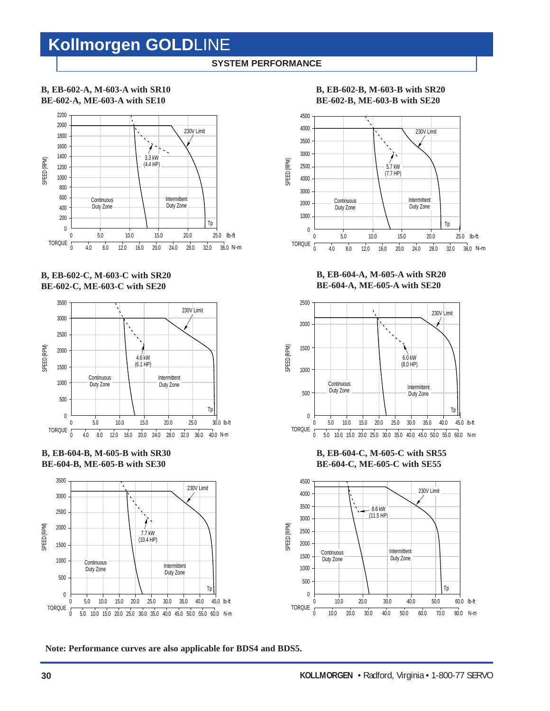### **SYSTEM PERFORMANCE**

### **B, EB-602-A, M-603-A with SR10 BE-602-A, ME-603-A with SE10**



**B, EB-602-C, M-603-C with SR20 BE-602-C, ME-603-C with SE20**



**B, EB-604-B, M-605-B with SR30 BE-604-B, ME-605-B with SE30**



**B, EB-602-B, M-603-B with SR20 BE-602-B, ME-603-B with SE20**



**B, EB-604-A, M-605-A with SR20 BE-604-A, ME-605-A with SE20**



**B, EB-604-C, M-605-C with SR55 BE-604-C, ME-605-C with SE55**



**Note: Performance curves are also applicable for BDS4 and BDS5.**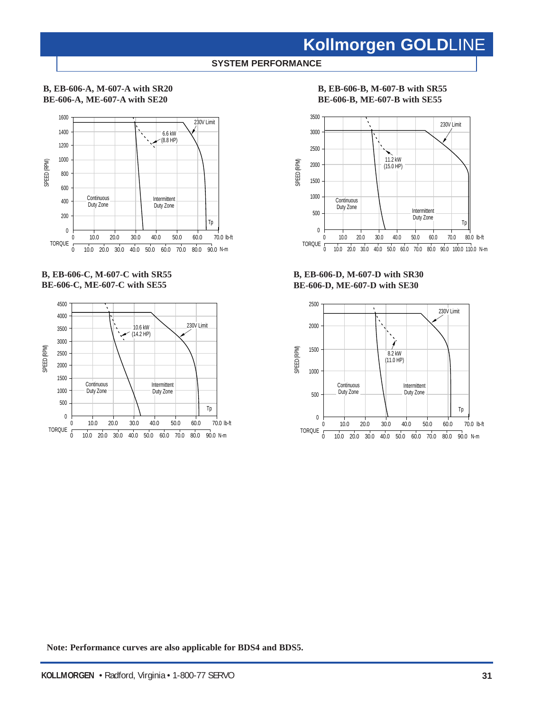### **SYSTEM PERFORMANCE**

### **B, EB-606-A, M-607-A with SR20 BE-606-A, ME-607-A with SE20**



**B, EB-606-C, M-607-C with SR55 BE-606-C, ME-607-C with SE55**



### **B, EB-606-B, M-607-B with SR55 BE-606-B, ME-607-B with SE55**



**B, EB-606-D, M-607-D with SR30 BE-606-D, ME-607-D with SE30**



**Note: Performance curves are also applicable for BDS4 and BDS5.**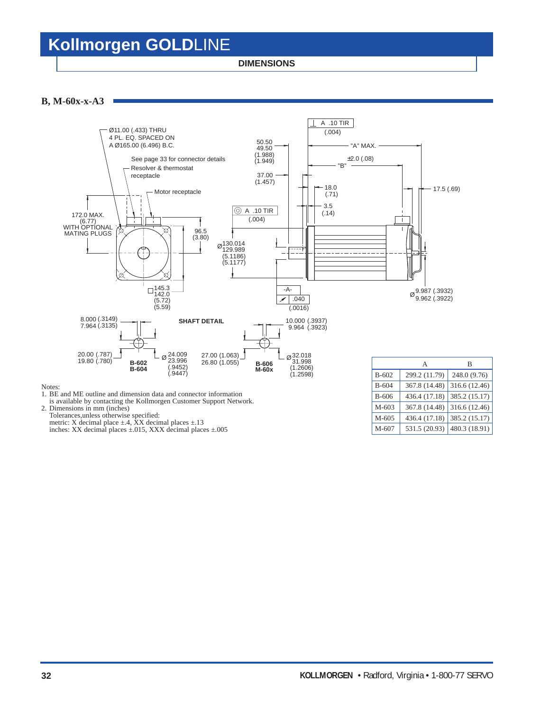**DIMENSIONS**

**B, M-60x-x-A3**



Notes:

1. BE and ME outline and dimension data and connector information

is available by contacting the Kollmorgen Customer Support Network. 2. Dimensions in mm (inches)

Tolerances,unless otherwise specified: metric: X decimal place  $\pm$ .4, XX decimal places  $\pm$ .13

inches: XX decimal places ±.015, XXX decimal places ±.005

|           | А             | в             |
|-----------|---------------|---------------|
| $B-602$   | 299.2 (11.79) | 248.0 (9.76)  |
| $B - 604$ | 367.8 (14.48) | 316.6 (12.46) |
| $B-606$   | 436.4 (17.18) | 385.2 (15.17) |
| M-603     | 367.8 (14.48) | 316.6 (12.46) |
| M-605     | 436.4 (17.18) | 385.2 (15.17) |
| M-607     | 531.5 (20.93) | 480.3 (18.91) |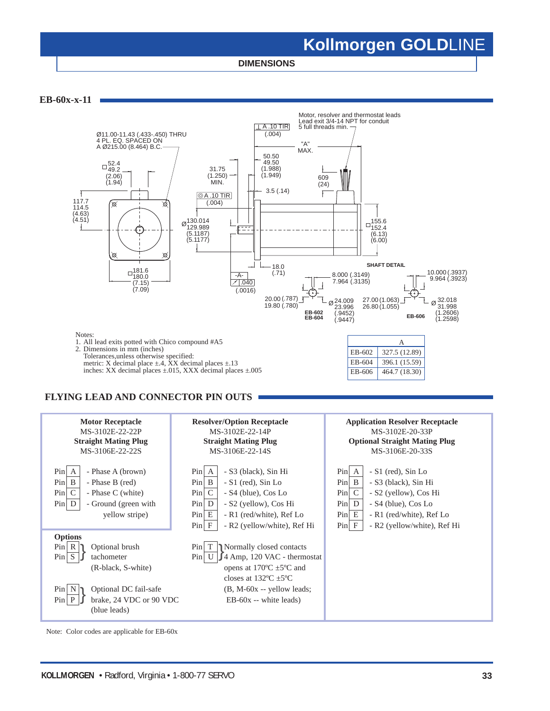**DIMENSIONS**

**EB-60x-x-11**



### **FLYING LEAD AND CONNECTOR PIN OUTS**



Note: Color codes are applicable for EB-60x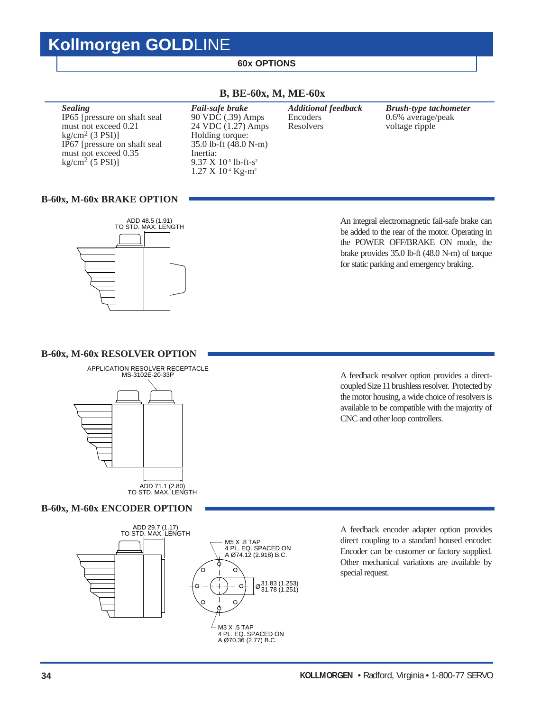### **60x OPTIONS**

| <b>Additional feedback</b><br>Fail-safe brake<br><b>Sealing</b><br>90 VDC (.39) Amps<br>0.6% average/peak<br>IP65 [pressure on shaft seal<br>Encoders<br>must not exceed 0.21<br>24 VDC (1.27) Amps<br>Resolvers<br>voltage ripple<br>$kg/cm2$ (3 PSI)]<br>Holding torque:<br>35.0 lb-ft (48.0 N-m)<br>IP67 [pressure on shaft seal |  |                              |
|-------------------------------------------------------------------------------------------------------------------------------------------------------------------------------------------------------------------------------------------------------------------------------------------------------------------------------------|--|------------------------------|
| must not exceed 0.35<br>Inertia:<br>$kg/cm2$ (5 PSI)]<br>$9.37 \times 10^{-5}$ lb-ft-s <sup>2</sup><br>$1.27 \text{ X } 10^4 \text{ Kg-m}^2$                                                                                                                                                                                        |  | <b>Brush-type tachometer</b> |

### **B, BE-60x, M, ME-60x**

### **B-60x, M-60x BRAKE OPTION**



An integral electromagnetic fail-safe brake can be added to the rear of the motor. Operating in the POWER OFF/BRAKE ON mode, the brake provides 35.0 lb-ft (48.0 N-m) of torque for static parking and emergency braking.

### **B-60x, M-60x RESOLVER OPTION**



coupled Size 11 brushless resolver. Protected by the motor housing, a wide choice of resolvers is available to be compatible with the majority of CNC and other loop controllers.

A feedback resolver option provides a direct-

### **B-60x, M-60x ENCODER OPTION**



A feedback encoder adapter option provides direct coupling to a standard housed encoder. Encoder can be customer or factory supplied. Other mechanical variations are available by special request.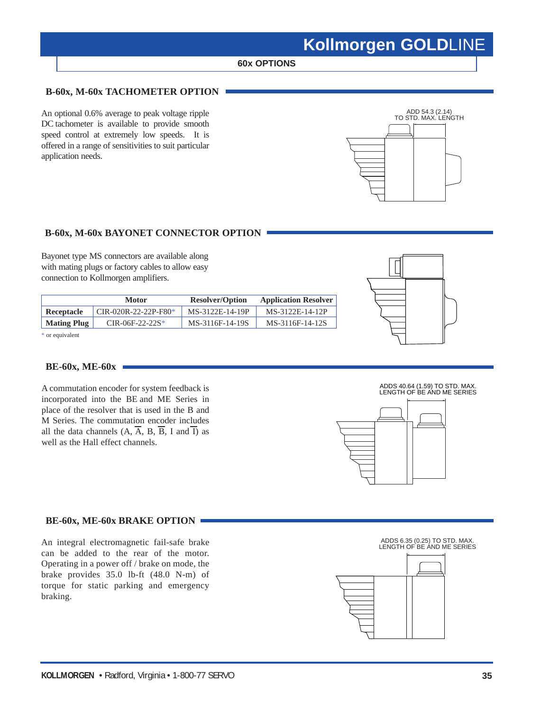### **60x OPTIONS**

### **B-60x, M-60x TACHOMETER OPTION**

An optional 0.6% average to peak voltage ripple DC tachometer is available to provide smooth speed control at extremely low speeds. It is offered in a range of sensitivities to suit particular application needs.



### **B-60x, M-60x BAYONET CONNECTOR OPTION**

Bayonet type MS connectors are available along with mating plugs or factory cables to allow easy connection to Kollmorgen amplifiers.

|                    | <b>Motor</b>         | <b>Resolver/Option</b> | <b>Application Resolver</b> |
|--------------------|----------------------|------------------------|-----------------------------|
| Receptacle         | CIR-020R-22-22P-F80* | MS-3122E-14-19P        | MS-3122E-14-12P             |
| <b>Mating Plug</b> | $CIR-06F-22-22S*$    | MS-3116F-14-19S        | MS-3116F-14-12S             |
|                    |                      |                        |                             |

\* or equivalent

### **BE-60x, ME-60x**

A commutation encoder for system feedback is incorporated into the BE and ME Series in place of the resolver that is used in the B and M Series. The commutation encoder includes all the data channels  $(A, \overline{A}, B, \overline{B}, I \text{ and } \overline{I})$  as well as the Hall effect channels.

### **BE-60x, ME-60x BRAKE OPTION**

An integral electromagnetic fail-safe brake can be added to the rear of the motor. Operating in a power off / brake on mode, the brake provides 35.0 lb-ft (48.0 N-m) of torque for static parking and emergency braking.





ADDS 6.35 (0.25) TO STD. MAX. LENGTH OF BE AND ME SERIES

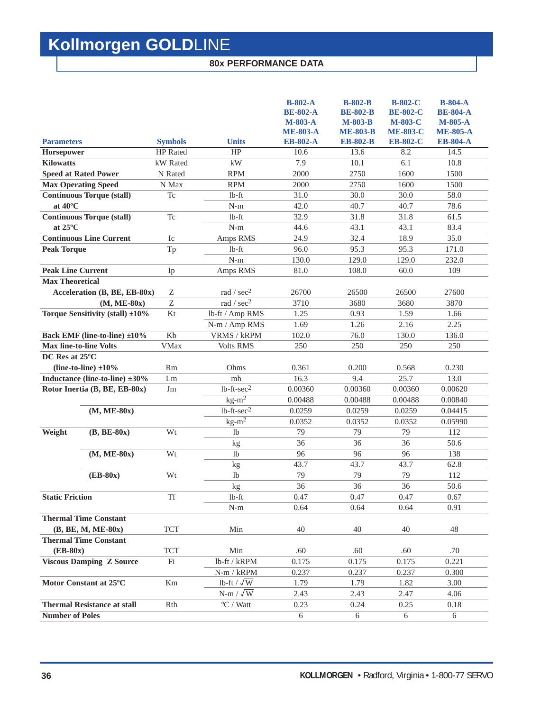### **80x PERFORMANCE DATA**

|                                                        |                  |                           | $B-802-A$<br><b>BE-802-A</b><br>M-803-A<br><b>ME-803-A</b> | <b>B-802-B</b><br><b>BE-802-B</b><br><b>M-803-B</b><br><b>ME-803-B</b> | <b>B-802-C</b><br><b>BE-802-C</b><br><b>M-803-C</b><br><b>ME-803-C</b> | $B-804-A$<br><b>BE-804-A</b><br>$M-805-A$<br><b>ME-805-A</b> |
|--------------------------------------------------------|------------------|---------------------------|------------------------------------------------------------|------------------------------------------------------------------------|------------------------------------------------------------------------|--------------------------------------------------------------|
| <b>Parameters</b>                                      | <b>Symbols</b>   | <b>Units</b>              | <b>EB-802-A</b>                                            | <b>EB-802-B</b>                                                        | <b>EB-802-C</b>                                                        | <b>EB-804-A</b>                                              |
| Horsepower                                             | <b>HP</b> Rated  | HP                        | 10.6                                                       | 13.6                                                                   | 8.2                                                                    | 14.5                                                         |
| <b>Kilowatts</b>                                       | kW Rated         | kW                        | 7.9                                                        | 10.1                                                                   | 6.1                                                                    | 10.8                                                         |
| <b>Speed at Rated Power</b>                            | N Rated          | <b>RPM</b>                | 2000                                                       | 2750                                                                   | 1600                                                                   | 1500                                                         |
| <b>Max Operating Speed</b>                             | N Max            | <b>RPM</b>                | 2000                                                       | 2750                                                                   | 1600                                                                   | 1500                                                         |
| <b>Continuous Torque (stall)</b>                       | Tc               | $lb$ -ft                  | 31.0                                                       | 30.0                                                                   | 30.0                                                                   | 58.0                                                         |
| at $40^{\circ}$ C                                      |                  | $N-m$                     | 42.0                                                       | 40.7                                                                   | 40.7                                                                   | 78.6                                                         |
| <b>Continuous Torque (stall)</b>                       | <b>Tc</b>        | $1b-ft$                   | 32.9                                                       | 31.8                                                                   | 31.8                                                                   | 61.5                                                         |
| at $25^{\circ}$ C                                      |                  | $N-m$                     | 44.6                                                       | 43.1                                                                   | 43.1                                                                   | 83.4                                                         |
| <b>Continuous Line Current</b>                         | Ic               | Amps RMS                  | 24.9                                                       | 32.4                                                                   | 18.9                                                                   | 35.0                                                         |
| <b>Peak Torque</b>                                     | Tp               | $lb$ -ft                  | 96.0                                                       | 95.3                                                                   | 95.3                                                                   | 171.0                                                        |
|                                                        |                  | $N-m$                     | 130.0                                                      | 129.0                                                                  | 129.0                                                                  | 232.0                                                        |
| <b>Peak Line Current</b>                               | Ip               | Amps RMS                  | 81.0                                                       | 108.0                                                                  | 60.0                                                                   | 109                                                          |
| <b>Max Theoretical</b><br>Acceleration (B, BE, EB-80x) | Ζ                | rad / $sec2$              | 26700                                                      | 26500                                                                  | 26500                                                                  | 27600                                                        |
| $(M, ME-80x)$                                          | $\boldsymbol{Z}$ | rad / sec <sup>2</sup>    | 3710                                                       | 3680                                                                   | 3680                                                                   | 3870                                                         |
| Torque Sensitivity (stall) $\pm 10\%$                  | Kt               | lb-ft / Amp RMS           | 1.25                                                       | 0.93                                                                   | 1.59                                                                   | 1.66                                                         |
|                                                        |                  | N-m / Amp RMS             | 1.69                                                       | 1.26                                                                   | 2.16                                                                   | 2.25                                                         |
| Back EMF (line-to-line) ±10%                           | Kb               | <b>VRMS / kRPM</b>        | 102.0                                                      | 76.0                                                                   | 130.0                                                                  | 136.0                                                        |
| <b>Max line-to-line Volts</b>                          | <b>VMax</b>      | <b>Volts RMS</b>          | 250                                                        | 250                                                                    | 250                                                                    | 250                                                          |
| DC Res at 25°C                                         |                  |                           |                                                            |                                                                        |                                                                        |                                                              |
| (line-to-line) $\pm 10\%$                              | Rm               | Ohms                      | 0.361                                                      | 0.200                                                                  | 0.568                                                                  | 0.230                                                        |
| Inductance (line-to-line) $\pm 30\%$                   | Lm               | mh                        | 16.3                                                       | 9.4                                                                    | 25.7                                                                   | 13.0                                                         |
| Rotor Inertia (B, BE, EB-80x)                          | Jm               | $1b$ -ft-sec $2$          | 0.00360                                                    | 0.00360                                                                | 0.00360                                                                | 0.00620                                                      |
|                                                        |                  | $kg-m^2$                  | 0.00488                                                    | 0.00488                                                                | 0.00488                                                                | 0.00840                                                      |
| $(M, ME-80x)$                                          |                  | $1b$ -ft- $sec2$          | 0.0259                                                     | 0.0259                                                                 | 0.0259                                                                 | 0.04415                                                      |
|                                                        |                  | $kg-m^2$                  | 0.0352                                                     | 0.0352                                                                 | 0.0352                                                                 | 0.05990                                                      |
| Weight<br>$(B, BE-80x)$                                | Wt               | 1 <sub>b</sub>            | 79                                                         | 79                                                                     | 79                                                                     | 112                                                          |
|                                                        |                  | kg                        | 36                                                         | 36                                                                     | 36                                                                     | 50.6                                                         |
| $(M, ME-80x)$                                          | Wt               | 1 <sub>b</sub>            | 96                                                         | 96                                                                     | 96                                                                     | 138                                                          |
|                                                        |                  | kg                        | 43.7                                                       | 43.7                                                                   | 43.7                                                                   | 62.8                                                         |
| $(EB-80x)$                                             | Wt               | <sup>1</sup>              | 79                                                         | 79                                                                     | 79                                                                     | 112                                                          |
|                                                        |                  | kg                        | 36                                                         | 36                                                                     | 36                                                                     | 50.6                                                         |
| <b>Static Friction</b>                                 | <b>Tf</b>        | $lb$ -ft                  | 0.47                                                       | 0.47                                                                   | 0.47                                                                   | 0.67                                                         |
|                                                        |                  | $N-m$                     | 0.64                                                       | 0.64                                                                   | 0.64                                                                   | 0.91                                                         |
| <b>Thermal Time Constant</b>                           |                  |                           |                                                            |                                                                        |                                                                        |                                                              |
| (B, BE, M, ME-80x)                                     | <b>TCT</b>       | Min                       | 40                                                         | 40                                                                     | 40                                                                     | 48                                                           |
| <b>Thermal Time Constant</b>                           |                  |                           |                                                            |                                                                        |                                                                        |                                                              |
| $(EB-80x)$                                             | <b>TCT</b>       | Min                       | .60                                                        | .60                                                                    | .60                                                                    | .70                                                          |
| <b>Viscous Damping Z Source</b>                        | Fi               | lb-ft / kRPM              | 0.175                                                      | 0.175                                                                  | 0.175                                                                  | 0.221                                                        |
|                                                        |                  | N-m / kRPM                | 0.237                                                      | 0.237                                                                  | 0.237                                                                  | 0.300                                                        |
| Motor Constant at 25°C                                 | Km               | lb-ft / $\sqrt{\text{W}}$ | 1.79                                                       | 1.79                                                                   | 1.82                                                                   | 3.00                                                         |
|                                                        |                  | $N-m / \sqrt{W}$          | 2.43                                                       | 2.43                                                                   | 2.47                                                                   | 4.06                                                         |
| <b>Thermal Resistance at stall</b>                     | Rth              | $\mathrm{^oC}$ / Watt     | 0.23                                                       | 0.24                                                                   | 0.25                                                                   | 0.18                                                         |
| <b>Number of Poles</b>                                 |                  |                           | 6                                                          | $\overline{6}$                                                         | $\overline{6}$                                                         | $\overline{6}$                                               |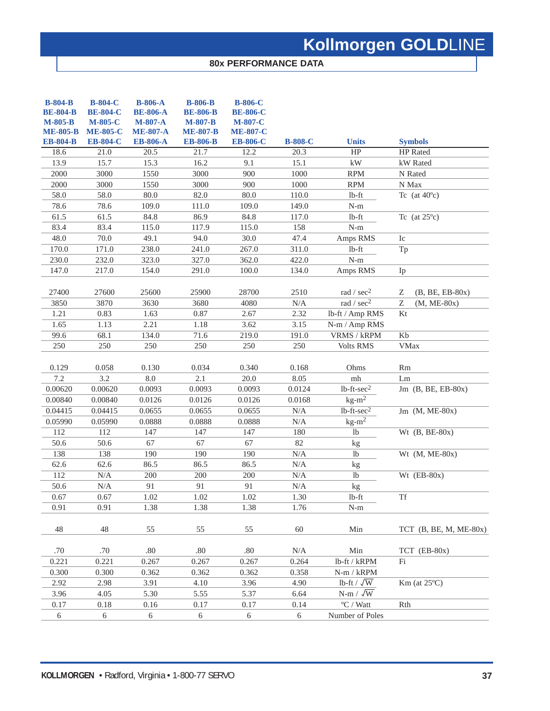### **80x PERFORMANCE DATA**

| $B-804-B$<br><b>BE-804-B</b><br>M-805-B<br><b>ME-805-B</b><br><b>EB-804-B</b> | <b>B-804-C</b><br><b>BE-804-C</b><br><b>M-805-C</b><br><b>ME-805-C</b><br><b>EB-804-C</b> | <b>B-806-A</b><br><b>BE-806-A</b><br><b>M-807-A</b><br><b>ME-807-A</b><br><b>EB-806-A</b> | <b>B-806-B</b><br><b>BE-806-B</b><br><b>M-807-B</b><br><b>ME-807-B</b><br><b>EB-806-B</b> | <b>B-806-C</b><br><b>BE-806-C</b><br><b>M-807-C</b><br><b>ME-807-C</b><br><b>EB-806-C</b> | <b>B-808-C</b> | <b>Units</b>              | <b>Symbols</b>                             |
|-------------------------------------------------------------------------------|-------------------------------------------------------------------------------------------|-------------------------------------------------------------------------------------------|-------------------------------------------------------------------------------------------|-------------------------------------------------------------------------------------------|----------------|---------------------------|--------------------------------------------|
| 18.6                                                                          | 21.0                                                                                      | 20.5                                                                                      | 21.7                                                                                      | 12.2                                                                                      | 20.3           | HP                        | HP Rated                                   |
| 13.9                                                                          | 15.7                                                                                      | 15.3                                                                                      | 16.2                                                                                      | 9.1                                                                                       | 15.1           | kW                        | kW Rated                                   |
| 2000                                                                          | 3000                                                                                      | 1550                                                                                      | 3000                                                                                      | 900                                                                                       | 1000           | <b>RPM</b>                | N Rated                                    |
| 2000                                                                          | 3000                                                                                      | 1550                                                                                      | 3000                                                                                      | 900                                                                                       | 1000           | <b>RPM</b>                | N Max                                      |
| 58.0                                                                          | 58.0                                                                                      | 80.0                                                                                      | 82.0                                                                                      | 80.0                                                                                      | 110.0          | lb-ft                     | Tc (at $40^{\circ}$ c)                     |
| 78.6                                                                          | 78.6                                                                                      | 109.0                                                                                     | 111.0                                                                                     | 109.0                                                                                     | 149.0          | $N-m$                     |                                            |
| 61.5                                                                          | 61.5                                                                                      | 84.8                                                                                      | 86.9                                                                                      | 84.8                                                                                      | 117.0          | $lb$ -ft                  | Tc (at $25^{\circ}$ c)                     |
| 83.4                                                                          | 83.4                                                                                      | 115.0                                                                                     | 117.9                                                                                     | 115.0                                                                                     | 158            | $N-m$                     |                                            |
| 48.0                                                                          | 70.0                                                                                      | 49.1                                                                                      | 94.0                                                                                      | 30.0                                                                                      | 47.4           | Amps RMS                  | Ic                                         |
| 170.0                                                                         | 171.0                                                                                     | 238.0                                                                                     | 241.0                                                                                     | 267.0                                                                                     | 311.0          | $lb$ -ft                  | Tp                                         |
| 230.0                                                                         | 232.0                                                                                     | 323.0                                                                                     | 327.0                                                                                     | 362.0                                                                                     | 422.0          | $N-m$                     |                                            |
| 147.0                                                                         | 217.0                                                                                     | 154.0                                                                                     | 291.0                                                                                     | 100.0                                                                                     | 134.0          | Amps RMS                  | Ip                                         |
| 27400                                                                         | 27600                                                                                     | 25600                                                                                     | 25900                                                                                     | 28700                                                                                     | 2510           | rad / $sec2$              | Ζ<br>$(B, BE, EB-80x)$                     |
| 3850                                                                          | 3870                                                                                      | 3630                                                                                      | 3680                                                                                      | 4080                                                                                      | N/A            | rad / $sec2$              | $\ensuremath{\mathbf{Z}}$<br>$(M, ME-80x)$ |
| 1.21                                                                          | 0.83                                                                                      | 1.63                                                                                      | 0.87                                                                                      | 2.67                                                                                      | 2.32           | lb-ft / Amp RMS           | Kt                                         |
| 1.65                                                                          | 1.13                                                                                      | 2.21                                                                                      | 1.18                                                                                      | 3.62                                                                                      | 3.15           | N-m / Amp RMS             |                                            |
| 99.6                                                                          | 68.1                                                                                      | 134.0                                                                                     | 71.6                                                                                      | 219.0                                                                                     | 191.0          | <b>VRMS / kRPM</b>        | Kb                                         |
| 250                                                                           | 250                                                                                       | 250                                                                                       | 250                                                                                       | 250                                                                                       | 250            | <b>Volts RMS</b>          | <b>VMax</b>                                |
| 0.129                                                                         | 0.058                                                                                     | 0.130                                                                                     | 0.034                                                                                     | 0.340                                                                                     | 0.168          | Ohms                      | <b>Rm</b>                                  |
| 7.2                                                                           | 3.2                                                                                       | 8.0                                                                                       | 2.1                                                                                       | 20.0                                                                                      | 8.05           | mh                        | Lm                                         |
| 0.00620                                                                       | 0.00620                                                                                   | 0.0093                                                                                    | 0.0093                                                                                    | 0.0093                                                                                    | 0.0124         | $lb$ -ft- $sec2$          | Jm $(B, BE, EB-80x)$                       |
| 0.00840                                                                       | 0.00840                                                                                   | 0.0126                                                                                    | 0.0126                                                                                    | 0.0126                                                                                    | 0.0168         | $kg-m^2$                  |                                            |
| 0.04415                                                                       | 0.04415                                                                                   | 0.0655                                                                                    | 0.0655                                                                                    | 0.0655                                                                                    | N/A            | $1b$ -ft-sec <sup>2</sup> | $Jm$ (M, ME-80x)                           |
| 0.05990                                                                       | 0.05990                                                                                   | 0.0888                                                                                    | 0.0888                                                                                    | 0.0888                                                                                    | N/A            | $kg-m2$                   |                                            |
| 112                                                                           | 112                                                                                       | 147                                                                                       | 147                                                                                       | 147                                                                                       | 180            | 1 <sub>b</sub>            | Wt $(B, BE-80x)$                           |
| 50.6                                                                          | 50.6                                                                                      | 67                                                                                        | 67                                                                                        | 67                                                                                        | 82             | kg                        |                                            |
| 138                                                                           | 138                                                                                       | 190                                                                                       | 190                                                                                       | 190                                                                                       | N/A            | <sup>1</sup> b            | Wt $(M, ME-80x)$                           |
| 62.6                                                                          | 62.6                                                                                      | 86.5                                                                                      | 86.5                                                                                      | 86.5                                                                                      | N/A            | kg                        |                                            |
| 112                                                                           | N/A                                                                                       | 200                                                                                       | 200                                                                                       | 200                                                                                       | N/A            | <sup>1</sup> b            | $Wt$ (EB-80x)                              |
| 50.6                                                                          | N/A                                                                                       | 91                                                                                        | 91                                                                                        | 91                                                                                        | N/A            | kg                        |                                            |
| 0.67                                                                          | 0.67                                                                                      | 1.02                                                                                      | 1.02                                                                                      | 1.02                                                                                      | 1.30           | $lb$ -ft                  | Tf                                         |
| 0.91                                                                          | 0.91                                                                                      | 1.38                                                                                      | 1.38                                                                                      | 1.38                                                                                      | 1.76           | $N-m$                     |                                            |
| 48                                                                            | 48                                                                                        | 55                                                                                        | 55                                                                                        | 55                                                                                        | 60             | Min                       | TCT $(B, BE, M, ME-80x)$                   |
| .70                                                                           | .70                                                                                       | .80                                                                                       | .80                                                                                       | .80                                                                                       | N/A            | Min                       | TCT (EB-80x)                               |
| 0.221                                                                         | 0.221                                                                                     | 0.267                                                                                     | 0.267                                                                                     | 0.267                                                                                     | 0.264          | lb-ft / kRPM              | Fi                                         |
| 0.300                                                                         | 0.300                                                                                     | 0.362                                                                                     | 0.362                                                                                     | 0.362                                                                                     | 0.358          | $N-m / kRPM$              |                                            |
| 2.92                                                                          | 2.98                                                                                      | 3.91                                                                                      | 4.10                                                                                      | 3.96                                                                                      | 4.90           | lb-ft / $\sqrt{\text{W}}$ | $Km$ (at $25^{\circ}$ C)                   |
| 3.96                                                                          | 4.05                                                                                      | 5.30                                                                                      | 5.55                                                                                      | 5.37                                                                                      | 6.64           | $N-m / \sqrt{W}$          |                                            |
| 0.17                                                                          | 0.18                                                                                      | 0.16                                                                                      | 0.17                                                                                      | 0.17                                                                                      | 0.14           | $\mathrm{^oC}$ / Watt     | Rth                                        |
| 6                                                                             | 6                                                                                         | 6                                                                                         | 6                                                                                         | 6                                                                                         | 6              | Number of Poles           |                                            |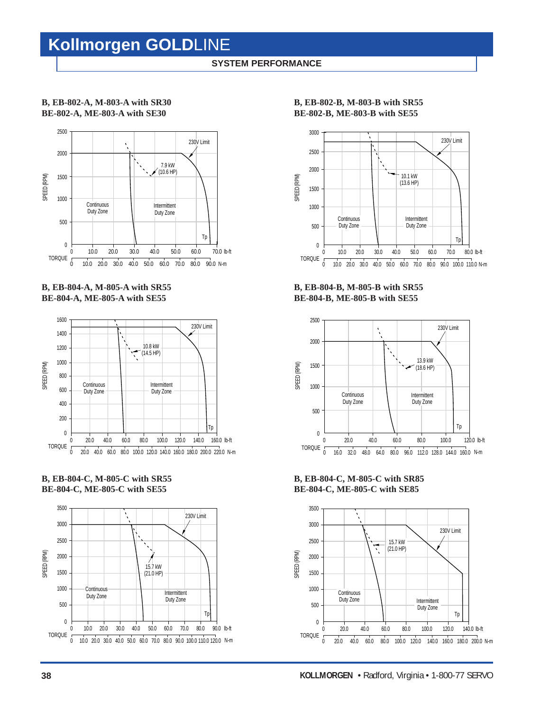### **SYSTEM PERFORMANCE**

### **B, EB-802-A, M-803-A with SR30 BE-802-A, ME-803-A with SE30**



### **B, EB-804-A, M-805-A with SR55 BE-804-A, ME-805-A with SE55**



### **B, EB-804-C, M-805-C with SR55 BE-804-C, ME-805-C with SE55**



**B, EB-802-B, M-803-B with SR55 BE-802-B, ME-803-B with SE55**



**B, EB-804-B, M-805-B with SR55 BE-804-B, ME-805-B with SE55**



**B, EB-804-C, M-805-C with SR85 BE-804-C, ME-805-C with SE85**

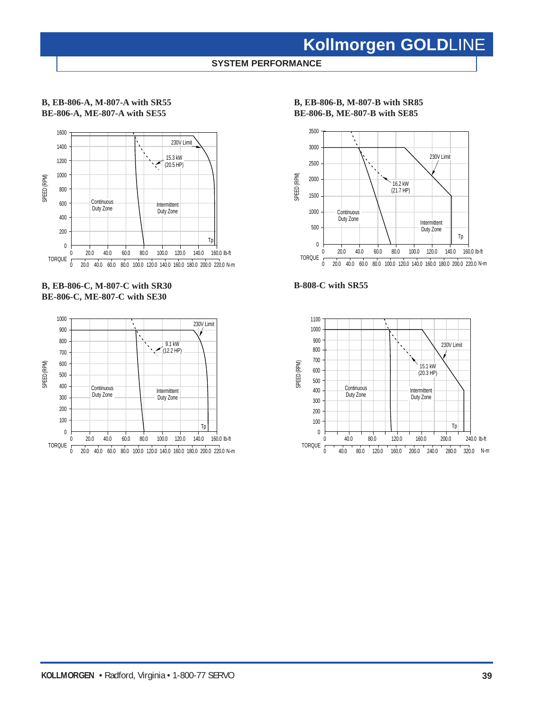**SYSTEM PERFORMANCE**

### **B, EB-806-A, M-807-A with SR55 BE-806-A, ME-807-A with SE55**



### **B, EB-806-C, M-807-C with SR30 BE-806-C, ME-807-C with SE30**



### **B, EB-806-B, M-807-B with SR85 BE-806-B, ME-807-B with SE85**





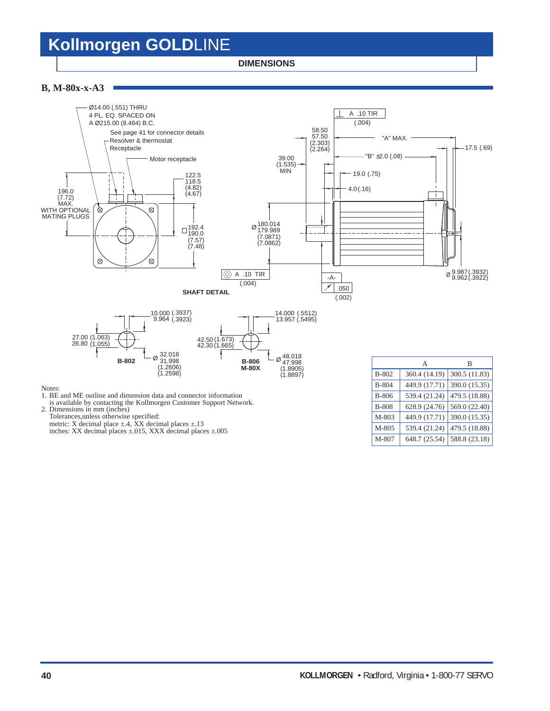**DIMENSIONS**

#### **B, M-80x-x-A3**



Notes:

1. BE and ME outline and dimension data and connector information

is available by contacting the Kollmorgen Customer Support Network.

2. Dimensions in mm (inches) Tolerances,unless otherwise specified:

metric: X decimal place  $\pm$ .4, XX decimal places  $\pm$ .13

inches: XX decimal places ±.015, XXX decimal places ±.005

|              | А             | в             |
|--------------|---------------|---------------|
| B-802        | 360.4 (14.19) | 300.5 (11.83) |
| $B-804$      | 449.9 (17.71) | 390.0 (15.35) |
| <b>B-806</b> | 539.4 (21.24) | 479.5 (18.88) |
| <b>B-808</b> | 628.9 (24.76) | 569.0 (22.40) |
| M-803        | 449.9 (17.71) | 390.0 (15.35) |
| M-805        | 539.4 (21.24) | 479.5 (18.88) |
| M-807        | 648.7 (25.54) | 588.8 (23.18) |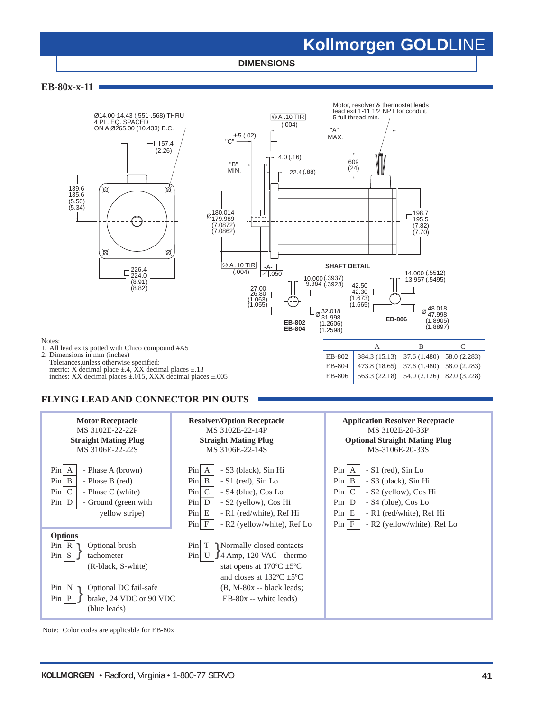**DIMENSIONS**

**EB-80x-x-11**



### **FLYING LEAD AND CONNECTOR PIN OUTS**



Note: Color codes are applicable for EB-80x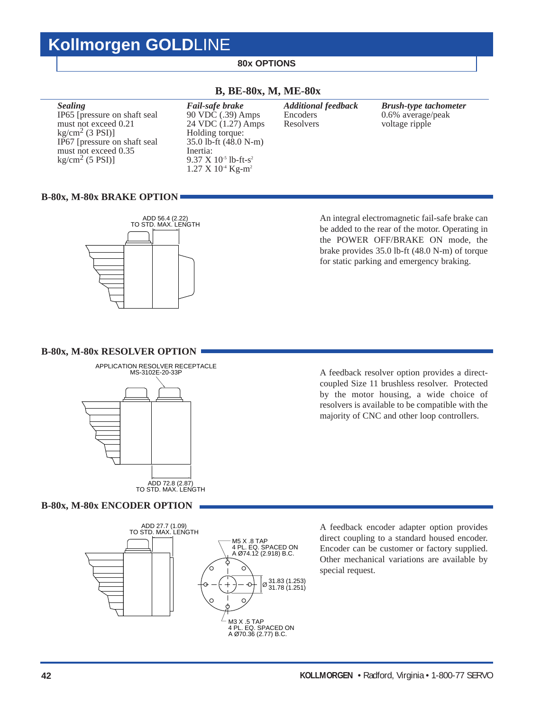### **80x OPTIONS**

### **Sealing** Fail-safe brake Additional feedback Brush-type tachometer<br>IP65 [pressure on shaft seal 90 VDC (.39) Amps Encoders 0.6% average/peak IP65 [pressure on shaft seal 90 VDC (.39) Amps Encoders 0.6% average/peak must not exceed 0.21 24 VDC (1.27) Amps Resolvers voltage ripple 24 VDC  $(1.27)$  Amps Holding torque:  $kg/cm<sup>2</sup>$  (3 PSI)] Holding torque:<br>IP67 [pressure on shaft seal 35.0 lb-ft (48.0 N-m) IP67 [pressure on shaft seal must not exceed 0.35 Inertia:<br>
kg/cm<sup>2</sup> (5 PSI)] 9.37 X

9.37  $X$  10<sup>-5</sup> lb-ft-s<sup>2</sup> 1.27 X 10-4 Kg-m2

### **B, BE-80x, M, ME-80x**

### **B-80x, M-80x BRAKE OPTION**



An integral electromagnetic fail-safe brake can be added to the rear of the motor. Operating in the POWER OFF/BRAKE ON mode, the brake provides 35.0 lb-ft (48.0 N-m) of torque for static parking and emergency braking.

#### **B-80x, M-80x RESOLVER OPTION**



**B-80x, M-80x ENCODER OPTION**



A feedback resolver option provides a directcoupled Size 11 brushless resolver. Protected by the motor housing, a wide choice of resolvers is available to be compatible with the majority of CNC and other loop controllers.

A feedback encoder adapter option provides direct coupling to a standard housed encoder. Encoder can be customer or factory supplied. Other mechanical variations are available by special request.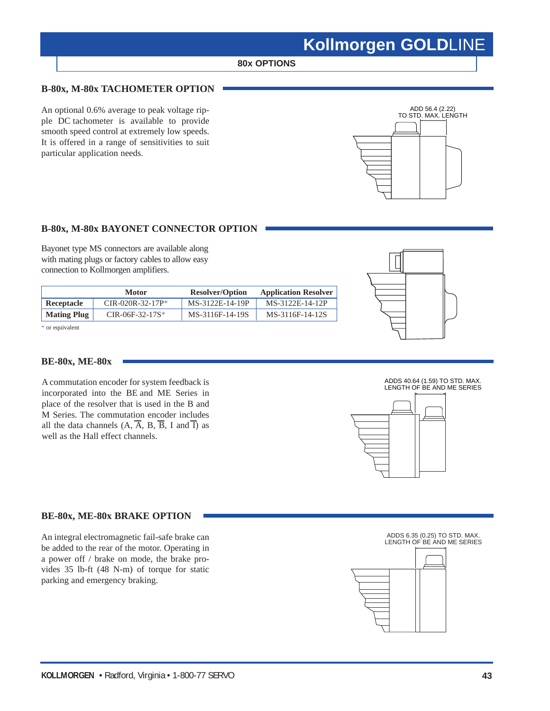### **80x OPTIONS**

### **B-80x, M-80x TACHOMETER OPTION**

An optional 0.6% average to peak voltage ripple DC tachometer is available to provide smooth speed control at extremely low speeds. It is offered in a range of sensitivities to suit particular application needs.



### **B-80x, M-80x BAYONET CONNECTOR OPTION**

Bayonet type MS connectors are available along with mating plugs or factory cables to allow easy connection to Kollmorgen amplifiers.

|                    | <b>Motor</b>       | <b>Resolver/Option</b> | <b>Application Resolver</b> |
|--------------------|--------------------|------------------------|-----------------------------|
| Receptacle         | $CIR-020R-32-17P*$ | MS-3122E-14-19P        | MS-3122E-14-12P             |
| <b>Mating Plug</b> | $CIR-06F-32-17S*$  | MS-3116F-14-19S        | MS-3116F-14-12S             |

\* or equivalent

### **BE-80x, ME-80x**

A commutation encoder for system feedback is incorporated into the BE and ME Series in place of the resolver that is used in the B and M Series. The commutation encoder includes all the data channels  $(A, \overline{A}, B, \overline{B}, I \text{ and } \overline{I})$  as well as the Hall effect channels.





### **BE-80x, ME-80x BRAKE OPTION**

An integral electromagnetic fail-safe brake can be added to the rear of the motor. Operating in a power off / brake on mode, the brake provides 35 lb-ft (48 N-m) of torque for static parking and emergency braking.



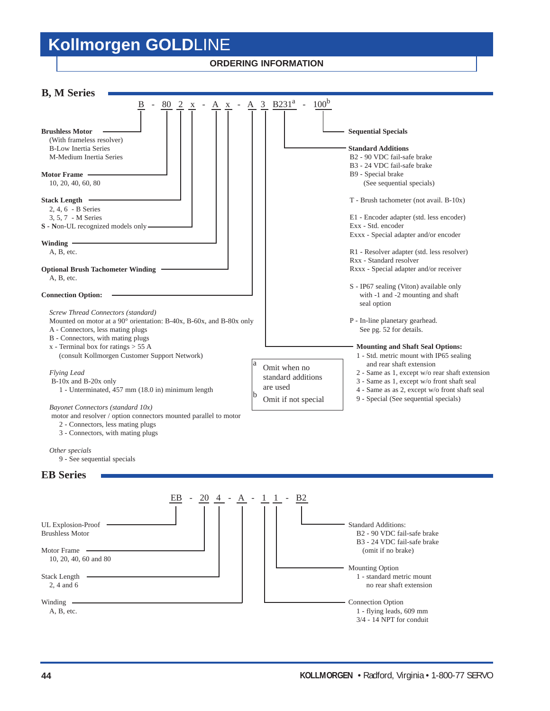### **ORDERING INFORMATION**

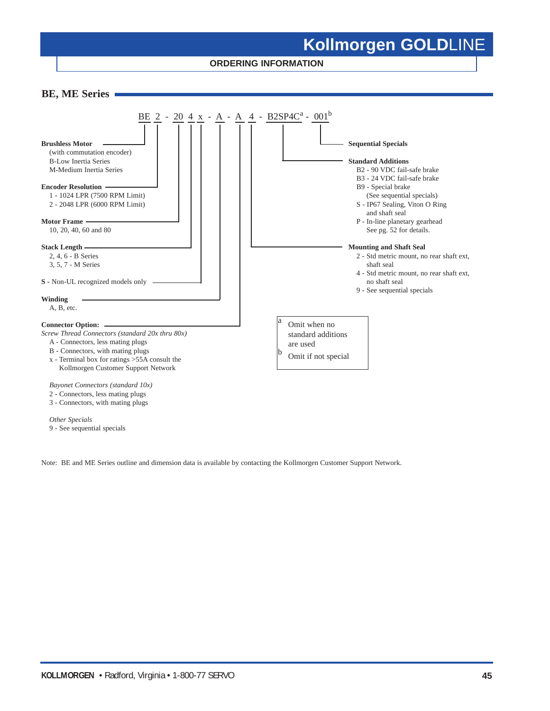**ORDERING INFORMATION**



*Other Specials* 9 - See sequential specials

Note: BE and ME Series outline and dimension data is available by contacting the Kollmorgen Customer Support Network.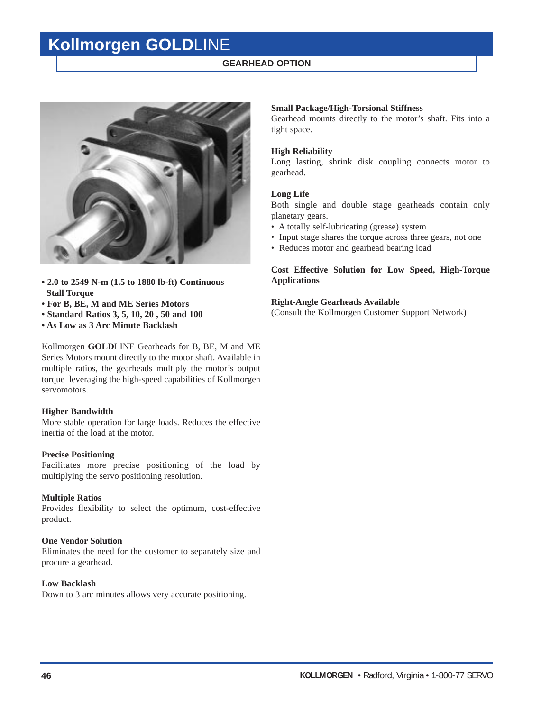### **GEARHEAD OPTION**



- **2.0 to 2549 N-m (1.5 to 1880 lb-ft) Continuous Stall Torque**
- **For B, BE, M and ME Series Motors**
- **Standard Ratios 3, 5, 10, 20 , 50 and 100**
- **As Low as 3 Arc Minute Backlash**

Kollmorgen **GOLD**LINE Gearheads for B, BE, M and ME Series Motors mount directly to the motor shaft. Available in multiple ratios, the gearheads multiply the motor's output torque leveraging the high-speed capabilities of Kollmorgen servomotors.

### **Higher Bandwidth**

More stable operation for large loads. Reduces the effective inertia of the load at the motor.

#### **Precise Positioning**

Facilitates more precise positioning of the load by multiplying the servo positioning resolution.

### **Multiple Ratios**

Provides flexibility to select the optimum, cost-effective product.

### **One Vendor Solution**

Eliminates the need for the customer to separately size and procure a gearhead.

### **Low Backlash**

Down to 3 arc minutes allows very accurate positioning.

### **Small Package/High-Torsional Stiffness**

Gearhead mounts directly to the motor's shaft. Fits into a tight space.

#### **High Reliability**

Long lasting, shrink disk coupling connects motor to gearhead.

#### **Long Life**

Both single and double stage gearheads contain only planetary gears.

- A totally self-lubricating (grease) system
- Input stage shares the torque across three gears, not one
- Reduces motor and gearhead bearing load

### **Cost Effective Solution for Low Speed, High-Torque Applications**

#### **Right-Angle Gearheads Available**

(Consult the Kollmorgen Customer Support Network)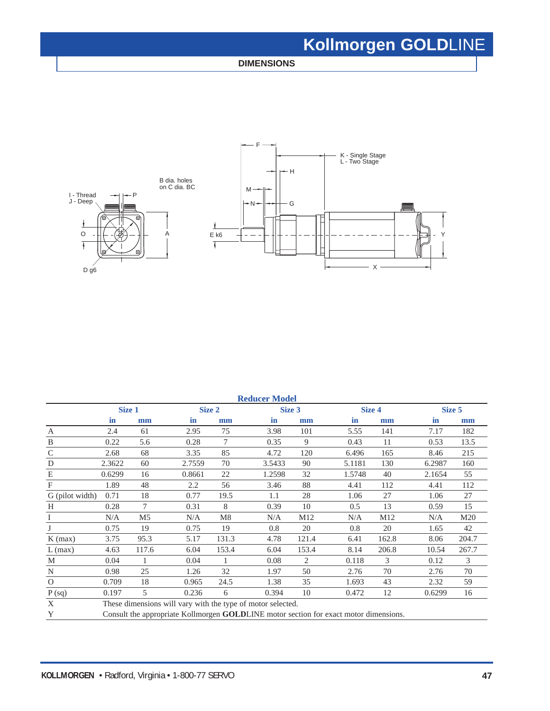**DIMENSIONS**



| <b>Reducer Model</b> |        |                                                                                       |        |       |                                                             |        |        |        |        |        |  |
|----------------------|--------|---------------------------------------------------------------------------------------|--------|-------|-------------------------------------------------------------|--------|--------|--------|--------|--------|--|
|                      | Size 1 |                                                                                       | Size 2 |       |                                                             | Size 3 |        | Size 4 |        | Size 5 |  |
|                      | in     | mm                                                                                    | in     | mm    | in                                                          | mm     | in     | mm     | in     | mm     |  |
| $\overline{A}$       | 2.4    | 61                                                                                    | 2.95   | 75    | 3.98                                                        | 101    | 5.55   | 141    | 7.17   | 182    |  |
| B                    | 0.22   | 5.6                                                                                   | 0.28   | 7     | 0.35                                                        | 9      | 0.43   | 11     | 0.53   | 13.5   |  |
| $\mathsf{C}$         | 2.68   | 68                                                                                    | 3.35   | 85    | 4.72                                                        | 120    | 6.496  | 165    | 8.46   | 215    |  |
| D                    | 2.3622 | 60                                                                                    | 2.7559 | 70    | 3.5433                                                      | 90     | 5.1181 | 130    | 6.2987 | 160    |  |
| E                    | 0.6299 | 16                                                                                    | 0.8661 | 22    | 1.2598                                                      | 32     | 1.5748 | 40     | 2.1654 | 55     |  |
| $\mathbf{F}$         | 1.89   | 48                                                                                    | 2.2    | 56    | 3.46                                                        | 88     | 4.41   | 112    | 4.41   | 112    |  |
| G (pilot width)      | 0.71   | 18                                                                                    | 0.77   | 19.5  | 1.1                                                         | 28     | 1.06   | 27     | 1.06   | 27     |  |
| H                    | 0.28   | 7                                                                                     | 0.31   | 8     | 0.39                                                        | 10     | 0.5    | 13     | 0.59   | 15     |  |
| I                    | N/A    | M <sub>5</sub>                                                                        | N/A    | M8    | N/A                                                         | M12    | N/A    | M12    | N/A    | M20    |  |
| J                    | 0.75   | 19                                                                                    | 0.75   | 19    | 0.8                                                         | 20     | 0.8    | 20     | 1.65   | 42     |  |
| $K$ (max)            | 3.75   | 95.3                                                                                  | 5.17   | 131.3 | 4.78                                                        | 121.4  | 6.41   | 162.8  | 8.06   | 204.7  |  |
| $L$ (max)            | 4.63   | 117.6                                                                                 | 6.04   | 153.4 | 6.04                                                        | 153.4  | 8.14   | 206.8  | 10.54  | 267.7  |  |
| M                    | 0.04   |                                                                                       | 0.04   | 1     | 0.08                                                        | 2      | 0.118  | 3      | 0.12   | 3      |  |
| N                    | 0.98   | 25                                                                                    | 1.26   | 32    | 1.97                                                        | 50     | 2.76   | 70     | 2.76   | 70     |  |
| $\Omega$             | 0.709  | 18                                                                                    | 0.965  | 24.5  | 1.38                                                        | 35     | 1.693  | 43     | 2.32   | 59     |  |
| P(sq)                | 0.197  | 5                                                                                     | 0.236  | 6     | 0.394                                                       | 10     | 0.472  | 12     | 0.6299 | 16     |  |
| X                    |        |                                                                                       |        |       | These dimensions will vary with the type of motor selected. |        |        |        |        |        |  |
| Y                    |        | Consult the appropriate Kollmorgen GOLDLINE motor section for exact motor dimensions. |        |       |                                                             |        |        |        |        |        |  |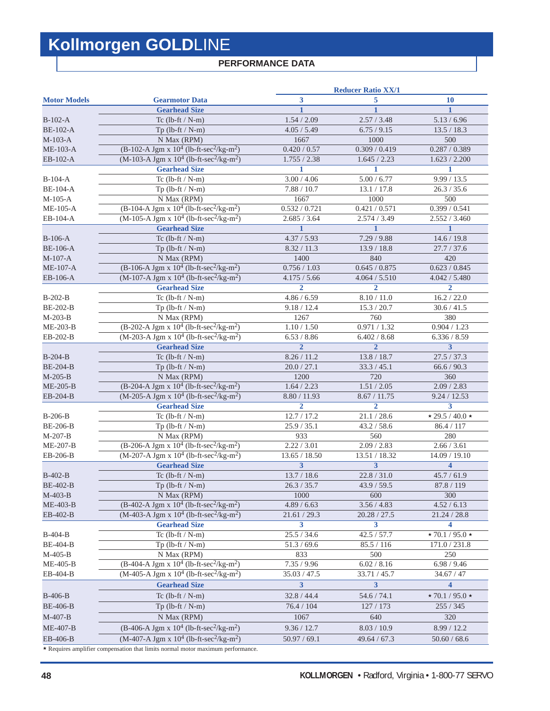### **PERFORMANCE DATA**

|                     |                                                                                                                  |                | <b>Reducer Ratio XX/1</b> |                             |
|---------------------|------------------------------------------------------------------------------------------------------------------|----------------|---------------------------|-----------------------------|
| <b>Motor Models</b> | <b>Gearmotor Data</b>                                                                                            | 3              | 5                         | <b>10</b>                   |
|                     | <b>Gearhead Size</b>                                                                                             |                |                           | 1                           |
| $B-102-A$           | Tc $(lb-ft / N-m)$                                                                                               | 1.54 / 2.09    | 2.57 / 3.48               | 5.13 / 6.96                 |
| <b>BE-102-A</b>     | Tp $(lb$ -ft / N-m)                                                                                              | 4.05 / 5.49    | 6.75 / 9.15               | 13.5 / 18.3                 |
| $M-103-A$           | N Max (RPM)                                                                                                      | 1667           | 1000                      | 500                         |
| $ME-103-A$          | $(B-102-A$ Jgm x $10^4$ (lb-ft-sec <sup>2</sup> /kg-m <sup>2</sup> )                                             | 0.420 / 0.57   | 0.309 / 0.419             | 0.287 / 0.389               |
| EB-102-A            | $(M-103-A$ Jgm x $10^4$ (lb-ft-sec <sup>2</sup> /kg-m <sup>2</sup> )                                             | 1.755 / 2.38   | 1.645 / 2.23              | 1.623 / 2.200               |
|                     | <b>Gearhead Size</b>                                                                                             | 1              | $\mathbf{1}$              | 1                           |
| $B-104-A$           | Tc $(lb-ft / N-m)$                                                                                               | 3.00 / 4.06    | 5.00 / 6.77               | 9.99 / 13.5                 |
| <b>BE-104-A</b>     | Tp $(lb-ft / N-m)$                                                                                               | 7.88 / 10.7    | 13.1 / 17.8               | 26.3 / 35.6                 |
| $M-105-A$           | N Max (RPM)                                                                                                      | 1667           | 1000                      | 500                         |
| $ME-105-A$          | $(B-104-A$ Jgm x $10^4$ (lb-ft-sec <sup>2</sup> /kg-m <sup>2</sup> )                                             | 0.532 / 0.721  | 0.421 / 0.571             | 0.399 / 0.541               |
| EB-104-A            | $(M-105-A$ Jgm x $10^4$ (lb-ft-sec <sup>2</sup> /kg-m <sup>2</sup> )                                             | 2.685 / 3.64   | 2.574 / 3.49              | 2.552 / 3.460               |
|                     | <b>Gearhead Size</b>                                                                                             | $\mathbf{1}$   | $\mathbf{1}$              | $\mathbf{1}$                |
| $B-106-A$           | Tc $(lb-ft / N-m)$                                                                                               | 4.37 / 5.93    | 7.29 / 9.88               | 14.6 / 19.8                 |
| <b>BE-106-A</b>     | Tp $(lb-ft / N-m)$                                                                                               | 8.32 / 11.3    | 13.9 / 18.8               | 27.7 / 37.6                 |
| $M-107-A$           | N Max (RPM)                                                                                                      | 1400           | 840                       | 420                         |
| <b>ME-107-A</b>     | $(B-106-A$ Jgm x $10^4$ (lb-ft-sec <sup>2</sup> /kg-m <sup>2</sup> )                                             | 0.756 / 1.03   | 0.645 / 0.875             | 0.623 / 0.845               |
| EB-106-A            | $(M-107-A$ Jgm x $10^4$ (lb-ft-sec <sup>2</sup> /kg-m <sup>2</sup> )                                             | 4.175 / 5.66   | 4.064 / 5.510             | 4.042 / 5.480               |
|                     | <b>Gearhead Size</b>                                                                                             | $\overline{2}$ | $\overline{2}$            | $\overline{2}$              |
| $B-202-B$           | Tc $(lb-ft / N-m)$                                                                                               | 4.86 / 6.59    | 8.10 / 11.0               | 16.2 / 22.0                 |
| <b>BE-202-B</b>     | $Tp$ (lb-ft / N-m)                                                                                               | 9.18 / 12.4    | 15.3 / 20.7               | 30.6 / 41.5                 |
| $M-203-B$           | N Max (RPM)                                                                                                      | 1267           | 760                       | 380                         |
| $ME-203-B$          | $(B-202-A$ Jgm x $10^4$ (lb-ft-sec <sup>2</sup> /kg-m <sup>2</sup> )                                             | 1.10 / 1.50    | 0.971 / 1.32              | 0.904 / 1.23                |
| $EB-202-B$          | $(M-203-A$ Jgm x $10^4$ (lb-ft-sec <sup>2</sup> /kg-m <sup>2</sup> )                                             | 6.53 / 8.86    | 6.402 / 8.68              | 6.336 / 8.59                |
|                     | <b>Gearhead Size</b>                                                                                             | $\overline{2}$ | $\overline{2}$            | 3                           |
| $B-204-B$           | Tc $(lb-ft / N-m)$                                                                                               | 8.26 / 11.2    | 13.8 / 18.7               | 27.5 / 37.3                 |
| <b>BE-204-B</b>     | Tp $(lb$ -ft / N-m $)$                                                                                           | 20.0 / 27.1    | 33.3 / 45.1               | 66.6 / 90.3                 |
| $M-205-B$           | N Max (RPM)                                                                                                      | 1200           | 720                       | 360                         |
| $ME-205-B$          | (B-204-A Jgm x $10^4$ (lb-ft-sec <sup>2</sup> /kg-m <sup>2</sup> )                                               | 1.64 / 2.23    | 1.51 / 2.05               | 2.09 / 2.83                 |
| EB-204-B            | $(M-205-A$ Jgm x $10^4$ (lb-ft-sec <sup>2</sup> /kg-m <sup>2</sup> )                                             | 8.80 / 11.93   | 8.67 / 11.75              | 9.24 / 12.53                |
|                     | <b>Gearhead Size</b>                                                                                             | $\overline{2}$ | $\overline{2}$            | $\overline{\mathbf{3}}$     |
| <b>B-206-B</b>      | Tc $(lb-ft / N-m)$                                                                                               | 12.7 / 17.2    | 21.1 / 28.6               | $\star$ 29.5 / 40.0 $\star$ |
| <b>BE-206-B</b>     | $Tp$ (lb-ft / N-m)                                                                                               | 25.9 / 35.1    | 43.2 / 58.6               | 86.4 / 117                  |
| $M-207-B$           | N Max (RPM)                                                                                                      | 933            | 560                       | 280                         |
| ME-207-B            | (B-206-A Jgm x $10^4$ (lb-ft-sec <sup>2</sup> /kg-m <sup>2</sup> )                                               | 2.22 / 3.01    | 2.09 / 2.83               | 2.66 / 3.61                 |
| EB-206-B            | $(M-207-A$ Jgm x $10^4$ (lb-ft-sec <sup>2</sup> /kg-m <sup>2</sup> )                                             | 13.65 / 18.50  | 13.51 / 18.32             | 14.09 / 19.10               |
|                     | <b>Gearhead Size</b>                                                                                             | 3              | 3                         | $\overline{\mathbf{4}}$     |
| $B-402-B$           | Tc $(lb-ft / N-m)$                                                                                               | 13.7 / 18.6    | 22.8 / 31.0               | 45.7 / 61.9                 |
| <b>BE-402-B</b>     | $Tp$ (lb-ft / N-m)                                                                                               | 26.3 / 35.7    | 43.9 / 59.5               | 87.8 / 119                  |
| M-403-B             | N Max (RPM)                                                                                                      | 1000           | 600                       | 300                         |
| ME-403-B            | $(B-402-A$ Jgm x $10^4$ (lb-ft-sec <sup>2</sup> /kg-m <sup>2</sup> )                                             | 4.89 / 6.63    | 3.56 / 4.83               | 4.52 / 6.13                 |
| EB-402-B            | $(M-403-A$ Jgm x $10^4$ (lb-ft-sec <sup>2</sup> /kg-m <sup>2</sup> )                                             | 21.61 / 29.3   | 20.28 / 27.5              | 21.24 / 28.8                |
|                     | <b>Gearhead Size</b>                                                                                             | 3              | 3                         | 4                           |
| B-404-B             | Tc $(lb-ft / N-m)$                                                                                               | 25.5 / 34.6    | 42.5 / 57.7               | $\star$ 70.1 / 95.0 $\star$ |
| <b>BE-404-B</b>     | $Tp$ (lb-ft / N-m)                                                                                               | 51.3 / 69.6    | 85.5 / 116                | 171.0 / 231.8               |
| M-405-B             | N Max (RPM)                                                                                                      | 833            | 500                       | 250                         |
| ME-405-B            | $(B-404-A Jg m x 104 (lb-ft-sec2/kg-m2)$<br>$(M-405-A$ Jgm x $10^4$ (lb-ft-sec <sup>2</sup> /kg-m <sup>2</sup> ) | 7.35 / 9.96    | 6.02 / 8.16               | 6.98 / 9.46                 |
| EB-404-B            |                                                                                                                  | 35.03 / 47.5   | 33.71 / 45.7              | 34.67 / 47                  |
|                     | <b>Gearhead Size</b>                                                                                             | 3              | 3                         | $\overline{\mathbf{4}}$     |
| B-406-B             | Tc (lb-ft $/$ N-m)                                                                                               | 32.8 / 44.4    | 54.6 / 74.1               | $\star$ 70.1 / 95.0 $\star$ |
| <b>BE-406-B</b>     | Tp $(lb$ -ft / N-m)                                                                                              | 76.4 / 104     | 127 / 173                 | 255 / 345                   |
| M-407-B             | N Max (RPM)                                                                                                      | 1067           | 640                       | 320                         |
| ME-407-B            | (B-406-A Jgm x $10^4$ (lb-ft-sec <sup>2</sup> /kg-m <sup>2</sup> )                                               | 9.36 / 12.7    | 8.03 / 10.9               | 8.99 / 12.2                 |
| EB-406-B            | $(M-407-A$ Jgm x $10^4$ (lb-ft-sec <sup>2</sup> /kg-m <sup>2</sup> )                                             | 50.97 / 69.1   | 49.64 / 67.3              | 50.60 / 68.6                |
|                     | * Requires amplifier compensation that limits normal motor maximum performance.                                  |                |                           |                             |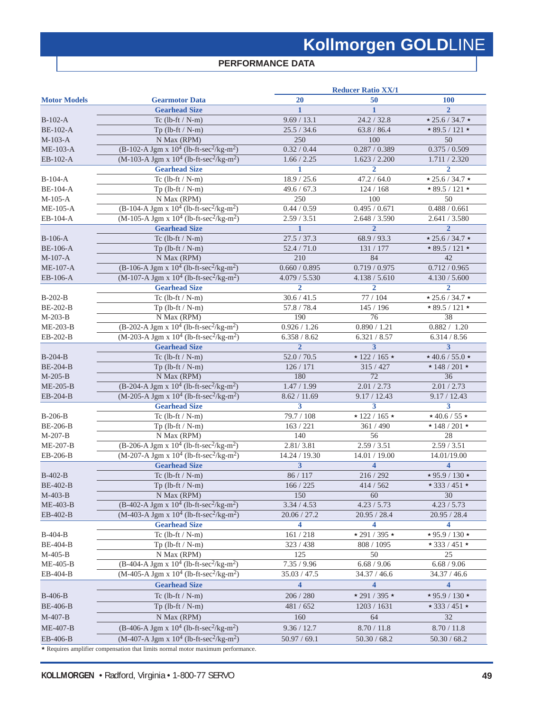### **PERFORMANCE DATA**

|                     |                                                                                     | <b>Reducer Ratio XX/1</b> |                           |                                                            |  |  |
|---------------------|-------------------------------------------------------------------------------------|---------------------------|---------------------------|------------------------------------------------------------|--|--|
| <b>Motor Models</b> | <b>Gearmotor Data</b>                                                               | 20                        | 50                        | <b>100</b>                                                 |  |  |
|                     | <b>Gearhead Size</b>                                                                | $\mathbf{1}$              | 1                         | $\overline{2}$                                             |  |  |
| $B-102-A$           | Tc $(lb-ft / N-m)$                                                                  | 9.69 / 13.1               | 24.2 / 32.8               | $* 25.6 / 34.7 *$                                          |  |  |
| <b>BE-102-A</b>     | Tp $(lb-ft / N-m)$                                                                  | 25.5 / 34.6               | 63.8 / 86.4               | $\overline{\star 89.5}$ / 121 $\star$                      |  |  |
| $M-103-A$           | N Max (RPM)                                                                         | 250                       | 100                       | 50                                                         |  |  |
| $ME-103-A$          | $(B-102-A$ Jgm x $10^4$ (lb-ft-sec <sup>2</sup> /kg-m <sup>2</sup> )                | 0.32 / 0.44               | 0.287 / 0.389             | 0.375 / 0.509                                              |  |  |
| EB-102-A            | $(M-103-A$ Jgm x $10^4$ (lb-ft-sec <sup>2</sup> /kg-m <sup>2</sup> )                | 1.66 / 2.25               | 1.623 / 2.200             | 1.711 / 2.320                                              |  |  |
|                     | <b>Gearhead Size</b>                                                                | 1                         | $\overline{2}$            | $\overline{2}$                                             |  |  |
| $B-104-A$           | Tc $(lb-ft / N-m)$                                                                  | 18.9 / 25.6               | 47.2 / 64.0               | $* 25.6 / 34.7 *$                                          |  |  |
| <b>BE-104-A</b>     | Tp $(lb-ft / N-m)$                                                                  | 49.6 / 67.3               | 124/168                   | $* 89.5 / 121 *$                                           |  |  |
| $M-105-A$           | N Max (RPM)                                                                         | 250                       | 100                       | 50                                                         |  |  |
| $ME-105-A$          | $(B-104-A$ Jgm x $10^4$ (lb-ft-sec <sup>2</sup> /kg-m <sup>2</sup> )                | 0.44 / 0.59               | 0.495 / 0.671             | 0.488 / 0.661                                              |  |  |
| EB-104-A            | $(M-105-A$ Jgm x $10^4$ (lb-ft-sec <sup>2</sup> /kg-m <sup>2</sup> )                | 2.59 / 3.51               | 2.648 / 3.590             | 2.641 / 3.580                                              |  |  |
|                     | <b>Gearhead Size</b>                                                                | $\mathbf{1}$              | $\overline{2}$            | $\overline{2}$                                             |  |  |
|                     |                                                                                     |                           |                           |                                                            |  |  |
| $B-106-A$           | Tc $(lb-ft / N-m)$                                                                  | 27.5 / 37.3               | 68.9 / 93.3               | $* 25.6 / 34.7 *$<br>$\overline{\star 89.5}$ / 121 $\star$ |  |  |
| <b>BE-106-A</b>     | Tp $(lb-ft / N-m)$                                                                  | 52.4 / 71.0               | 131 / 177                 |                                                            |  |  |
| $M-107-A$           | N Max (RPM)                                                                         | 210                       | 84                        | 42                                                         |  |  |
| $ME-107-A$          | $(B-106-A$ Jgm x $10^4$ (lb-ft-sec <sup>2</sup> /kg-m <sup>2</sup> )                | 0.660 / 0.895             | 0.719 / 0.975             | 0.712 / 0.965                                              |  |  |
| EB-106-A            | $(M-107-A$ Jgm x $10^4$ (lb-ft-sec <sup>2</sup> /kg-m <sup>2</sup> )                | 4.079 / 5.530             | 4.138 / 5.610             | 4.130 / 5.600                                              |  |  |
|                     | <b>Gearhead Size</b>                                                                | $\overline{2}$            | $\overline{2}$            | $\overline{2}$                                             |  |  |
| B-202-B             | Tc $(lb-ft / N-m)$                                                                  | 30.6 / 41.5               | 77 / 104                  | $\star$ 25.6 / 34.7 $\star$                                |  |  |
| <b>BE-202-B</b>     | Tp $(lb-ft / N-m)$                                                                  | $\overline{57.8}$ / 78.4  | 145 / 196                 | $*89.5/121*$                                               |  |  |
| $M-203-B$           | N Max (RPM)                                                                         | 190                       | 76                        | $\overline{38}$                                            |  |  |
| $ME-203-B$          | (B-202-A Jgm x $10^4$ (lb-ft-sec <sup>2</sup> /kg-m <sup>2</sup> )                  | 0.926 / 1.26              | 0.890 / 1.21              | 0.882 / 1.20                                               |  |  |
| EB-202-B            | $(M-203-A$ Jgm x $10^4$ (lb-ft-sec <sup>2</sup> /kg-m <sup>2</sup> )                | 6.358 / 8.62              | 6.321 / 8.57              | 6.314 / 8.56                                               |  |  |
|                     | <b>Gearhead Size</b>                                                                | $\overline{2}$            | 3                         | $\mathbf{3}$                                               |  |  |
| <b>B-204-B</b>      | Tc $(lb-ft / N-m)$                                                                  | 52.0 / 70.5               | $* 122 / 165 *$           | $*$ 40.6 / 55.0 $*$                                        |  |  |
| <b>BE-204-B</b>     | Tp $(lb-ft / N-m)$                                                                  | 126 / 171                 | 315 / 427                 | $\star$ 148 / 201 $\star$                                  |  |  |
| $M-205-B$           | N Max (RPM)                                                                         | 180                       | $\overline{72}$           | $\overline{36}$                                            |  |  |
| $ME-205-B$          | (B-204-A Jgm x $10^4$ (lb-ft-sec <sup>2</sup> /kg-m <sup>2</sup> )                  | 1.47 / 1.99               | 2.01 / 2.73               | 2.01 / 2.73                                                |  |  |
| EB-204-B            | $(M-205-A$ Jgm x $10^4$ (lb-ft-sec <sup>2</sup> /kg-m <sup>2</sup> )                | 8.62 / 11.69              | 9.17 / 12.43              | 9.17 / 12.43                                               |  |  |
|                     | <b>Gearhead Size</b>                                                                | $\overline{\mathbf{3}}$   | 3                         | 3                                                          |  |  |
| <b>B-206-B</b>      | Tc $(lb-ft / N-m)$                                                                  | 79.7 / 108                | $\star$ 122 / 165 $\star$ | $\star$ 40.6 / 55 $\star$                                  |  |  |
| <b>BE-206-B</b>     | Tp $(lb-ft / N-m)$                                                                  | 163 / 221                 | 361 / 490                 | $\star$ 148 / 201 $\star$                                  |  |  |
| $M-207-B$           | N Max (RPM)                                                                         | 140                       | 56                        | 28                                                         |  |  |
| ME-207-B            | $(B-206-A$ Jgm x $10^4$ (lb-ft-sec <sup>2</sup> /kg-m <sup>2</sup> )                | 2.81/3.81                 | 2.59 / 3.51               | 2.59 / 3.51                                                |  |  |
| EB-206-B            | $(M-207-A$ Jgm x $10^4$ (lb-ft-sec <sup>2</sup> /kg-m <sup>2</sup> )                | 14.24 / 19.30             | 14.01 / 19.00             | 14.01/19.00                                                |  |  |
|                     | <b>Gearhead Size</b>                                                                | $\overline{\mathbf{3}}$   | $\overline{\mathbf{4}}$   | $\overline{\mathbf{4}}$                                    |  |  |
| B-402-B             | Tc $(lb-ft / N-m)$                                                                  | 86 / 117                  | 216 / 292                 | $\star$ 95.9 / 130 $\star$                                 |  |  |
| <b>BE-402-B</b>     | Tp $(lb-ft / N-m)$                                                                  | 166 / 225                 | 414 / 562                 | $\star$ 333 / 451 $\star$                                  |  |  |
| M-403-B             |                                                                                     | 150                       | $\overline{60}$           |                                                            |  |  |
|                     | N Max (RPM)<br>$(B-402-A$ Jgm x $10^4$ (lb-ft-sec <sup>2</sup> /kg-m <sup>2</sup> ) |                           |                           | 30                                                         |  |  |
| ME-403-B            |                                                                                     | 3.34 / 4.53               | 4.23 / 5.73               | 4.23 / 5.73                                                |  |  |
| EB-402-B            | $(M-403-A$ Jgm x $10^4$ (lb-ft-sec <sup>2</sup> /kg-m <sup>2</sup> )                | 20.06 / 27.2              | 20.95 / 28.4              | 20.95 / 28.4                                               |  |  |
|                     | <b>Gearhead Size</b>                                                                | 4                         | 4                         | 4                                                          |  |  |
| <b>B-404-B</b>      | Tc $(lb-ft / N-m)$                                                                  | 161 / 218                 | $\star$ 291 / 395 $\star$ | $\star$ 95.9 / 130 $\star$                                 |  |  |
| <b>BE-404-B</b>     | Tp $(lb-ft / N-m)$                                                                  | 323 / 438                 | 808 / 1095                | $\star$ 333 / 451 $\star$                                  |  |  |
| $M-405-B$           | N Max (RPM)                                                                         | 125                       | 50                        | 25                                                         |  |  |
| ME-405-B            | $(B-404-A$ Jgm x $10^4$ (lb-ft-sec <sup>2</sup> /kg-m <sup>2</sup> )                | 7.35 / 9.96               | 6.68 / 9.06               | 6.68 / 9.06                                                |  |  |
| EB-404-B            | $(M-405-A$ Jgm x $10^4$ (lb-ft-sec <sup>2</sup> /kg-m <sup>2</sup> )                | 35.03 / 47.5              | 34.37 / 46.6              | 34.37 / 46.6                                               |  |  |
|                     | <b>Gearhead Size</b>                                                                | $\overline{\mathbf{4}}$   | 4                         | 4                                                          |  |  |
| <b>B-406-B</b>      | Tc $(lb-ft / N-m)$                                                                  | 206 / 280                 | $\star$ 291 / 395 $\star$ | $*95.9/130*$                                               |  |  |
| <b>BE-406-B</b>     | Tp $(lb-ft / N-m)$                                                                  | 481 / 652                 | 1203 / 1631               | $\star$ 333 / 451 $\star$                                  |  |  |
| $M-407-B$           | N Max (RPM)                                                                         | 160                       | 64                        | 32                                                         |  |  |
|                     |                                                                                     |                           |                           |                                                            |  |  |
| ME-407-B            | (B-406-A Jgm x $10^4$ (lb-ft-sec <sup>2</sup> /kg-m <sup>2</sup> )                  | 9.36 / 12.7               | 8.70 / 11.8               | 8.70 / 11.8                                                |  |  |
| EB-406-B            | $(M-407-A$ Jgm x $10^4$ (lb-ft-sec <sup>2</sup> /kg-m <sup>2</sup> )                | 50.97 / 69.1              | 50.30 / 68.2              | 50.30 / 68.2                                               |  |  |
|                     | * Requires amplifier compensation that limits normal motor maximum performance.     |                           |                           |                                                            |  |  |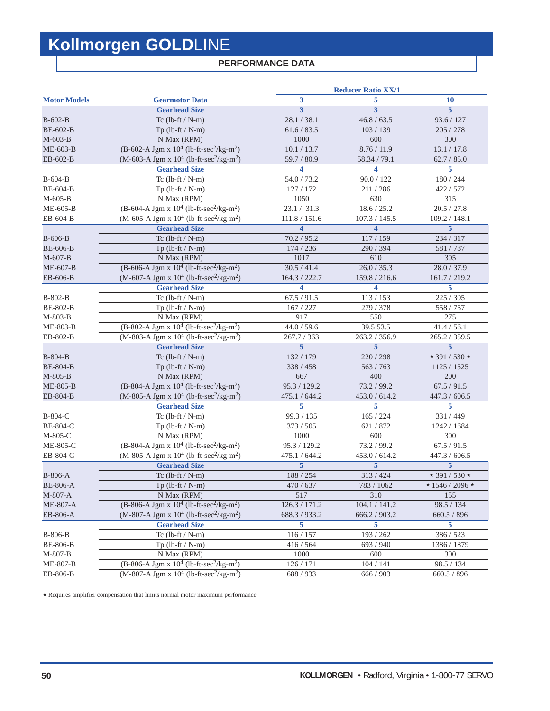### **PERFORMANCE DATA**

|                     |                                                                      | <b>Reducer Ratio XX/1</b> |                         |                           |  |  |
|---------------------|----------------------------------------------------------------------|---------------------------|-------------------------|---------------------------|--|--|
| <b>Motor Models</b> | <b>Gearmotor Data</b>                                                | 3                         | 5                       | <b>10</b>                 |  |  |
|                     | <b>Gearhead Size</b>                                                 | 3                         | 3                       | 5                         |  |  |
| $B-602-B$           | Tc $(lb-ft / N-m)$                                                   | 28.1 / 38.1               | 46.8 / 63.5             | 93.6 / 127                |  |  |
| <b>BE-602-B</b>     | $Tp$ (lb-ft / N-m)                                                   | 61.6 / 83.5               | 103 / 139               | 205 / 278                 |  |  |
| $M-603-B$           | N Max (RPM)                                                          | 1000                      | 600                     | 300                       |  |  |
| ME-603-B            | (B-602-A Jgm x $10^4$ (lb-ft-sec <sup>2</sup> /kg-m <sup>2</sup> )   | 10.1 / 13.7               | 8.76 / 11.9             | 13.1 / 17.8               |  |  |
| EB-602-B            | $(M-603-A$ Jgm x $10^4$ (lb-ft-sec <sup>2</sup> /kg-m <sup>2</sup> ) | 59.7 / 80.9               | 58.34 / 79.1            | 62.7 / 85.0               |  |  |
|                     | <b>Gearhead Size</b>                                                 | 4                         | 4                       | 5                         |  |  |
| $B-604-B$           | Tc $(lb-ft / N-m)$                                                   | 54.0 / 73.2               | 90.0 / 122              | 180 / 244                 |  |  |
| <b>BE-604-B</b>     | $Tp$ (lb-ft / N-m)                                                   | 127 / 172                 | 211/286                 | 422 / 572                 |  |  |
| $M-605-B$           | N Max (RPM)                                                          | 1050                      | 630                     | 315                       |  |  |
| $ME-605-B$          | $(B-604-A$ Jgm x $10^4$ (lb-ft-sec <sup>2</sup> /kg-m <sup>2</sup> ) | 23.1 / 31.3               | 18.6 / 25.2             | 20.5 / 27.8               |  |  |
| EB-604-B            | $(M-605-A$ Jgm x $10^4$ (lb-ft-sec <sup>2</sup> /kg-m <sup>2</sup> ) | 111.8 / 151.6             | 107.3 / 145.5           | 109.2 / 148.1             |  |  |
|                     | <b>Gearhead Size</b>                                                 | $\overline{\mathbf{4}}$   | $\overline{\mathbf{4}}$ | $\overline{5}$            |  |  |
| <b>B-606-B</b>      | Tc $(lb-ft / N-m)$                                                   | 70.2 / 95.2               | 117/159                 | 234 / 317                 |  |  |
| <b>BE-606-B</b>     | Tp $(lb$ -ft / N-m $)$                                               | 174 / 236                 | 290 / 394               | 581 / 787                 |  |  |
| $M-607-B$           | N Max (RPM)                                                          | 1017                      | 610                     | 305                       |  |  |
| ME-607-B            | $(B-606-A\ Jgm \ x\ 10^4\ (lb-ft-sec^2/kg-m^2)$                      | 30.5 / 41.4               | 26.0 / 35.3             | 28.0 / 37.9               |  |  |
| EB-606-B            | $(M-607-A$ Jgm x $10^4$ (lb-ft-sec <sup>2</sup> /kg-m <sup>2</sup> ) | 164.3 / 222.7             | 159.8 / 216.6           | 161.7 / 219.2             |  |  |
|                     | <b>Gearhead Size</b>                                                 | 4                         | 4                       | 5                         |  |  |
| B-802-B             | Tc $(lb-ft / N-m)$                                                   | 67.5 / 91.5               | 113 / 153               | 225 / 305                 |  |  |
| <b>BE-802-B</b>     | $Tp$ (lb-ft / N-m)                                                   | 167/227                   | 279 / 378               | 558 / 757                 |  |  |
| M-803-B             | N Max (RPM)                                                          | 917                       | 550                     | 275                       |  |  |
| ME-803-B            | $(B-802-A$ Jgm x $10^4$ (lb-ft-sec <sup>2</sup> /kg-m <sup>2</sup> ) | 44.0 / 59.6               | 39.5 53.5               | 41.4 / 56.1               |  |  |
| EB-802-B            | $(M-803-A$ Jgm x $10^4$ (lb-ft-sec <sup>2</sup> /kg-m <sup>2</sup> ) | 267.7 / 363               | 263.2 / 356.9           | 265.2 / 359.5             |  |  |
|                     | <b>Gearhead Size</b>                                                 | $\overline{5}$            | $\overline{5}$          | $\overline{5}$            |  |  |
| <b>B-804-B</b>      | Tc $(lb-ft / N-m)$                                                   | 132 / 179                 | 220 / 298               | $\star$ 391 / 530 $\star$ |  |  |
| <b>BE-804-B</b>     | $Tp$ (lb-ft / N-m)                                                   | 338 / 458                 | 563 / 763               | 1125 / 1525               |  |  |
| $M-805-B$           | N Max (RPM)                                                          | 667                       | 400                     | 200                       |  |  |
| ME-805-B            | $(B-804-A$ Jgm x $10^4$ (lb-ft-sec <sup>2</sup> /kg-m <sup>2</sup> ) | 95.3 / 129.2              | 73.2 / 99.2             | 67.5 / 91.5               |  |  |
| EB-804-B            | $(M-805-A$ Jgm x $10^4$ (lb-ft-sec <sup>2</sup> /kg-m <sup>2</sup> ) | 475.1 / 644.2             | 453.0 / 614.2           | 447.3 / 606.5             |  |  |
|                     | <b>Gearhead Size</b>                                                 | 5                         | 5                       | 5                         |  |  |
| B-804-C             | Tc $(lb-ft / N-m)$                                                   | 99.3 / 135                | 165 / 224               | 331 / 449                 |  |  |
| <b>BE-804-C</b>     | $Tp$ (lb-ft / N-m)                                                   | 373 / 505                 | 621 / 872               | 1242 / 1684               |  |  |
| M-805-C             | N Max (RPM)                                                          | 1000                      | 600                     | 300                       |  |  |
| ME-805-C            | $(B-804-A$ Jgm x $10^4$ (lb-ft-sec <sup>2</sup> /kg-m <sup>2</sup> ) | 95.3 / 129.2              | 73.2 / 99.2             | 67.5 / 91.5               |  |  |
| EB-804-C            | $(M-805-A$ Jgm x $10^4$ (lb-ft-sec <sup>2</sup> /kg-m <sup>2</sup> ) | 475.1 / 644.2             | 453.0 / 614.2           | 447.3 / 606.5             |  |  |
|                     | <b>Gearhead Size</b>                                                 | $\overline{5}$            | 5                       | 5                         |  |  |
| <b>B-806-A</b>      | Tc $(lb-ft/N-m)$                                                     | 188 / 254                 | 313 / 424               | $\star$ 391 / 530 $\star$ |  |  |
| <b>BE-806-A</b>     | $Tp$ (lb-ft / N-m)                                                   | 470 / 637                 | 783 / 1062              | $*1546/2096*$             |  |  |
| M-807-A             | N Max (RPM)                                                          | 517                       | 310                     | 155                       |  |  |
| <b>ME-807-A</b>     | $(B-806-A$ Jgm x $10^4$ (lb-ft-sec <sup>2</sup> /kg-m <sup>2</sup> ) | 126.3 / 171.2             | 104.1 / 141.2           | 98.5 / 134                |  |  |
| EB-806-A            | $(M-807-A$ Jgm x $10^4$ (lb-ft-sec <sup>2</sup> /kg-m <sup>2</sup> ) | 688.3 / 933.2             | 666.2 / 903.2           | 660.5 / 896               |  |  |
|                     | <b>Gearhead Size</b>                                                 | 5                         | 5                       | $\overline{5}$            |  |  |
| B-806-B             | Tc $(lb-ft / N-m)$                                                   | 116 / 157                 | 193 / 262               | 386 / 523                 |  |  |
| <b>BE-806-B</b>     | Tp $(lb-ft / N-m)$                                                   | 416 / 564                 | 693 / 940               | 1386 / 1879               |  |  |
| M-807-B             | N Max (RPM)                                                          | 1000                      | 600                     | 300                       |  |  |
| ME-807-B            | $(B-806-A$ Jgm x $10^4$ (lb-ft-sec <sup>2</sup> /kg-m <sup>2</sup> ) | 126 / 171                 | 104 / 141               | 98.5 / 134                |  |  |
| EB-806-B            | $(M-807-A$ Jgm x $10^4$ (lb-ft-sec <sup>2</sup> /kg-m <sup>2</sup> ) | 688 / 933                 | 666 / 903               | 660.5 / 896               |  |  |
|                     |                                                                      |                           |                         |                           |  |  |

 $\star$  Requires amplifier compensation that limits normal motor maximum performance.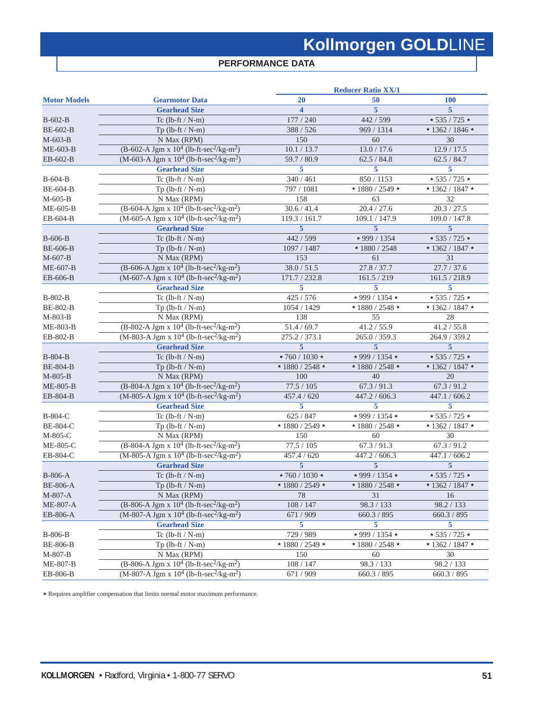### **PERFORMANCE DATA**

| 20<br>50<br><b>Gearmotor Data</b><br><b>100</b><br><b>Gearhead Size</b><br>5<br>5<br>$\overline{\mathbf{4}}$<br>177 / 240<br>442 / 599<br>$\star$ 535 / 725 $\star$<br>Tc $(lb-ft / N-m)$<br>388 / 526<br>969 / 1314<br>$* 1362 / 1846 *$<br>Tp $(lb$ -ft / N-m $)$<br>150<br>60<br>N Max (RPM)<br>30<br>(B-602-A Jgm x $10^4$ (lb-ft-sec <sup>2</sup> /kg-m <sup>2</sup> )<br>10.1 / 13.7<br>13.0 / 17.6<br>12.9 / 17.5<br>$(M-603-A$ Jgm x $10^4$ (lb-ft-sec <sup>2</sup> /kg-m <sup>2</sup> )<br>59.7 / 80.9<br>62.5 / 84.8<br>62.5 / 84.7<br><b>Gearhead Size</b><br>5<br>5<br>5<br>340 / 461<br>Tc $(lb-ft/N-m)$<br>850 / 1153<br>$\star$ 535 / 725 $\star$<br>$\star$ 1880 / 2549 $\star$<br>797 / 1081<br>$* 1362 / 1847 *$<br>Tp $(lb-ft / N-m)$<br>158<br>63<br>N Max (RPM)<br>32<br>$(B-604-A$ Jgm x $10^4$ (lb-ft-sec <sup>2</sup> /kg-m <sup>2</sup> )<br>30.6 / 41.4<br>20.4 / 27.6<br>20.3 / 27.5<br>$(M-605-A$ Jgm x $10^4$ (lb-ft-sec <sup>2</sup> /kg-m <sup>2</sup> )<br>119.3 / 161.7<br>109.1 / 147.9<br>109.0 / 147.8<br>$\overline{5}$<br>$\overline{5}$<br>$\overline{5}$<br><b>Gearhead Size</b><br>442 / 599<br>* 999 / 1354<br>$\star$ 535 / 725 $\star$<br>Tc $(lb-ft / N-m)$<br>1097 / 1487<br>$*1880 / 2548$<br>$\star$ 1362 / 1847 $\star$<br>Tp $(lb$ -ft / N-m $)$<br>153<br>31<br>N Max (RPM)<br>61<br>$(B-606-A$ Jgm x $10^4$ (lb-ft-sec <sup>2</sup> /kg-m <sup>2</sup> )<br>38.0 / 51.5<br>27.8 / 37.7<br>27.7 / 37.6<br>$(M-607-A$ Jgm x $10^4$ (lb-ft-sec <sup>2</sup> /kg-m <sup>2</sup> )<br>171.7 / 232.8<br>161.5 / 219<br>161.5 / 218.9<br><b>Gearhead Size</b><br>5<br>5<br>5<br>425 / 576<br>Tc $(lb-ft/N-m)$<br>$\star$ 999 / 1354 $\star$<br>$\star$ 535 / 725 $\star$<br>B-802-B<br><b>BE-802-B</b><br>1054 / 1429<br>$\star$ 1880 / 2548 $\star$<br>$* 1362 / 1847 *$<br>$Tp$ (lb-ft / N-m)<br>138<br>55<br>N Max (RPM)<br>28<br>$(B-802-A$ Jgm x $10^4$ (lb-ft-sec <sup>2</sup> /kg-m <sup>2</sup> )<br>51.4 / 69.7<br>41.2 / 55.9<br>41.2 / 55.8<br>ME-803-B<br>$(M-803-A$ Jgm x $10^4$ (lb-ft-sec <sup>2</sup> /kg-m <sup>2</sup> )<br>275.2 / 373.1<br>EB-802-B<br>265.0 / 359.3<br>264.9 / 359.2<br>$\overline{5}$<br><b>Gearhead Size</b><br>5<br>5<br>B-804-B<br>$\star$ 760 / 1030 $\star$<br>$\star$ 999 / 1354 $\star$<br>$\star$ 535 / 725 $\star$<br>Tc $(lb-ft / N-m)$<br>$\star$ 1880 / 2548 $\star$<br>$\star$ 1880 / 2548 $\star$<br>$\star$ 1362 / 1847 $\star$<br>Tp $(lb$ -ft / N-m $)$<br>100<br>40<br>N Max (RPM)<br>20<br>M-805-B<br>$(B-804-A$ Jgm x $10^4$ (lb-ft-sec <sup>2</sup> /kg-m <sup>2</sup> )<br>77.5 / 105<br>67.3 / 91.3<br>67.3 / 91.2<br>$(M-805-A$ Jgm x $10^4$ (lb-ft-sec <sup>2</sup> /kg-m <sup>2</sup> )<br>EB-804-B<br>457.4 / 620<br>447.2 / 606.3<br>447.1 / 606.2<br>5<br>5<br><b>Gearhead Size</b><br>5<br>B-804-C<br>625 / 847<br>$\star$ 999 / 1354 $\star$<br>$\star$ 535 / 725 $\star$<br>Tc $(lb-ft / N-m)$<br>$\star$ 1880 $\overline{$ 2549 $\star$<br>BE-804-C<br>$\star$ 1880 / 2548 $\star$<br>$* 1362 / 1847 *$<br>$Tp$ (lb-ft / N-m)<br>150<br>N Max (RPM)<br>60<br>30<br>M-805-C<br>$(B-804-A$ Jgm x $10^4$ (lb-ft-sec <sup>2</sup> /kg-m <sup>2</sup> )<br>77.5 / 105<br>67.3 / 91.3<br>67.3 / 91.2<br>ME-805-C<br>$(M-805-A$ Jgm x $10^4$ (lb-ft-sec <sup>2</sup> /kg-m <sup>2</sup> )<br>EB-804-C<br>457.4 / 620<br>447.2 / 606.3<br>447.1 / 606.2<br>$\overline{5}$<br><b>Gearhead Size</b><br>5<br>5<br><b>B-806-A</b><br>$\star$ 760 / 1030 $\star$<br>$\star$ 999 / 1354 $\star$<br>$\star$ 535 / 725 $\star$<br>Tc $(lb-ft / N-m)$<br>$Tp$ (lb-ft / N-m)<br>$\star$ 1880 / 2549 $\star$<br>$\star$ 1880 / 2548 $\star$<br>$\star$ 1362 / 1847 $\star$<br>N Max (RPM)<br>31<br>M-807-A<br>78<br>16<br>$(B-806-A\ Jgm \ x\ 10^4\ (lb-ft-sec^2/kg-m^2)$<br>98.3 / 133<br>98.2 / 133<br>ME-807-A<br>108 / 147<br>$(M-807-A$ Jgm x $10^4$ (lb-ft-sec <sup>2</sup> /kg-m <sup>2</sup> )<br>671 / 909<br>660.3 / 895<br>660.3 / 895<br>EB-806-A<br><b>Gearhead Size</b><br>5<br>5<br>5<br>729 / 989<br>$\star$ 999 / 1354 $\star$<br>$\star$ 535 / 725 $\star$<br><b>B-806-B</b><br>Tc $(lb-ft/N-m)$<br>$\star$ 1880 / 2549 $\star$<br>$\star$ 1880 / 2548 $\star$<br>$* 1362 / 1847 *$<br><b>BE-806-B</b><br>$Tp$ (lb-ft / N-m)<br>150<br>60<br>30<br>M-807-B<br>N Max (RPM)<br>$(B-806-A$ Jgm x $10^4$ (lb-ft-sec <sup>2</sup> /kg-m <sup>2</sup> )<br>98.3 / 133<br>ME-807-B<br>108 / 147<br>98.2 / 133<br>$(M-807-A$ Jgm x $10^4$ (lb-ft-sec <sup>2</sup> /kg-m <sup>2</sup> )<br>EB-806-B<br>671 / 909<br>660.3 / 895<br>660.3 / 895 |                     | <b>Reducer Ratio XX/1</b> |  |  |  |  |
|----------------------------------------------------------------------------------------------------------------------------------------------------------------------------------------------------------------------------------------------------------------------------------------------------------------------------------------------------------------------------------------------------------------------------------------------------------------------------------------------------------------------------------------------------------------------------------------------------------------------------------------------------------------------------------------------------------------------------------------------------------------------------------------------------------------------------------------------------------------------------------------------------------------------------------------------------------------------------------------------------------------------------------------------------------------------------------------------------------------------------------------------------------------------------------------------------------------------------------------------------------------------------------------------------------------------------------------------------------------------------------------------------------------------------------------------------------------------------------------------------------------------------------------------------------------------------------------------------------------------------------------------------------------------------------------------------------------------------------------------------------------------------------------------------------------------------------------------------------------------------------------------------------------------------------------------------------------------------------------------------------------------------------------------------------------------------------------------------------------------------------------------------------------------------------------------------------------------------------------------------------------------------------------------------------------------------------------------------------------------------------------------------------------------------------------------------------------------------------------------------------------------------------------------------------------------------------------------------------------------------------------------------------------------------------------------------------------------------------------------------------------------------------------------------------------------------------------------------------------------------------------------------------------------------------------------------------------------------------------------------------------------------------------------------------------------------------------------------------------------------------------------------------------------------------------------------------------------------------------------------------------------------------------------------------------------------------------------------------------------------------------------------------------------------------------------------------------------------------------------------------------------------------------------------------------------------------------------------------------------------------------------------------------------------------------------------------------------------------------------------------------------------------------------------------------------------------------------------------------------------------------------------------------------------------------------------------------------------------------------------------------------------------------------------------------------------------------------------------------------------------------------------------------------------------------------------------------------------------------------------------------------------------------------------------------------------------------------------------------------------------------------------------------------------------------------------------------------------------------------------------------------------------------------------------|---------------------|---------------------------|--|--|--|--|
|                                                                                                                                                                                                                                                                                                                                                                                                                                                                                                                                                                                                                                                                                                                                                                                                                                                                                                                                                                                                                                                                                                                                                                                                                                                                                                                                                                                                                                                                                                                                                                                                                                                                                                                                                                                                                                                                                                                                                                                                                                                                                                                                                                                                                                                                                                                                                                                                                                                                                                                                                                                                                                                                                                                                                                                                                                                                                                                                                                                                                                                                                                                                                                                                                                                                                                                                                                                                                                                                                                                                                                                                                                                                                                                                                                                                                                                                                                                                                                                                                                                                                                                                                                                                                                                                                                                                                                                                                                                                                                                                                          | <b>Motor Models</b> |                           |  |  |  |  |
|                                                                                                                                                                                                                                                                                                                                                                                                                                                                                                                                                                                                                                                                                                                                                                                                                                                                                                                                                                                                                                                                                                                                                                                                                                                                                                                                                                                                                                                                                                                                                                                                                                                                                                                                                                                                                                                                                                                                                                                                                                                                                                                                                                                                                                                                                                                                                                                                                                                                                                                                                                                                                                                                                                                                                                                                                                                                                                                                                                                                                                                                                                                                                                                                                                                                                                                                                                                                                                                                                                                                                                                                                                                                                                                                                                                                                                                                                                                                                                                                                                                                                                                                                                                                                                                                                                                                                                                                                                                                                                                                                          |                     |                           |  |  |  |  |
|                                                                                                                                                                                                                                                                                                                                                                                                                                                                                                                                                                                                                                                                                                                                                                                                                                                                                                                                                                                                                                                                                                                                                                                                                                                                                                                                                                                                                                                                                                                                                                                                                                                                                                                                                                                                                                                                                                                                                                                                                                                                                                                                                                                                                                                                                                                                                                                                                                                                                                                                                                                                                                                                                                                                                                                                                                                                                                                                                                                                                                                                                                                                                                                                                                                                                                                                                                                                                                                                                                                                                                                                                                                                                                                                                                                                                                                                                                                                                                                                                                                                                                                                                                                                                                                                                                                                                                                                                                                                                                                                                          | $B-602-B$           |                           |  |  |  |  |
|                                                                                                                                                                                                                                                                                                                                                                                                                                                                                                                                                                                                                                                                                                                                                                                                                                                                                                                                                                                                                                                                                                                                                                                                                                                                                                                                                                                                                                                                                                                                                                                                                                                                                                                                                                                                                                                                                                                                                                                                                                                                                                                                                                                                                                                                                                                                                                                                                                                                                                                                                                                                                                                                                                                                                                                                                                                                                                                                                                                                                                                                                                                                                                                                                                                                                                                                                                                                                                                                                                                                                                                                                                                                                                                                                                                                                                                                                                                                                                                                                                                                                                                                                                                                                                                                                                                                                                                                                                                                                                                                                          | <b>BE-602-B</b>     |                           |  |  |  |  |
|                                                                                                                                                                                                                                                                                                                                                                                                                                                                                                                                                                                                                                                                                                                                                                                                                                                                                                                                                                                                                                                                                                                                                                                                                                                                                                                                                                                                                                                                                                                                                                                                                                                                                                                                                                                                                                                                                                                                                                                                                                                                                                                                                                                                                                                                                                                                                                                                                                                                                                                                                                                                                                                                                                                                                                                                                                                                                                                                                                                                                                                                                                                                                                                                                                                                                                                                                                                                                                                                                                                                                                                                                                                                                                                                                                                                                                                                                                                                                                                                                                                                                                                                                                                                                                                                                                                                                                                                                                                                                                                                                          | $M-603-B$           |                           |  |  |  |  |
|                                                                                                                                                                                                                                                                                                                                                                                                                                                                                                                                                                                                                                                                                                                                                                                                                                                                                                                                                                                                                                                                                                                                                                                                                                                                                                                                                                                                                                                                                                                                                                                                                                                                                                                                                                                                                                                                                                                                                                                                                                                                                                                                                                                                                                                                                                                                                                                                                                                                                                                                                                                                                                                                                                                                                                                                                                                                                                                                                                                                                                                                                                                                                                                                                                                                                                                                                                                                                                                                                                                                                                                                                                                                                                                                                                                                                                                                                                                                                                                                                                                                                                                                                                                                                                                                                                                                                                                                                                                                                                                                                          | $ME-603-B$          |                           |  |  |  |  |
|                                                                                                                                                                                                                                                                                                                                                                                                                                                                                                                                                                                                                                                                                                                                                                                                                                                                                                                                                                                                                                                                                                                                                                                                                                                                                                                                                                                                                                                                                                                                                                                                                                                                                                                                                                                                                                                                                                                                                                                                                                                                                                                                                                                                                                                                                                                                                                                                                                                                                                                                                                                                                                                                                                                                                                                                                                                                                                                                                                                                                                                                                                                                                                                                                                                                                                                                                                                                                                                                                                                                                                                                                                                                                                                                                                                                                                                                                                                                                                                                                                                                                                                                                                                                                                                                                                                                                                                                                                                                                                                                                          | EB-602-B            |                           |  |  |  |  |
|                                                                                                                                                                                                                                                                                                                                                                                                                                                                                                                                                                                                                                                                                                                                                                                                                                                                                                                                                                                                                                                                                                                                                                                                                                                                                                                                                                                                                                                                                                                                                                                                                                                                                                                                                                                                                                                                                                                                                                                                                                                                                                                                                                                                                                                                                                                                                                                                                                                                                                                                                                                                                                                                                                                                                                                                                                                                                                                                                                                                                                                                                                                                                                                                                                                                                                                                                                                                                                                                                                                                                                                                                                                                                                                                                                                                                                                                                                                                                                                                                                                                                                                                                                                                                                                                                                                                                                                                                                                                                                                                                          |                     |                           |  |  |  |  |
|                                                                                                                                                                                                                                                                                                                                                                                                                                                                                                                                                                                                                                                                                                                                                                                                                                                                                                                                                                                                                                                                                                                                                                                                                                                                                                                                                                                                                                                                                                                                                                                                                                                                                                                                                                                                                                                                                                                                                                                                                                                                                                                                                                                                                                                                                                                                                                                                                                                                                                                                                                                                                                                                                                                                                                                                                                                                                                                                                                                                                                                                                                                                                                                                                                                                                                                                                                                                                                                                                                                                                                                                                                                                                                                                                                                                                                                                                                                                                                                                                                                                                                                                                                                                                                                                                                                                                                                                                                                                                                                                                          | B-604-B             |                           |  |  |  |  |
|                                                                                                                                                                                                                                                                                                                                                                                                                                                                                                                                                                                                                                                                                                                                                                                                                                                                                                                                                                                                                                                                                                                                                                                                                                                                                                                                                                                                                                                                                                                                                                                                                                                                                                                                                                                                                                                                                                                                                                                                                                                                                                                                                                                                                                                                                                                                                                                                                                                                                                                                                                                                                                                                                                                                                                                                                                                                                                                                                                                                                                                                                                                                                                                                                                                                                                                                                                                                                                                                                                                                                                                                                                                                                                                                                                                                                                                                                                                                                                                                                                                                                                                                                                                                                                                                                                                                                                                                                                                                                                                                                          | <b>BE-604-B</b>     |                           |  |  |  |  |
|                                                                                                                                                                                                                                                                                                                                                                                                                                                                                                                                                                                                                                                                                                                                                                                                                                                                                                                                                                                                                                                                                                                                                                                                                                                                                                                                                                                                                                                                                                                                                                                                                                                                                                                                                                                                                                                                                                                                                                                                                                                                                                                                                                                                                                                                                                                                                                                                                                                                                                                                                                                                                                                                                                                                                                                                                                                                                                                                                                                                                                                                                                                                                                                                                                                                                                                                                                                                                                                                                                                                                                                                                                                                                                                                                                                                                                                                                                                                                                                                                                                                                                                                                                                                                                                                                                                                                                                                                                                                                                                                                          | $M-605-B$           |                           |  |  |  |  |
|                                                                                                                                                                                                                                                                                                                                                                                                                                                                                                                                                                                                                                                                                                                                                                                                                                                                                                                                                                                                                                                                                                                                                                                                                                                                                                                                                                                                                                                                                                                                                                                                                                                                                                                                                                                                                                                                                                                                                                                                                                                                                                                                                                                                                                                                                                                                                                                                                                                                                                                                                                                                                                                                                                                                                                                                                                                                                                                                                                                                                                                                                                                                                                                                                                                                                                                                                                                                                                                                                                                                                                                                                                                                                                                                                                                                                                                                                                                                                                                                                                                                                                                                                                                                                                                                                                                                                                                                                                                                                                                                                          | ME-605-B            |                           |  |  |  |  |
|                                                                                                                                                                                                                                                                                                                                                                                                                                                                                                                                                                                                                                                                                                                                                                                                                                                                                                                                                                                                                                                                                                                                                                                                                                                                                                                                                                                                                                                                                                                                                                                                                                                                                                                                                                                                                                                                                                                                                                                                                                                                                                                                                                                                                                                                                                                                                                                                                                                                                                                                                                                                                                                                                                                                                                                                                                                                                                                                                                                                                                                                                                                                                                                                                                                                                                                                                                                                                                                                                                                                                                                                                                                                                                                                                                                                                                                                                                                                                                                                                                                                                                                                                                                                                                                                                                                                                                                                                                                                                                                                                          | EB-604-B            |                           |  |  |  |  |
|                                                                                                                                                                                                                                                                                                                                                                                                                                                                                                                                                                                                                                                                                                                                                                                                                                                                                                                                                                                                                                                                                                                                                                                                                                                                                                                                                                                                                                                                                                                                                                                                                                                                                                                                                                                                                                                                                                                                                                                                                                                                                                                                                                                                                                                                                                                                                                                                                                                                                                                                                                                                                                                                                                                                                                                                                                                                                                                                                                                                                                                                                                                                                                                                                                                                                                                                                                                                                                                                                                                                                                                                                                                                                                                                                                                                                                                                                                                                                                                                                                                                                                                                                                                                                                                                                                                                                                                                                                                                                                                                                          |                     |                           |  |  |  |  |
|                                                                                                                                                                                                                                                                                                                                                                                                                                                                                                                                                                                                                                                                                                                                                                                                                                                                                                                                                                                                                                                                                                                                                                                                                                                                                                                                                                                                                                                                                                                                                                                                                                                                                                                                                                                                                                                                                                                                                                                                                                                                                                                                                                                                                                                                                                                                                                                                                                                                                                                                                                                                                                                                                                                                                                                                                                                                                                                                                                                                                                                                                                                                                                                                                                                                                                                                                                                                                                                                                                                                                                                                                                                                                                                                                                                                                                                                                                                                                                                                                                                                                                                                                                                                                                                                                                                                                                                                                                                                                                                                                          | <b>B-606-B</b>      |                           |  |  |  |  |
|                                                                                                                                                                                                                                                                                                                                                                                                                                                                                                                                                                                                                                                                                                                                                                                                                                                                                                                                                                                                                                                                                                                                                                                                                                                                                                                                                                                                                                                                                                                                                                                                                                                                                                                                                                                                                                                                                                                                                                                                                                                                                                                                                                                                                                                                                                                                                                                                                                                                                                                                                                                                                                                                                                                                                                                                                                                                                                                                                                                                                                                                                                                                                                                                                                                                                                                                                                                                                                                                                                                                                                                                                                                                                                                                                                                                                                                                                                                                                                                                                                                                                                                                                                                                                                                                                                                                                                                                                                                                                                                                                          | <b>BE-606-B</b>     |                           |  |  |  |  |
|                                                                                                                                                                                                                                                                                                                                                                                                                                                                                                                                                                                                                                                                                                                                                                                                                                                                                                                                                                                                                                                                                                                                                                                                                                                                                                                                                                                                                                                                                                                                                                                                                                                                                                                                                                                                                                                                                                                                                                                                                                                                                                                                                                                                                                                                                                                                                                                                                                                                                                                                                                                                                                                                                                                                                                                                                                                                                                                                                                                                                                                                                                                                                                                                                                                                                                                                                                                                                                                                                                                                                                                                                                                                                                                                                                                                                                                                                                                                                                                                                                                                                                                                                                                                                                                                                                                                                                                                                                                                                                                                                          | $M-607-B$           |                           |  |  |  |  |
|                                                                                                                                                                                                                                                                                                                                                                                                                                                                                                                                                                                                                                                                                                                                                                                                                                                                                                                                                                                                                                                                                                                                                                                                                                                                                                                                                                                                                                                                                                                                                                                                                                                                                                                                                                                                                                                                                                                                                                                                                                                                                                                                                                                                                                                                                                                                                                                                                                                                                                                                                                                                                                                                                                                                                                                                                                                                                                                                                                                                                                                                                                                                                                                                                                                                                                                                                                                                                                                                                                                                                                                                                                                                                                                                                                                                                                                                                                                                                                                                                                                                                                                                                                                                                                                                                                                                                                                                                                                                                                                                                          | ME-607-B            |                           |  |  |  |  |
|                                                                                                                                                                                                                                                                                                                                                                                                                                                                                                                                                                                                                                                                                                                                                                                                                                                                                                                                                                                                                                                                                                                                                                                                                                                                                                                                                                                                                                                                                                                                                                                                                                                                                                                                                                                                                                                                                                                                                                                                                                                                                                                                                                                                                                                                                                                                                                                                                                                                                                                                                                                                                                                                                                                                                                                                                                                                                                                                                                                                                                                                                                                                                                                                                                                                                                                                                                                                                                                                                                                                                                                                                                                                                                                                                                                                                                                                                                                                                                                                                                                                                                                                                                                                                                                                                                                                                                                                                                                                                                                                                          | EB-606-B            |                           |  |  |  |  |
|                                                                                                                                                                                                                                                                                                                                                                                                                                                                                                                                                                                                                                                                                                                                                                                                                                                                                                                                                                                                                                                                                                                                                                                                                                                                                                                                                                                                                                                                                                                                                                                                                                                                                                                                                                                                                                                                                                                                                                                                                                                                                                                                                                                                                                                                                                                                                                                                                                                                                                                                                                                                                                                                                                                                                                                                                                                                                                                                                                                                                                                                                                                                                                                                                                                                                                                                                                                                                                                                                                                                                                                                                                                                                                                                                                                                                                                                                                                                                                                                                                                                                                                                                                                                                                                                                                                                                                                                                                                                                                                                                          |                     |                           |  |  |  |  |
|                                                                                                                                                                                                                                                                                                                                                                                                                                                                                                                                                                                                                                                                                                                                                                                                                                                                                                                                                                                                                                                                                                                                                                                                                                                                                                                                                                                                                                                                                                                                                                                                                                                                                                                                                                                                                                                                                                                                                                                                                                                                                                                                                                                                                                                                                                                                                                                                                                                                                                                                                                                                                                                                                                                                                                                                                                                                                                                                                                                                                                                                                                                                                                                                                                                                                                                                                                                                                                                                                                                                                                                                                                                                                                                                                                                                                                                                                                                                                                                                                                                                                                                                                                                                                                                                                                                                                                                                                                                                                                                                                          |                     |                           |  |  |  |  |
|                                                                                                                                                                                                                                                                                                                                                                                                                                                                                                                                                                                                                                                                                                                                                                                                                                                                                                                                                                                                                                                                                                                                                                                                                                                                                                                                                                                                                                                                                                                                                                                                                                                                                                                                                                                                                                                                                                                                                                                                                                                                                                                                                                                                                                                                                                                                                                                                                                                                                                                                                                                                                                                                                                                                                                                                                                                                                                                                                                                                                                                                                                                                                                                                                                                                                                                                                                                                                                                                                                                                                                                                                                                                                                                                                                                                                                                                                                                                                                                                                                                                                                                                                                                                                                                                                                                                                                                                                                                                                                                                                          |                     |                           |  |  |  |  |
|                                                                                                                                                                                                                                                                                                                                                                                                                                                                                                                                                                                                                                                                                                                                                                                                                                                                                                                                                                                                                                                                                                                                                                                                                                                                                                                                                                                                                                                                                                                                                                                                                                                                                                                                                                                                                                                                                                                                                                                                                                                                                                                                                                                                                                                                                                                                                                                                                                                                                                                                                                                                                                                                                                                                                                                                                                                                                                                                                                                                                                                                                                                                                                                                                                                                                                                                                                                                                                                                                                                                                                                                                                                                                                                                                                                                                                                                                                                                                                                                                                                                                                                                                                                                                                                                                                                                                                                                                                                                                                                                                          | M-803-B             |                           |  |  |  |  |
|                                                                                                                                                                                                                                                                                                                                                                                                                                                                                                                                                                                                                                                                                                                                                                                                                                                                                                                                                                                                                                                                                                                                                                                                                                                                                                                                                                                                                                                                                                                                                                                                                                                                                                                                                                                                                                                                                                                                                                                                                                                                                                                                                                                                                                                                                                                                                                                                                                                                                                                                                                                                                                                                                                                                                                                                                                                                                                                                                                                                                                                                                                                                                                                                                                                                                                                                                                                                                                                                                                                                                                                                                                                                                                                                                                                                                                                                                                                                                                                                                                                                                                                                                                                                                                                                                                                                                                                                                                                                                                                                                          |                     |                           |  |  |  |  |
|                                                                                                                                                                                                                                                                                                                                                                                                                                                                                                                                                                                                                                                                                                                                                                                                                                                                                                                                                                                                                                                                                                                                                                                                                                                                                                                                                                                                                                                                                                                                                                                                                                                                                                                                                                                                                                                                                                                                                                                                                                                                                                                                                                                                                                                                                                                                                                                                                                                                                                                                                                                                                                                                                                                                                                                                                                                                                                                                                                                                                                                                                                                                                                                                                                                                                                                                                                                                                                                                                                                                                                                                                                                                                                                                                                                                                                                                                                                                                                                                                                                                                                                                                                                                                                                                                                                                                                                                                                                                                                                                                          |                     |                           |  |  |  |  |
|                                                                                                                                                                                                                                                                                                                                                                                                                                                                                                                                                                                                                                                                                                                                                                                                                                                                                                                                                                                                                                                                                                                                                                                                                                                                                                                                                                                                                                                                                                                                                                                                                                                                                                                                                                                                                                                                                                                                                                                                                                                                                                                                                                                                                                                                                                                                                                                                                                                                                                                                                                                                                                                                                                                                                                                                                                                                                                                                                                                                                                                                                                                                                                                                                                                                                                                                                                                                                                                                                                                                                                                                                                                                                                                                                                                                                                                                                                                                                                                                                                                                                                                                                                                                                                                                                                                                                                                                                                                                                                                                                          |                     |                           |  |  |  |  |
|                                                                                                                                                                                                                                                                                                                                                                                                                                                                                                                                                                                                                                                                                                                                                                                                                                                                                                                                                                                                                                                                                                                                                                                                                                                                                                                                                                                                                                                                                                                                                                                                                                                                                                                                                                                                                                                                                                                                                                                                                                                                                                                                                                                                                                                                                                                                                                                                                                                                                                                                                                                                                                                                                                                                                                                                                                                                                                                                                                                                                                                                                                                                                                                                                                                                                                                                                                                                                                                                                                                                                                                                                                                                                                                                                                                                                                                                                                                                                                                                                                                                                                                                                                                                                                                                                                                                                                                                                                                                                                                                                          |                     |                           |  |  |  |  |
|                                                                                                                                                                                                                                                                                                                                                                                                                                                                                                                                                                                                                                                                                                                                                                                                                                                                                                                                                                                                                                                                                                                                                                                                                                                                                                                                                                                                                                                                                                                                                                                                                                                                                                                                                                                                                                                                                                                                                                                                                                                                                                                                                                                                                                                                                                                                                                                                                                                                                                                                                                                                                                                                                                                                                                                                                                                                                                                                                                                                                                                                                                                                                                                                                                                                                                                                                                                                                                                                                                                                                                                                                                                                                                                                                                                                                                                                                                                                                                                                                                                                                                                                                                                                                                                                                                                                                                                                                                                                                                                                                          | <b>BE-804-B</b>     |                           |  |  |  |  |
|                                                                                                                                                                                                                                                                                                                                                                                                                                                                                                                                                                                                                                                                                                                                                                                                                                                                                                                                                                                                                                                                                                                                                                                                                                                                                                                                                                                                                                                                                                                                                                                                                                                                                                                                                                                                                                                                                                                                                                                                                                                                                                                                                                                                                                                                                                                                                                                                                                                                                                                                                                                                                                                                                                                                                                                                                                                                                                                                                                                                                                                                                                                                                                                                                                                                                                                                                                                                                                                                                                                                                                                                                                                                                                                                                                                                                                                                                                                                                                                                                                                                                                                                                                                                                                                                                                                                                                                                                                                                                                                                                          |                     |                           |  |  |  |  |
|                                                                                                                                                                                                                                                                                                                                                                                                                                                                                                                                                                                                                                                                                                                                                                                                                                                                                                                                                                                                                                                                                                                                                                                                                                                                                                                                                                                                                                                                                                                                                                                                                                                                                                                                                                                                                                                                                                                                                                                                                                                                                                                                                                                                                                                                                                                                                                                                                                                                                                                                                                                                                                                                                                                                                                                                                                                                                                                                                                                                                                                                                                                                                                                                                                                                                                                                                                                                                                                                                                                                                                                                                                                                                                                                                                                                                                                                                                                                                                                                                                                                                                                                                                                                                                                                                                                                                                                                                                                                                                                                                          | ME-805-B            |                           |  |  |  |  |
|                                                                                                                                                                                                                                                                                                                                                                                                                                                                                                                                                                                                                                                                                                                                                                                                                                                                                                                                                                                                                                                                                                                                                                                                                                                                                                                                                                                                                                                                                                                                                                                                                                                                                                                                                                                                                                                                                                                                                                                                                                                                                                                                                                                                                                                                                                                                                                                                                                                                                                                                                                                                                                                                                                                                                                                                                                                                                                                                                                                                                                                                                                                                                                                                                                                                                                                                                                                                                                                                                                                                                                                                                                                                                                                                                                                                                                                                                                                                                                                                                                                                                                                                                                                                                                                                                                                                                                                                                                                                                                                                                          |                     |                           |  |  |  |  |
|                                                                                                                                                                                                                                                                                                                                                                                                                                                                                                                                                                                                                                                                                                                                                                                                                                                                                                                                                                                                                                                                                                                                                                                                                                                                                                                                                                                                                                                                                                                                                                                                                                                                                                                                                                                                                                                                                                                                                                                                                                                                                                                                                                                                                                                                                                                                                                                                                                                                                                                                                                                                                                                                                                                                                                                                                                                                                                                                                                                                                                                                                                                                                                                                                                                                                                                                                                                                                                                                                                                                                                                                                                                                                                                                                                                                                                                                                                                                                                                                                                                                                                                                                                                                                                                                                                                                                                                                                                                                                                                                                          |                     |                           |  |  |  |  |
|                                                                                                                                                                                                                                                                                                                                                                                                                                                                                                                                                                                                                                                                                                                                                                                                                                                                                                                                                                                                                                                                                                                                                                                                                                                                                                                                                                                                                                                                                                                                                                                                                                                                                                                                                                                                                                                                                                                                                                                                                                                                                                                                                                                                                                                                                                                                                                                                                                                                                                                                                                                                                                                                                                                                                                                                                                                                                                                                                                                                                                                                                                                                                                                                                                                                                                                                                                                                                                                                                                                                                                                                                                                                                                                                                                                                                                                                                                                                                                                                                                                                                                                                                                                                                                                                                                                                                                                                                                                                                                                                                          |                     |                           |  |  |  |  |
|                                                                                                                                                                                                                                                                                                                                                                                                                                                                                                                                                                                                                                                                                                                                                                                                                                                                                                                                                                                                                                                                                                                                                                                                                                                                                                                                                                                                                                                                                                                                                                                                                                                                                                                                                                                                                                                                                                                                                                                                                                                                                                                                                                                                                                                                                                                                                                                                                                                                                                                                                                                                                                                                                                                                                                                                                                                                                                                                                                                                                                                                                                                                                                                                                                                                                                                                                                                                                                                                                                                                                                                                                                                                                                                                                                                                                                                                                                                                                                                                                                                                                                                                                                                                                                                                                                                                                                                                                                                                                                                                                          |                     |                           |  |  |  |  |
|                                                                                                                                                                                                                                                                                                                                                                                                                                                                                                                                                                                                                                                                                                                                                                                                                                                                                                                                                                                                                                                                                                                                                                                                                                                                                                                                                                                                                                                                                                                                                                                                                                                                                                                                                                                                                                                                                                                                                                                                                                                                                                                                                                                                                                                                                                                                                                                                                                                                                                                                                                                                                                                                                                                                                                                                                                                                                                                                                                                                                                                                                                                                                                                                                                                                                                                                                                                                                                                                                                                                                                                                                                                                                                                                                                                                                                                                                                                                                                                                                                                                                                                                                                                                                                                                                                                                                                                                                                                                                                                                                          |                     |                           |  |  |  |  |
|                                                                                                                                                                                                                                                                                                                                                                                                                                                                                                                                                                                                                                                                                                                                                                                                                                                                                                                                                                                                                                                                                                                                                                                                                                                                                                                                                                                                                                                                                                                                                                                                                                                                                                                                                                                                                                                                                                                                                                                                                                                                                                                                                                                                                                                                                                                                                                                                                                                                                                                                                                                                                                                                                                                                                                                                                                                                                                                                                                                                                                                                                                                                                                                                                                                                                                                                                                                                                                                                                                                                                                                                                                                                                                                                                                                                                                                                                                                                                                                                                                                                                                                                                                                                                                                                                                                                                                                                                                                                                                                                                          |                     |                           |  |  |  |  |
|                                                                                                                                                                                                                                                                                                                                                                                                                                                                                                                                                                                                                                                                                                                                                                                                                                                                                                                                                                                                                                                                                                                                                                                                                                                                                                                                                                                                                                                                                                                                                                                                                                                                                                                                                                                                                                                                                                                                                                                                                                                                                                                                                                                                                                                                                                                                                                                                                                                                                                                                                                                                                                                                                                                                                                                                                                                                                                                                                                                                                                                                                                                                                                                                                                                                                                                                                                                                                                                                                                                                                                                                                                                                                                                                                                                                                                                                                                                                                                                                                                                                                                                                                                                                                                                                                                                                                                                                                                                                                                                                                          |                     |                           |  |  |  |  |
|                                                                                                                                                                                                                                                                                                                                                                                                                                                                                                                                                                                                                                                                                                                                                                                                                                                                                                                                                                                                                                                                                                                                                                                                                                                                                                                                                                                                                                                                                                                                                                                                                                                                                                                                                                                                                                                                                                                                                                                                                                                                                                                                                                                                                                                                                                                                                                                                                                                                                                                                                                                                                                                                                                                                                                                                                                                                                                                                                                                                                                                                                                                                                                                                                                                                                                                                                                                                                                                                                                                                                                                                                                                                                                                                                                                                                                                                                                                                                                                                                                                                                                                                                                                                                                                                                                                                                                                                                                                                                                                                                          |                     |                           |  |  |  |  |
|                                                                                                                                                                                                                                                                                                                                                                                                                                                                                                                                                                                                                                                                                                                                                                                                                                                                                                                                                                                                                                                                                                                                                                                                                                                                                                                                                                                                                                                                                                                                                                                                                                                                                                                                                                                                                                                                                                                                                                                                                                                                                                                                                                                                                                                                                                                                                                                                                                                                                                                                                                                                                                                                                                                                                                                                                                                                                                                                                                                                                                                                                                                                                                                                                                                                                                                                                                                                                                                                                                                                                                                                                                                                                                                                                                                                                                                                                                                                                                                                                                                                                                                                                                                                                                                                                                                                                                                                                                                                                                                                                          |                     |                           |  |  |  |  |
|                                                                                                                                                                                                                                                                                                                                                                                                                                                                                                                                                                                                                                                                                                                                                                                                                                                                                                                                                                                                                                                                                                                                                                                                                                                                                                                                                                                                                                                                                                                                                                                                                                                                                                                                                                                                                                                                                                                                                                                                                                                                                                                                                                                                                                                                                                                                                                                                                                                                                                                                                                                                                                                                                                                                                                                                                                                                                                                                                                                                                                                                                                                                                                                                                                                                                                                                                                                                                                                                                                                                                                                                                                                                                                                                                                                                                                                                                                                                                                                                                                                                                                                                                                                                                                                                                                                                                                                                                                                                                                                                                          | <b>BE-806-A</b>     |                           |  |  |  |  |
|                                                                                                                                                                                                                                                                                                                                                                                                                                                                                                                                                                                                                                                                                                                                                                                                                                                                                                                                                                                                                                                                                                                                                                                                                                                                                                                                                                                                                                                                                                                                                                                                                                                                                                                                                                                                                                                                                                                                                                                                                                                                                                                                                                                                                                                                                                                                                                                                                                                                                                                                                                                                                                                                                                                                                                                                                                                                                                                                                                                                                                                                                                                                                                                                                                                                                                                                                                                                                                                                                                                                                                                                                                                                                                                                                                                                                                                                                                                                                                                                                                                                                                                                                                                                                                                                                                                                                                                                                                                                                                                                                          |                     |                           |  |  |  |  |
|                                                                                                                                                                                                                                                                                                                                                                                                                                                                                                                                                                                                                                                                                                                                                                                                                                                                                                                                                                                                                                                                                                                                                                                                                                                                                                                                                                                                                                                                                                                                                                                                                                                                                                                                                                                                                                                                                                                                                                                                                                                                                                                                                                                                                                                                                                                                                                                                                                                                                                                                                                                                                                                                                                                                                                                                                                                                                                                                                                                                                                                                                                                                                                                                                                                                                                                                                                                                                                                                                                                                                                                                                                                                                                                                                                                                                                                                                                                                                                                                                                                                                                                                                                                                                                                                                                                                                                                                                                                                                                                                                          |                     |                           |  |  |  |  |
|                                                                                                                                                                                                                                                                                                                                                                                                                                                                                                                                                                                                                                                                                                                                                                                                                                                                                                                                                                                                                                                                                                                                                                                                                                                                                                                                                                                                                                                                                                                                                                                                                                                                                                                                                                                                                                                                                                                                                                                                                                                                                                                                                                                                                                                                                                                                                                                                                                                                                                                                                                                                                                                                                                                                                                                                                                                                                                                                                                                                                                                                                                                                                                                                                                                                                                                                                                                                                                                                                                                                                                                                                                                                                                                                                                                                                                                                                                                                                                                                                                                                                                                                                                                                                                                                                                                                                                                                                                                                                                                                                          |                     |                           |  |  |  |  |
|                                                                                                                                                                                                                                                                                                                                                                                                                                                                                                                                                                                                                                                                                                                                                                                                                                                                                                                                                                                                                                                                                                                                                                                                                                                                                                                                                                                                                                                                                                                                                                                                                                                                                                                                                                                                                                                                                                                                                                                                                                                                                                                                                                                                                                                                                                                                                                                                                                                                                                                                                                                                                                                                                                                                                                                                                                                                                                                                                                                                                                                                                                                                                                                                                                                                                                                                                                                                                                                                                                                                                                                                                                                                                                                                                                                                                                                                                                                                                                                                                                                                                                                                                                                                                                                                                                                                                                                                                                                                                                                                                          |                     |                           |  |  |  |  |
|                                                                                                                                                                                                                                                                                                                                                                                                                                                                                                                                                                                                                                                                                                                                                                                                                                                                                                                                                                                                                                                                                                                                                                                                                                                                                                                                                                                                                                                                                                                                                                                                                                                                                                                                                                                                                                                                                                                                                                                                                                                                                                                                                                                                                                                                                                                                                                                                                                                                                                                                                                                                                                                                                                                                                                                                                                                                                                                                                                                                                                                                                                                                                                                                                                                                                                                                                                                                                                                                                                                                                                                                                                                                                                                                                                                                                                                                                                                                                                                                                                                                                                                                                                                                                                                                                                                                                                                                                                                                                                                                                          |                     |                           |  |  |  |  |
|                                                                                                                                                                                                                                                                                                                                                                                                                                                                                                                                                                                                                                                                                                                                                                                                                                                                                                                                                                                                                                                                                                                                                                                                                                                                                                                                                                                                                                                                                                                                                                                                                                                                                                                                                                                                                                                                                                                                                                                                                                                                                                                                                                                                                                                                                                                                                                                                                                                                                                                                                                                                                                                                                                                                                                                                                                                                                                                                                                                                                                                                                                                                                                                                                                                                                                                                                                                                                                                                                                                                                                                                                                                                                                                                                                                                                                                                                                                                                                                                                                                                                                                                                                                                                                                                                                                                                                                                                                                                                                                                                          |                     |                           |  |  |  |  |
|                                                                                                                                                                                                                                                                                                                                                                                                                                                                                                                                                                                                                                                                                                                                                                                                                                                                                                                                                                                                                                                                                                                                                                                                                                                                                                                                                                                                                                                                                                                                                                                                                                                                                                                                                                                                                                                                                                                                                                                                                                                                                                                                                                                                                                                                                                                                                                                                                                                                                                                                                                                                                                                                                                                                                                                                                                                                                                                                                                                                                                                                                                                                                                                                                                                                                                                                                                                                                                                                                                                                                                                                                                                                                                                                                                                                                                                                                                                                                                                                                                                                                                                                                                                                                                                                                                                                                                                                                                                                                                                                                          |                     |                           |  |  |  |  |
|                                                                                                                                                                                                                                                                                                                                                                                                                                                                                                                                                                                                                                                                                                                                                                                                                                                                                                                                                                                                                                                                                                                                                                                                                                                                                                                                                                                                                                                                                                                                                                                                                                                                                                                                                                                                                                                                                                                                                                                                                                                                                                                                                                                                                                                                                                                                                                                                                                                                                                                                                                                                                                                                                                                                                                                                                                                                                                                                                                                                                                                                                                                                                                                                                                                                                                                                                                                                                                                                                                                                                                                                                                                                                                                                                                                                                                                                                                                                                                                                                                                                                                                                                                                                                                                                                                                                                                                                                                                                                                                                                          |                     |                           |  |  |  |  |
|                                                                                                                                                                                                                                                                                                                                                                                                                                                                                                                                                                                                                                                                                                                                                                                                                                                                                                                                                                                                                                                                                                                                                                                                                                                                                                                                                                                                                                                                                                                                                                                                                                                                                                                                                                                                                                                                                                                                                                                                                                                                                                                                                                                                                                                                                                                                                                                                                                                                                                                                                                                                                                                                                                                                                                                                                                                                                                                                                                                                                                                                                                                                                                                                                                                                                                                                                                                                                                                                                                                                                                                                                                                                                                                                                                                                                                                                                                                                                                                                                                                                                                                                                                                                                                                                                                                                                                                                                                                                                                                                                          |                     |                           |  |  |  |  |

 $\star$  Requires amplifier compensation that limits normal motor maximum performance.